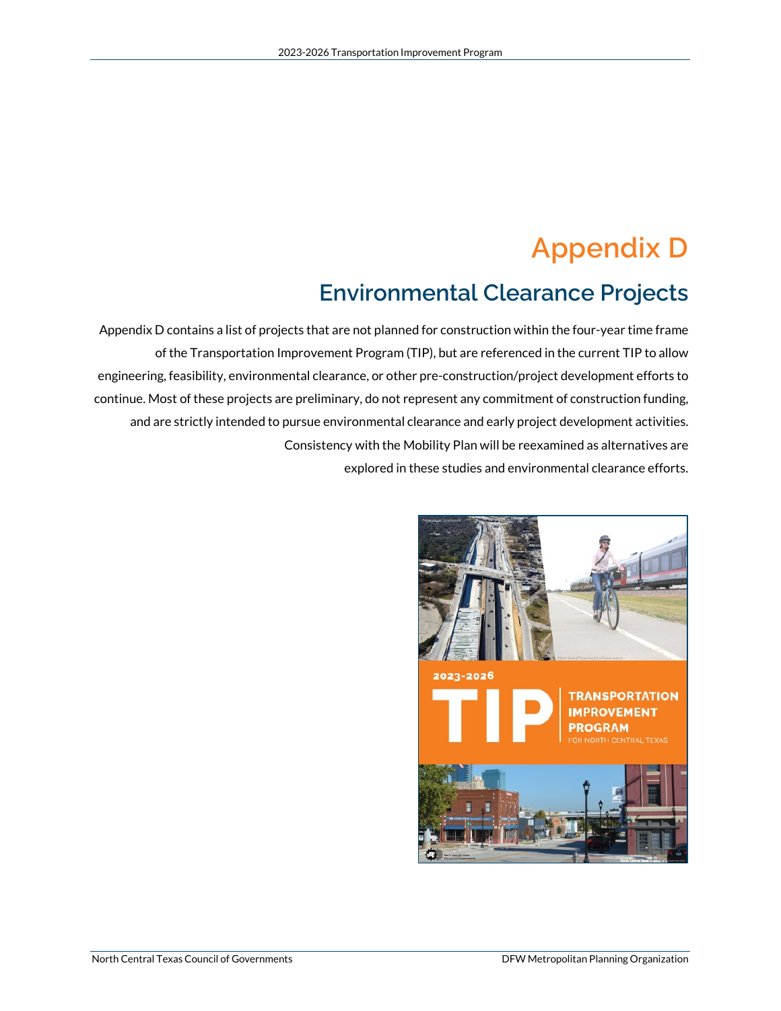# **Appendix D**

## **Environmental Clearance Projects**

Appendix D contains a list of projects that are not planned for construction within the four-year time frame of the Transportation Improvement Program (TIP), but are referenced in the current TIP to allow engineering, feasibility, environmental clearance, or other pre-construction/project development efforts to continue. Most of these projects are preliminary, do not represent any commitment of construction funding, and are strictly intended to pursue environmental clearance and early project development activities. Consistency with the Mobility Plan will be reexamined as alternatives are explored in these studies and environmental clearance efforts.

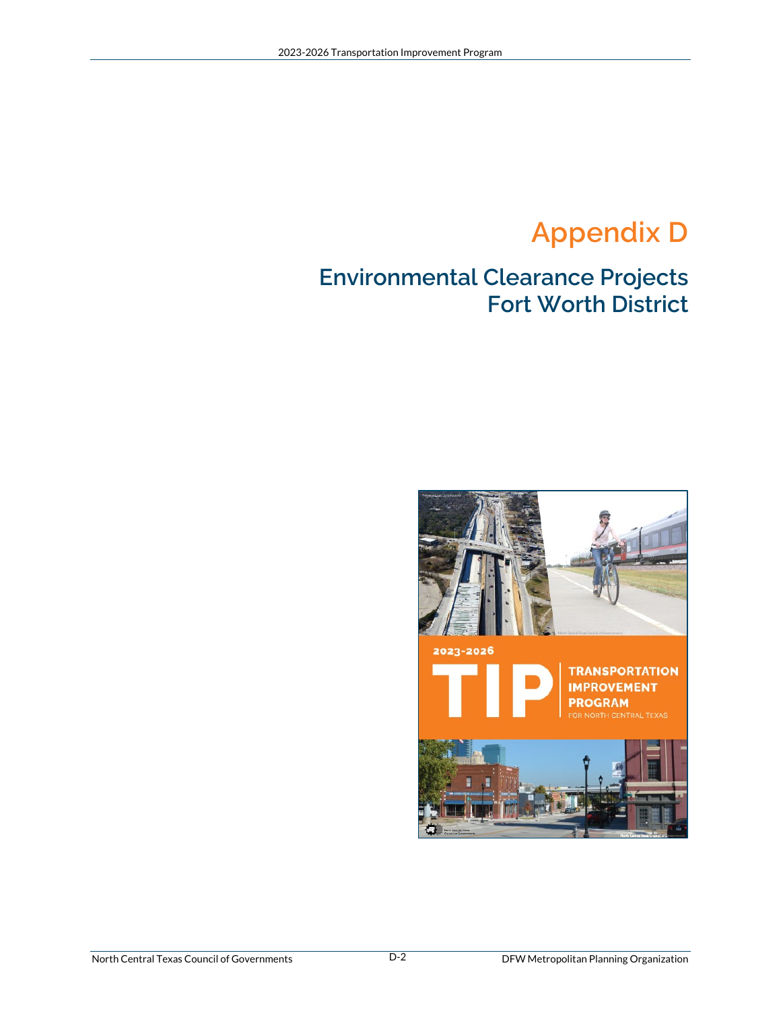# **Appendix D**

### **Environmental Clearance Projects Fort Worth District**

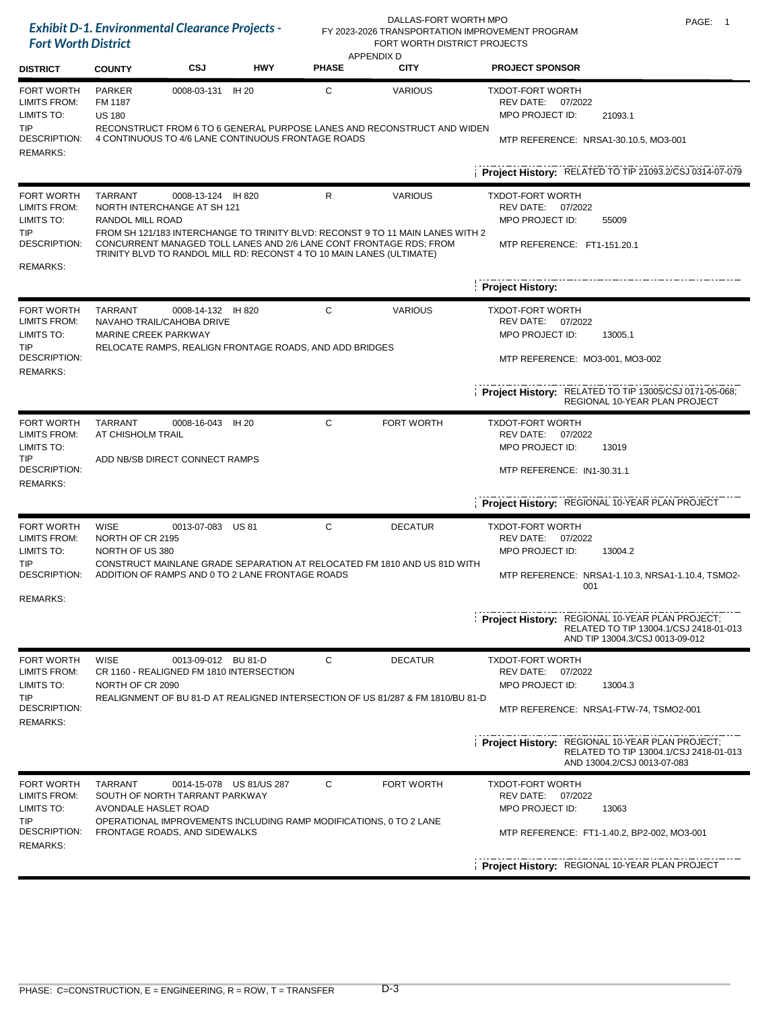|                                                                                                         | <b>Exhibit D-1. Environmental Clearance Projects -</b><br><b>Fort Worth District</b> |                                                                                                     |                          |              | DALLAS-FORT WORTH MPO<br>FORT WORTH DISTRICT PROJECTS                                                                                                | PAGE: 1<br>FY 2023-2026 TRANSPORTATION IMPROVEMENT PROGRAM                                                                                                                     |
|---------------------------------------------------------------------------------------------------------|--------------------------------------------------------------------------------------|-----------------------------------------------------------------------------------------------------|--------------------------|--------------|------------------------------------------------------------------------------------------------------------------------------------------------------|--------------------------------------------------------------------------------------------------------------------------------------------------------------------------------|
| <b>DISTRICT</b>                                                                                         | <b>COUNTY</b>                                                                        | CSJ                                                                                                 | <b>HWY</b>               | <b>PHASE</b> | <b>APPENDIX D</b><br><b>CITY</b>                                                                                                                     | <b>PROJECT SPONSOR</b>                                                                                                                                                         |
| <b>FORT WORTH</b><br><b>LIMITS FROM:</b><br>LIMITS TO:<br><b>TIP</b><br>DESCRIPTION:<br><b>REMARKS:</b> | <b>PARKER</b><br>FM 1187<br><b>US 180</b>                                            | 0008-03-131 IH 20<br>4 CONTINUOUS TO 4/6 LANE CONTINUOUS FRONTAGE ROADS                             |                          | С            | <b>VARIOUS</b><br>RECONSTRUCT FROM 6 TO 6 GENERAL PURPOSE LANES AND RECONSTRUCT AND WIDEN                                                            | <b>TXDOT-FORT WORTH</b><br>REV DATE: 07/2022<br>MPO PROJECT ID:<br>21093.1<br>MTP REFERENCE: NRSA1-30.10.5, MO3-001<br>Project History: RELATED TO TIP 21093.2/CSJ 0314-07-079 |
| FORT WORTH                                                                                              | TARRANT                                                                              | 0008-13-124 IH 820                                                                                  |                          | R            | <b>VARIOUS</b>                                                                                                                                       | <b>TXDOT-FORT WORTH</b>                                                                                                                                                        |
| LIMITS FROM:<br>LIMITS TO:                                                                              | RANDOL MILL ROAD                                                                     | NORTH INTERCHANGE AT SH 121                                                                         |                          |              |                                                                                                                                                      | REV DATE:<br>07/2022<br>MPO PROJECT ID:<br>55009                                                                                                                               |
| TIP<br>DESCRIPTION:                                                                                     |                                                                                      | TRINITY BLVD TO RANDOL MILL RD: RECONST 4 TO 10 MAIN LANES (ULTIMATE)                               |                          |              | FROM SH 121/183 INTERCHANGE TO TRINITY BLVD: RECONST 9 TO 11 MAIN LANES WITH 2<br>CONCURRENT MANAGED TOLL LANES AND 2/6 LANE CONT FRONTAGE RDS; FROM | MTP REFERENCE: FT1-151.20.1                                                                                                                                                    |
| <b>REMARKS:</b>                                                                                         |                                                                                      |                                                                                                     |                          |              |                                                                                                                                                      | <b>Project History:</b>                                                                                                                                                        |
| <b>FORT WORTH</b>                                                                                       | <b>TARRANT</b>                                                                       | 0008-14-132 IH 820                                                                                  |                          | С            | <b>VARIOUS</b>                                                                                                                                       | <b>TXDOT-FORT WORTH</b>                                                                                                                                                        |
| LIMITS FROM:<br>LIMITS TO:                                                                              | <b>MARINE CREEK PARKWAY</b>                                                          | NAVAHO TRAIL/CAHOBA DRIVE                                                                           |                          |              |                                                                                                                                                      | REV DATE: 07/2022<br>MPO PROJECT ID:<br>13005.1                                                                                                                                |
| <b>TIP</b><br>DESCRIPTION:                                                                              |                                                                                      | RELOCATE RAMPS, REALIGN FRONTAGE ROADS, AND ADD BRIDGES                                             |                          |              |                                                                                                                                                      | MTP REFERENCE: MO3-001, MO3-002                                                                                                                                                |
| <b>REMARKS:</b>                                                                                         |                                                                                      |                                                                                                     |                          |              |                                                                                                                                                      |                                                                                                                                                                                |
|                                                                                                         |                                                                                      |                                                                                                     |                          |              |                                                                                                                                                      | Project History: RELATED TO TIP 13005/CSJ 0171-05-068;<br>REGIONAL 10-YEAR PLAN PROJECT                                                                                        |
| <b>FORT WORTH</b><br><b>LIMITS FROM:</b>                                                                | <b>TARRANT</b><br>AT CHISHOLM TRAIL                                                  | 0008-16-043                                                                                         | IH 20                    | C            | <b>FORT WORTH</b>                                                                                                                                    | <b>TXDOT-FORT WORTH</b><br>REV DATE: 07/2022                                                                                                                                   |
| LIMITS TO:                                                                                              |                                                                                      |                                                                                                     |                          |              |                                                                                                                                                      | MPO PROJECT ID:<br>13019                                                                                                                                                       |
| <b>TIP</b><br>DESCRIPTION:<br><b>REMARKS:</b>                                                           |                                                                                      | ADD NB/SB DIRECT CONNECT RAMPS                                                                      |                          |              |                                                                                                                                                      | MTP REFERENCE: IN1-30.31.1                                                                                                                                                     |
|                                                                                                         |                                                                                      |                                                                                                     |                          |              |                                                                                                                                                      | Project History: REGIONAL 10-YEAR PLAN PROJECT                                                                                                                                 |
| <b>FORT WORTH</b><br>LIMITS FROM:                                                                       | WISE<br>NORTH OF CR 2195                                                             | 0013-07-083 US 81                                                                                   |                          | C            | <b>DECATUR</b>                                                                                                                                       | <b>TXDOT-FORT WORTH</b><br>REV DATE:                                                                                                                                           |
| LIMITS TO:                                                                                              | NORTH OF US 380                                                                      |                                                                                                     |                          |              |                                                                                                                                                      | 07/2022<br>MPO PROJECT ID:<br>13004.2                                                                                                                                          |
| TIP<br><b>DESCRIPTION:</b>                                                                              |                                                                                      | ADDITION OF RAMPS AND 0 TO 2 LANE FRONTAGE ROADS                                                    |                          |              | CONSTRUCT MAINLANE GRADE SEPARATION AT RELOCATED FM 1810 AND US 81D WITH                                                                             | MTP REFERENCE: NRSA1-1.10.3, NRSA1-1.10.4, TSMO2-<br>001                                                                                                                       |
| <b>REMARKS:</b>                                                                                         |                                                                                      |                                                                                                     |                          |              |                                                                                                                                                      |                                                                                                                                                                                |
|                                                                                                         |                                                                                      |                                                                                                     |                          |              |                                                                                                                                                      | <b>Project History: REGIONAL 10-YEAR PLAN PROJECT;</b><br>RELATED TO TIP 13004.1/CSJ 2418-01-013<br>AND TIP 13004.3/CSJ 0013-09-012                                            |
| <b>FORT WORTH</b><br><b>LIMITS FROM:</b>                                                                | <b>WISE</b>                                                                          | 0013-09-012 BU 81-D<br>CR 1160 - REALIGNED FM 1810 INTERSECTION                                     |                          | C            | <b>DECATUR</b>                                                                                                                                       | <b>TXDOT-FORT WORTH</b><br>REV DATE: 07/2022                                                                                                                                   |
| LIMITS TO:                                                                                              | NORTH OF CR 2090                                                                     |                                                                                                     |                          |              |                                                                                                                                                      | MPO PROJECT ID:<br>13004.3                                                                                                                                                     |
| <b>TIP</b><br>DESCRIPTION:<br><b>REMARKS:</b>                                                           |                                                                                      |                                                                                                     |                          |              | REALIGNMENT OF BU 81-D AT REALIGNED INTERSECTION OF US 81/287 & FM 1810/BU 81-D                                                                      | MTP REFERENCE: NRSA1-FTW-74, TSMO2-001                                                                                                                                         |
|                                                                                                         |                                                                                      |                                                                                                     |                          |              |                                                                                                                                                      | <b>Project History: REGIONAL 10-YEAR PLAN PROJECT;</b><br>RELATED TO TIP 13004.1/CSJ 2418-01-013<br>AND 13004.2/CSJ 0013-07-083                                                |
| <b>FORT WORTH</b><br>LIMITS FROM:                                                                       | <b>TARRANT</b>                                                                       | SOUTH OF NORTH TARRANT PARKWAY                                                                      | 0014-15-078 US 81/US 287 | C            | FORT WORTH                                                                                                                                           | <b>TXDOT-FORT WORTH</b><br>REV DATE:<br>07/2022                                                                                                                                |
| LIMITS TO:                                                                                              | AVONDALE HASLET ROAD                                                                 |                                                                                                     |                          |              |                                                                                                                                                      | MPO PROJECT ID:<br>13063                                                                                                                                                       |
| <b>TIP</b><br>DESCRIPTION:<br><b>REMARKS:</b>                                                           |                                                                                      | OPERATIONAL IMPROVEMENTS INCLUDING RAMP MODIFICATIONS, 0 TO 2 LANE<br>FRONTAGE ROADS, AND SIDEWALKS |                          |              |                                                                                                                                                      | MTP REFERENCE: FT1-1.40.2, BP2-002, MO3-001                                                                                                                                    |
|                                                                                                         |                                                                                      |                                                                                                     |                          |              |                                                                                                                                                      | Project History: REGIONAL 10-YEAR PLAN PROJECT                                                                                                                                 |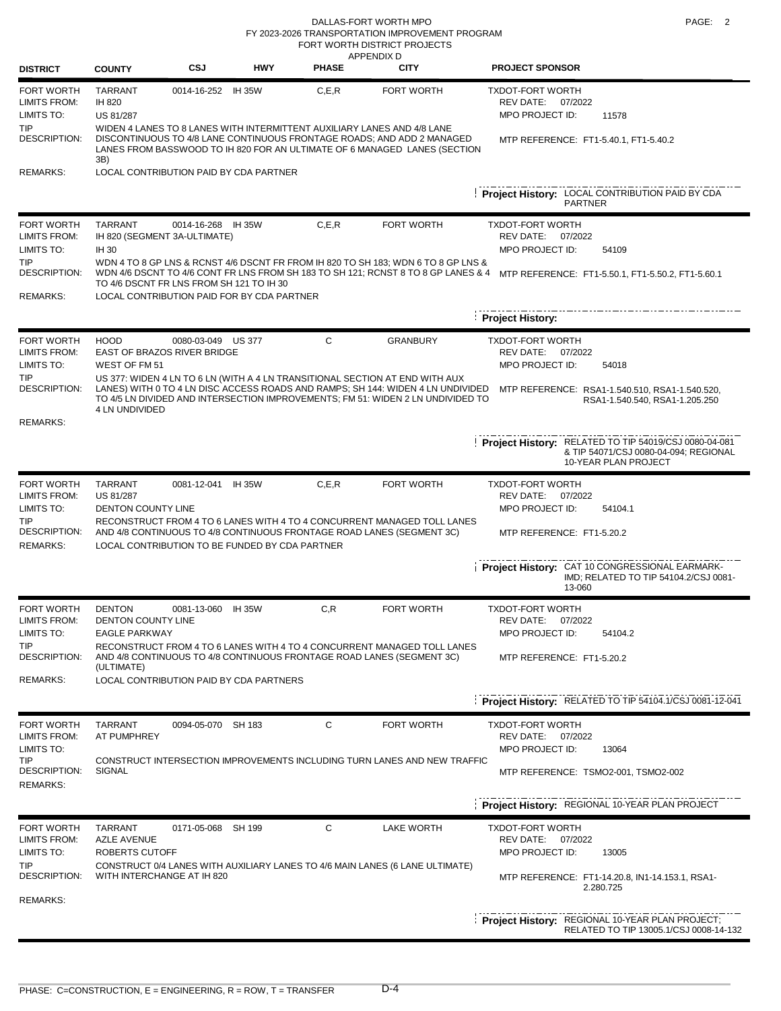DALLAS-FORT WORTH MPO **PAGE:** 2 FORT WORTH DISTRICT PROJECTS FY 2023-2026 TRANSPORTATION IMPROVEMENT PROGRAM

| <b>DISTRICT</b>                                        | <b>COUNTY</b>                                                  | <b>CSJ</b>         | <b>HWY</b>                                     | <b>PHASE</b> | APPENDIX D<br><b>CITY</b>                                                                                                                                                                                                                          | <b>PROJECT SPONSOR</b>                                                                                                 |
|--------------------------------------------------------|----------------------------------------------------------------|--------------------|------------------------------------------------|--------------|----------------------------------------------------------------------------------------------------------------------------------------------------------------------------------------------------------------------------------------------------|------------------------------------------------------------------------------------------------------------------------|
| <b>FORT WORTH</b><br><b>LIMITS FROM:</b><br>LIMITS TO: | <b>TARRANT</b><br>IH 820<br><b>US 81/287</b>                   | 0014-16-252 IH 35W |                                                | C, E, R      | FORT WORTH                                                                                                                                                                                                                                         | <b>TXDOT-FORT WORTH</b><br>REV DATE: 07/2022<br>MPO PROJECT ID:<br>11578                                               |
| <b>TIP</b><br>DESCRIPTION:                             | 3B)                                                            |                    |                                                |              | WIDEN 4 LANES TO 8 LANES WITH INTERMITTENT AUXILIARY LANES AND 4/8 LANE<br>DISCONTINUOUS TO 4/8 LANE CONTINUOUS FRONTAGE ROADS; AND ADD 2 MANAGED<br>LANES FROM BASSWOOD TO IH 820 FOR AN ULTIMATE OF 6 MANAGED LANES (SECTION                     | MTP REFERENCE: FT1-5.40.1, FT1-5.40.2                                                                                  |
| <b>REMARKS:</b>                                        |                                                                |                    | LOCAL CONTRIBUTION PAID BY CDA PARTNER         |              |                                                                                                                                                                                                                                                    | Project History: LOCAL CONTRIBUTION PAID BY CDA                                                                        |
|                                                        |                                                                |                    |                                                |              |                                                                                                                                                                                                                                                    | <b>PARTNER</b>                                                                                                         |
| <b>FORT WORTH</b><br><b>LIMITS FROM:</b><br>LIMITS TO: | <b>TARRANT</b><br>IH 820 (SEGMENT 3A-ULTIMATE)<br><b>IH 30</b> | 0014-16-268 IH 35W |                                                | C, E, R      | FORT WORTH                                                                                                                                                                                                                                         | <b>TXDOT-FORT WORTH</b><br>REV DATE:<br>07/2022<br>MPO PROJECT ID:<br>54109                                            |
| <b>TIP</b><br><b>DESCRIPTION:</b><br><b>REMARKS:</b>   | TO 4/6 DSCNT FR LNS FROM SH 121 TO IH 30                       |                    | LOCAL CONTRIBUTION PAID FOR BY CDA PARTNER     |              | WDN 4 TO 8 GP LNS & RCNST 4/6 DSCNT FR FROM IH 820 TO SH 183; WDN 6 TO 8 GP LNS &<br>WDN 4/6 DSCNT TO 4/6 CONT FR LNS FROM SH 183 TO SH 121; RCNST 8 TO 8 GP LANES & 4                                                                             | MTP REFERENCE: FT1-5.50.1, FT1-5.50.2, FT1-5.60.1                                                                      |
|                                                        |                                                                |                    |                                                |              |                                                                                                                                                                                                                                                    | <b>Project History:</b>                                                                                                |
| <b>FORT WORTH</b><br><b>LIMITS FROM:</b>               | <b>HOOD</b><br>EAST OF BRAZOS RIVER BRIDGE                     | 0080-03-049 US 377 |                                                | С            | <b>GRANBURY</b>                                                                                                                                                                                                                                    | <b>TXDOT-FORT WORTH</b><br>REV DATE: 07/2022                                                                           |
| LIMITS TO:                                             | WEST OF FM 51                                                  |                    |                                                |              |                                                                                                                                                                                                                                                    | MPO PROJECT ID:<br>54018                                                                                               |
| TIP<br>DESCRIPTION:                                    | <b>4 LN UNDIVIDED</b>                                          |                    |                                                |              | US 377: WIDEN 4 LN TO 6 LN (WITH A 4 LN TRANSITIONAL SECTION AT END WITH AUX<br>LANES) WITH 0 TO 4 LN DISC ACCESS ROADS AND RAMPS; SH 144: WIDEN 4 LN UNDIVIDED<br>TO 4/5 LN DIVIDED AND INTERSECTION IMPROVEMENTS; FM 51: WIDEN 2 LN UNDIVIDED TO | MTP REFERENCE: RSA1-1.540.510, RSA1-1.540.520,<br>RSA1-1.540.540, RSA1-1.205.250                                       |
| <b>REMARKS:</b>                                        |                                                                |                    |                                                |              |                                                                                                                                                                                                                                                    |                                                                                                                        |
|                                                        |                                                                |                    |                                                |              |                                                                                                                                                                                                                                                    | Project History: RELATED TO TIP 54019/CSJ 0080-04-081<br>& TIP 54071/CSJ 0080-04-094; REGIONAL<br>10-YEAR PLAN PROJECT |
| <b>FORT WORTH</b>                                      | <b>TARRANT</b>                                                 | 0081-12-041 IH 35W |                                                | C.E.R        | FORT WORTH                                                                                                                                                                                                                                         | <b>TXDOT-FORT WORTH</b>                                                                                                |
| <b>LIMITS FROM:</b><br>LIMITS TO:                      | US 81/287<br><b>DENTON COUNTY LINE</b>                         |                    |                                                |              |                                                                                                                                                                                                                                                    | REV DATE:<br>07/2022<br>MPO PROJECT ID:<br>54104.1                                                                     |
| TIP<br>DESCRIPTION:<br><b>REMARKS:</b>                 |                                                                |                    | LOCAL CONTRIBUTION TO BE FUNDED BY CDA PARTNER |              | RECONSTRUCT FROM 4 TO 6 LANES WITH 4 TO 4 CONCURRENT MANAGED TOLL LANES<br>AND 4/8 CONTINUOUS TO 4/8 CONTINUOUS FRONTAGE ROAD LANES (SEGMENT 3C)                                                                                                   | MTP REFERENCE: FT1-5.20.2                                                                                              |
|                                                        |                                                                |                    |                                                |              |                                                                                                                                                                                                                                                    | Project History: CAT 10 CONGRESSIONAL EARMARK-<br>IMD; RELATED TO TIP 54104.2/CSJ 0081-<br>13-060                      |
| <b>FORT WORTH</b>                                      | <b>DENTON</b>                                                  | 0081-13-060        | IH 35W                                         | C, R         | FORT WORTH                                                                                                                                                                                                                                         | <b>TXDOT-FORT WORTH</b>                                                                                                |
| <b>LIMITS FROM:</b><br>LIMITS TO:                      | DENTON COUNTY LINE<br><b>EAGLE PARKWAY</b>                     |                    |                                                |              |                                                                                                                                                                                                                                                    | REV DATE:<br>07/2022<br>MPO PROJECT ID:<br>54104.2                                                                     |
| TIP<br>DESCRIPTION:                                    | (ULTIMATE)                                                     |                    |                                                |              | RECONSTRUCT FROM 4 TO 6 LANES WITH 4 TO 4 CONCURRENT MANAGED TOLL LANES<br>AND 4/8 CONTINUOUS TO 4/8 CONTINUOUS FRONTAGE ROAD LANES (SEGMENT 3C)                                                                                                   | MTP REFERENCE: FT1-5.20.2                                                                                              |
| REMARKS:                                               |                                                                |                    | LOCAL CONTRIBUTION PAID BY CDA PARTNERS        |              |                                                                                                                                                                                                                                                    |                                                                                                                        |
|                                                        |                                                                |                    |                                                |              |                                                                                                                                                                                                                                                    | Project History: RELATED TO TIP 54104.1/CSJ 0081-12-041                                                                |
| FORT WORTH<br><b>LIMITS FROM:</b>                      | <b>TARRANT</b><br>AT PUMPHREY                                  | 0094-05-070 SH 183 |                                                | С            | FORT WORTH                                                                                                                                                                                                                                         | <b>TXDOT-FORT WORTH</b><br>REV DATE: 07/2022                                                                           |
| LIMITS TO:<br>TIP                                      |                                                                |                    |                                                |              | CONSTRUCT INTERSECTION IMPROVEMENTS INCLUDING TURN LANES AND NEW TRAFFIC                                                                                                                                                                           | MPO PROJECT ID:<br>13064                                                                                               |
| <b>DESCRIPTION:</b><br><b>REMARKS:</b>                 | SIGNAL                                                         |                    |                                                |              |                                                                                                                                                                                                                                                    | MTP REFERENCE: TSMO2-001, TSMO2-002                                                                                    |
|                                                        |                                                                |                    |                                                |              |                                                                                                                                                                                                                                                    | Project History: REGIONAL 10-YEAR PLAN PROJECT                                                                         |
| <b>FORT WORTH</b><br>LIMITS FROM:                      | <b>TARRANT</b><br><b>AZLE AVENUE</b>                           | 0171-05-068 SH 199 |                                                | С            | <b>LAKE WORTH</b>                                                                                                                                                                                                                                  | <b>TXDOT-FORT WORTH</b><br>REV DATE:<br>07/2022                                                                        |
| LIMITS TO:                                             | ROBERTS CUTOFF                                                 |                    |                                                |              |                                                                                                                                                                                                                                                    | MPO PROJECT ID:<br>13005                                                                                               |
| TIP<br>DESCRIPTION:                                    | WITH INTERCHANGE AT IH 820                                     |                    |                                                |              | CONSTRUCT 0/4 LANES WITH AUXILIARY LANES TO 4/6 MAIN LANES (6 LANE ULTIMATE)                                                                                                                                                                       | MTP REFERENCE: FT1-14.20.8, IN1-14.153.1, RSA1-<br>2.280.725                                                           |
| <b>REMARKS:</b>                                        |                                                                |                    |                                                |              |                                                                                                                                                                                                                                                    |                                                                                                                        |
|                                                        |                                                                |                    |                                                |              |                                                                                                                                                                                                                                                    | Project History: REGIONAL 10-YEAR PLAN PROJECT;<br>RELATED TO TIP 13005.1/CSJ 0008-14-132                              |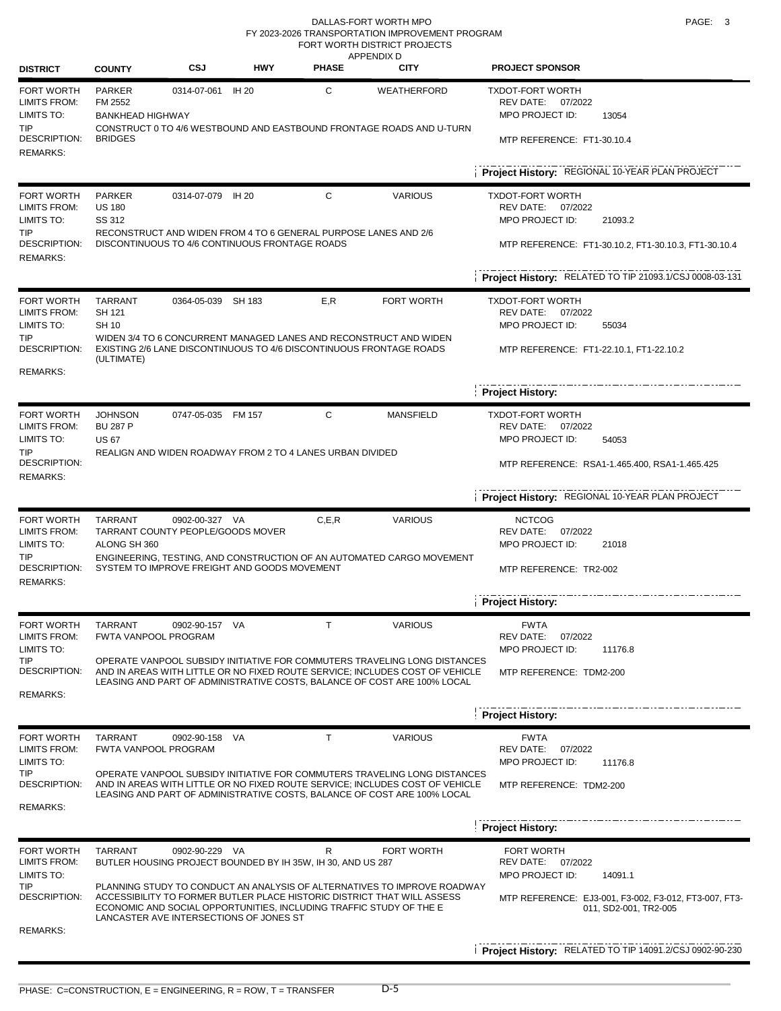#### DALLAS-FORT WORTH MPO **PAGE:** 3 FORT WORTH DISTRICT PROJECTS FY 2023-2026 TRANSPORTATION IMPROVEMENT PROGRAM

| <b>DISTRICT</b>                                                                                     | <b>COUNTY</b>                                                       | CSJ                | <b>HWY</b>                                                                                                        | <b>PHASE</b> | APPENDIX D<br><b>CITY</b>                                                                                                                                                                                                             | <b>PROJECT SPONSOR</b>                                                         |
|-----------------------------------------------------------------------------------------------------|---------------------------------------------------------------------|--------------------|-------------------------------------------------------------------------------------------------------------------|--------------|---------------------------------------------------------------------------------------------------------------------------------------------------------------------------------------------------------------------------------------|--------------------------------------------------------------------------------|
| FORT WORTH<br><b>LIMITS FROM:</b><br>LIMITS TO:<br>TIP                                              | <b>PARKER</b><br>FM 2552<br><b>BANKHEAD HIGHWAY</b>                 | 0314-07-061        | IH 20                                                                                                             | С            | <b>WEATHERFORD</b><br>CONSTRUCT 0 TO 4/6 WESTBOUND AND EASTBOUND FRONTAGE ROADS AND U-TURN                                                                                                                                            | <b>TXDOT-FORT WORTH</b><br>REV DATE: 07/2022<br>MPO PROJECT ID:<br>13054       |
| DESCRIPTION:<br>REMARKS:                                                                            | <b>BRIDGES</b>                                                      |                    |                                                                                                                   |              |                                                                                                                                                                                                                                       | MTP REFERENCE: FT1-30.10.4                                                     |
|                                                                                                     |                                                                     |                    |                                                                                                                   |              |                                                                                                                                                                                                                                       | Project History: REGIONAL 10-YEAR PLAN PROJECT                                 |
| <b>FORT WORTH</b><br>LIMITS FROM:<br>LIMITS TO:                                                     | <b>PARKER</b><br><b>US 180</b><br>SS 312                            | 0314-07-079 IH 20  |                                                                                                                   | С            | <b>VARIOUS</b>                                                                                                                                                                                                                        | <b>TXDOT-FORT WORTH</b><br>REV DATE: 07/2022<br>MPO PROJECT ID:<br>21093.2     |
| TIP<br>DESCRIPTION:<br><b>REMARKS:</b>                                                              |                                                                     |                    | RECONSTRUCT AND WIDEN FROM 4 TO 6 GENERAL PURPOSE LANES AND 2/6<br>DISCONTINUOUS TO 4/6 CONTINUOUS FRONTAGE ROADS |              |                                                                                                                                                                                                                                       | MTP REFERENCE: FT1-30.10.2, FT1-30.10.3, FT1-30.10.4                           |
|                                                                                                     |                                                                     |                    |                                                                                                                   |              |                                                                                                                                                                                                                                       | Project History: RELATED TO TIP 21093.1/CSJ 0008-03-131                        |
| FORT WORTH<br>LIMITS FROM:<br>LIMITS TO:                                                            | <b>TARRANT</b><br>SH 121<br>SH 10                                   | 0364-05-039 SH 183 |                                                                                                                   | E,R          | <b>FORT WORTH</b>                                                                                                                                                                                                                     | <b>TXDOT-FORT WORTH</b><br>REV DATE:<br>07/2022<br>MPO PROJECT ID:<br>55034    |
| <b>TIP</b><br><b>DESCRIPTION:</b><br>REMARKS:                                                       | (ULTIMATE)                                                          |                    | EXISTING 2/6 LANE DISCONTINUOUS TO 4/6 DISCONTINUOUS FRONTAGE ROADS                                               |              | WIDEN 3/4 TO 6 CONCURRENT MANAGED LANES AND RECONSTRUCT AND WIDEN                                                                                                                                                                     | MTP REFERENCE: FT1-22.10.1, FT1-22.10.2                                        |
|                                                                                                     |                                                                     |                    |                                                                                                                   |              |                                                                                                                                                                                                                                       | <b>Project History:</b>                                                        |
| FORT WORTH<br>LIMITS FROM:<br>LIMITS TO:                                                            | <b>JOHNSON</b><br><b>BU 287 P</b><br><b>US 67</b>                   | 0747-05-035 FM 157 |                                                                                                                   | С            | <b>MANSFIELD</b>                                                                                                                                                                                                                      | <b>TXDOT-FORT WORTH</b><br>REV DATE:<br>07/2022<br>MPO PROJECT ID:<br>54053    |
| TIP<br>REALIGN AND WIDEN ROADWAY FROM 2 TO 4 LANES URBAN DIVIDED<br><b>DESCRIPTION:</b><br>REMARKS: |                                                                     |                    |                                                                                                                   |              | MTP REFERENCE: RSA1-1.465.400, RSA1-1.465.425                                                                                                                                                                                         |                                                                                |
|                                                                                                     |                                                                     |                    |                                                                                                                   |              |                                                                                                                                                                                                                                       | Project History: REGIONAL 10-YEAR PLAN PROJECT                                 |
| FORT WORTH<br><b>LIMITS FROM:</b><br>LIMITS TO:                                                     | <b>TARRANT</b><br>TARRANT COUNTY PEOPLE/GOODS MOVER<br>ALONG SH 360 | 0902-00-327 VA     |                                                                                                                   | C, E, R      | <b>VARIOUS</b>                                                                                                                                                                                                                        | <b>NCTCOG</b><br>REV DATE: 07/2022<br>MPO PROJECT ID:<br>21018                 |
| TIP<br>DESCRIPTION:<br><b>REMARKS:</b>                                                              |                                                                     |                    | SYSTEM TO IMPROVE FREIGHT AND GOODS MOVEMENT                                                                      |              | ENGINEERING, TESTING, AND CONSTRUCTION OF AN AUTOMATED CARGO MOVEMENT                                                                                                                                                                 | MTP REFERENCE: TR2-002                                                         |
|                                                                                                     |                                                                     |                    |                                                                                                                   |              |                                                                                                                                                                                                                                       | <b>Project History:</b>                                                        |
| FORT WORTH<br>LIMITS FROM:<br>LIMITS TO:                                                            | <b>TARRANT</b><br><b>FWTA VANPOOL PROGRAM</b>                       | 0902-90-157 VA     |                                                                                                                   | T.           | <b>VARIOUS</b>                                                                                                                                                                                                                        | <b>FWTA</b><br>REV DATE: 07/2022<br>MPO PROJECT ID:<br>11176.8                 |
| TIP<br>DESCRIPTION:<br>REMARKS:                                                                     |                                                                     |                    |                                                                                                                   |              | OPERATE VANPOOL SUBSIDY INITIATIVE FOR COMMUTERS TRAVELING LONG DISTANCES<br>AND IN AREAS WITH LITTLE OR NO FIXED ROUTE SERVICE; INCLUDES COST OF VEHICLE<br>LEASING AND PART OF ADMINISTRATIVE COSTS, BALANCE OF COST ARE 100% LOCAL | MTP REFERENCE: TDM2-200                                                        |
|                                                                                                     |                                                                     |                    |                                                                                                                   |              |                                                                                                                                                                                                                                       | <b>Project History:</b>                                                        |
| FORT WORTH<br>LIMITS FROM:<br>LIMITS TO:                                                            | TARRANT<br><b>FWTA VANPOOL PROGRAM</b>                              | 0902-90-158 VA     |                                                                                                                   | Τ            | <b>VARIOUS</b>                                                                                                                                                                                                                        | <b>FWTA</b><br>REV DATE:<br>07/2022<br>MPO PROJECT ID:<br>11176.8              |
| TIP<br>DESCRIPTION:<br>REMARKS:                                                                     |                                                                     |                    |                                                                                                                   |              | OPERATE VANPOOL SUBSIDY INITIATIVE FOR COMMUTERS TRAVELING LONG DISTANCES<br>AND IN AREAS WITH LITTLE OR NO FIXED ROUTE SERVICE; INCLUDES COST OF VEHICLE<br>LEASING AND PART OF ADMINISTRATIVE COSTS, BALANCE OF COST ARE 100% LOCAL | MTP REFERENCE: TDM2-200                                                        |
|                                                                                                     |                                                                     |                    |                                                                                                                   |              |                                                                                                                                                                                                                                       | <b>Project History:</b>                                                        |
| FORT WORTH<br><b>LIMITS FROM:</b><br>LIMITS TO:                                                     | <b>TARRANT</b>                                                      | 0902-90-229 VA     | BUTLER HOUSING PROJECT BOUNDED BY IH 35W, IH 30, AND US 287                                                       | R            | <b>FORT WORTH</b>                                                                                                                                                                                                                     | <b>FORT WORTH</b><br>REV DATE:<br>07/2022<br>MPO PROJECT ID:<br>14091.1        |
| TIP<br>DESCRIPTION:                                                                                 |                                                                     |                    | ECONOMIC AND SOCIAL OPPORTUNITIES, INCLUDING TRAFFIC STUDY OF THE E<br>LANCASTER AVE INTERSECTIONS OF JONES ST    |              | PLANNING STUDY TO CONDUCT AN ANALYSIS OF ALTERNATIVES TO IMPROVE ROADWAY<br>ACCESSIBILITY TO FORMER BUTLER PLACE HISTORIC DISTRICT THAT WILL ASSESS                                                                                   | MTP REFERENCE: EJ3-001, F3-002, F3-012, FT3-007, FT3-<br>011, SD2-001, TR2-005 |
| <b>REMARKS:</b>                                                                                     |                                                                     |                    |                                                                                                                   |              |                                                                                                                                                                                                                                       | Project History: RELATED TO TIP 14091.2/CSJ 0902-90-230                        |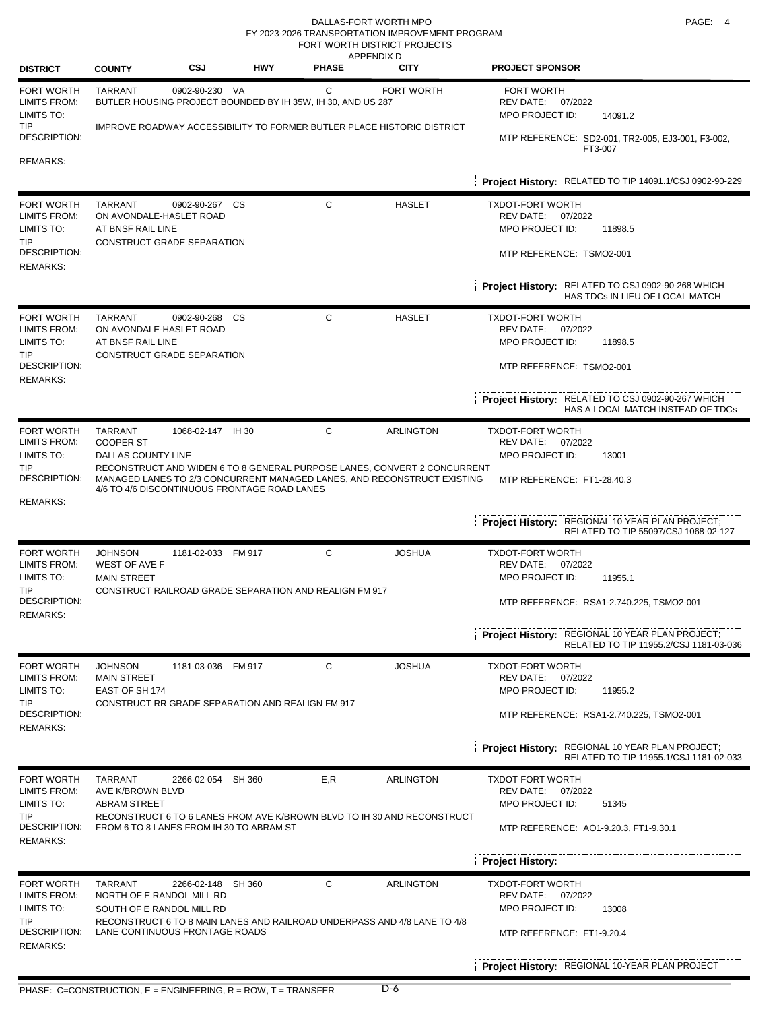DALLAS-FORT WORTH MPO **PAGE:** 4 FORT WORTH DISTRICT PROJECTS FY 2023-2026 TRANSPORTATION IMPROVEMENT PROGRAM

| <b>DISTRICT</b>                                                                                          | <b>COUNTY</b>                                                            | CSJ                                                                           | <b>HWY</b> | <b>APPENDIX D</b><br><b>PHASE</b> | <b>CITY</b>                                                                                                                                                             | <b>PROJECT SPONSOR</b>                                                                                                                                                                                                 |
|----------------------------------------------------------------------------------------------------------|--------------------------------------------------------------------------|-------------------------------------------------------------------------------|------------|-----------------------------------|-------------------------------------------------------------------------------------------------------------------------------------------------------------------------|------------------------------------------------------------------------------------------------------------------------------------------------------------------------------------------------------------------------|
| <b>FORT WORTH</b><br>LIMITS FROM:<br>LIMITS TO:<br><b>TIP</b><br><b>DESCRIPTION:</b>                     | <b>TARRANT</b>                                                           | 0902-90-230 VA<br>BUTLER HOUSING PROJECT BOUNDED BY IH 35W, IH 30, AND US 287 |            | C                                 | FORT WORTH<br>IMPROVE ROADWAY ACCESSIBILITY TO FORMER BUTLER PLACE HISTORIC DISTRICT                                                                                    | <b>FORT WORTH</b><br>REV DATE: 07/2022<br>MPO PROJECT ID:<br>14091.2<br>MTP REFERENCE: SD2-001, TR2-005, EJ3-001, F3-002,                                                                                              |
| <b>REMARKS:</b>                                                                                          |                                                                          |                                                                               |            |                                   |                                                                                                                                                                         | FT3-007<br>Project History: RELATED TO TIP 14091.1/CSJ 0902-90-229                                                                                                                                                     |
| FORT WORTH<br><b>LIMITS FROM:</b><br>LIMITS TO:<br>TIP.<br><b>DESCRIPTION:</b><br><b>REMARKS:</b>        | <b>TARRANT</b><br>ON AVONDALE-HASLET ROAD<br>AT BNSF RAIL LINE           | 0902-90-267 CS<br>CONSTRUCT GRADE SEPARATION                                  |            | C                                 | <b>HASLET</b>                                                                                                                                                           | <b>TXDOT-FORT WORTH</b><br>REV DATE: 07/2022<br>MPO PROJECT ID:<br>11898.5<br>MTP REFERENCE: TSMO2-001<br>Project History: RELATED TO CSJ 0902-90-268 WHICH<br>HAS TDCs IN LIEU OF LOCAL MATCH                         |
| <b>FORT WORTH</b><br>LIMITS FROM:<br>LIMITS TO:<br>TIP<br>DESCRIPTION:<br><b>REMARKS:</b>                | <b>TARRANT</b><br>ON AVONDALE-HASLET ROAD<br>AT BNSF RAIL LINE           | 0902-90-268<br>CONSTRUCT GRADE SEPARATION                                     | CS         | C                                 | <b>HASLET</b>                                                                                                                                                           | <b>TXDOT-FORT WORTH</b><br>REV DATE: 07/2022<br>MPO PROJECT ID:<br>11898.5<br>MTP REFERENCE: TSMO2-001<br>Project History: RELATED TO CSJ 0902-90-267 WHICH<br>HAS A LOCAL MATCH INSTEAD OF TDCs                       |
| <b>FORT WORTH</b><br><b>LIMITS FROM:</b><br>LIMITS TO:<br><b>TIP</b><br>DESCRIPTION:<br><b>REMARKS:</b>  | <b>TARRANT</b><br><b>COOPER ST</b><br><b>DALLAS COUNTY LINE</b>          | 1068-02-147 IH 30<br>4/6 TO 4/6 DISCONTINUOUS FRONTAGE ROAD LANES             |            | C                                 | <b>ARLINGTON</b><br>RECONSTRUCT AND WIDEN 6 TO 8 GENERAL PURPOSE LANES, CONVERT 2 CONCURRENT<br>MANAGED LANES TO 2/3 CONCURRENT MANAGED LANES, AND RECONSTRUCT EXISTING | <b>TXDOT-FORT WORTH</b><br>REV DATE: 07/2022<br>MPO PROJECT ID:<br>13001<br>MTP REFERENCE: FT1-28.40.3<br>Project History: REGIONAL 10-YEAR PLAN PROJECT;<br>RELATED TO TIP 55097/CSJ 1068-02-127                      |
| <b>FORT WORTH</b><br><b>LIMITS FROM:</b><br>LIMITS TO:<br>TIP.<br><b>DESCRIPTION:</b><br><b>REMARKS:</b> | <b>JOHNSON</b><br><b>WEST OF AVE F</b><br><b>MAIN STREET</b>             | 1181-02-033 FM 917<br>CONSTRUCT RAILROAD GRADE SEPARATION AND REALIGN FM 917  |            | C                                 | <b>JOSHUA</b>                                                                                                                                                           | <b>TXDOT-FORT WORTH</b><br>REV DATE: 07/2022<br>MPO PROJECT ID:<br>11955.1<br>MTP REFERENCE: RSA1-2.740.225, TSMO2-001<br>Project History: REGIONAL 10 YEAR PLAN PROJECT;<br>RELATED TO TIP 11955.2/CSJ 1181-03-036    |
| FORT WORTH<br>LIMITS FROM:<br>LIMITS TO:<br>TIP<br><b>DESCRIPTION:</b><br><b>REMARKS:</b>                | <b>JOHNSON</b><br><b>MAIN STREET</b><br>EAST OF SH 174                   | 1181-03-036 FM 917<br>CONSTRUCT RR GRADE SEPARATION AND REALIGN FM 917        |            | C                                 | <b>JOSHUA</b>                                                                                                                                                           | <b>TXDOT-FORT WORTH</b><br>07/2022<br>REV DATE:<br>MPO PROJECT ID:<br>11955.2<br>MTP REFERENCE: RSA1-2.740.225, TSMO2-001<br>Project History: REGIONAL 10 YEAR PLAN PROJECT;<br>RELATED TO TIP 11955.1/CSJ 1181-02-033 |
| <b>FORT WORTH</b><br><b>LIMITS FROM:</b><br>LIMITS TO:<br><b>TIP</b><br>DESCRIPTION:<br><b>REMARKS:</b>  | <b>TARRANT</b><br>AVE K/BROWN BLVD<br><b>ABRAM STREET</b>                | 2266-02-054 SH 360<br>FROM 6 TO 8 LANES FROM IH 30 TO ABRAM ST                |            | E, R                              | <b>ARLINGTON</b><br>RECONSTRUCT 6 TO 6 LANES FROM AVE K/BROWN BLVD TO IH 30 AND RECONSTRUCT                                                                             | <b>TXDOT-FORT WORTH</b><br>REV DATE: 07/2022<br>MPO PROJECT ID:<br>51345<br>MTP REFERENCE: AO1-9.20.3, FT1-9.30.1<br><b>Project History:</b>                                                                           |
| <b>FORT WORTH</b><br><b>LIMITS FROM:</b><br>LIMITS TO:<br><b>TIP</b><br>DESCRIPTION:<br><b>REMARKS:</b>  | <b>TARRANT</b><br>NORTH OF E RANDOL MILL RD<br>SOUTH OF E RANDOL MILL RD | 2266-02-148 SH 360<br>LANE CONTINUOUS FRONTAGE ROADS                          |            | С                                 | <b>ARLINGTON</b><br>RECONSTRUCT 6 TO 8 MAIN LANES AND RAILROAD UNDERPASS AND 4/8 LANE TO 4/8                                                                            | <b>TXDOT-FORT WORTH</b><br>REV DATE: 07/2022<br>MPO PROJECT ID:<br>13008<br>MTP REFERENCE: FT1-9.20.4<br>Project History: REGIONAL 10-YEAR PLAN PROJECT                                                                |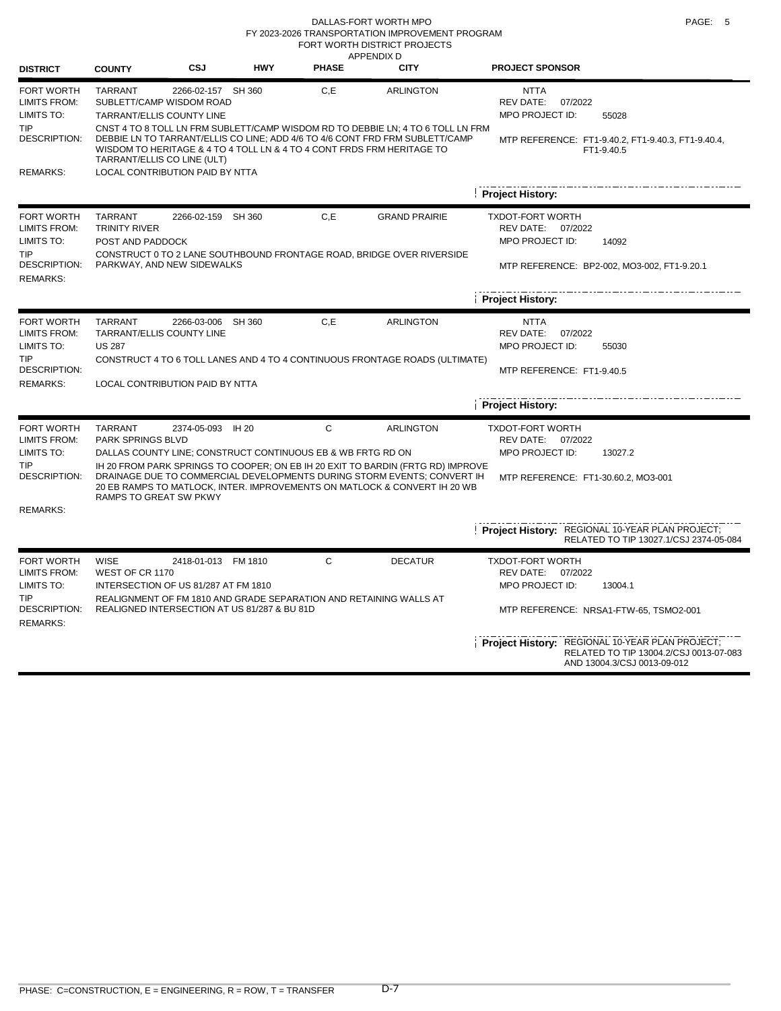### DALLAS-FORT WORTH MPO **PAGE:** 5 FORT WORTH DISTRICT PROJECTS FY 2023-2026 TRANSPORTATION IMPROVEMENT PROGRAM

|                                                                                      |                                                            |                                                                                                                    |            | APPENDIX D   |                                                                                                                                                                                |                                                                                                                          |
|--------------------------------------------------------------------------------------|------------------------------------------------------------|--------------------------------------------------------------------------------------------------------------------|------------|--------------|--------------------------------------------------------------------------------------------------------------------------------------------------------------------------------|--------------------------------------------------------------------------------------------------------------------------|
| <b>DISTRICT</b>                                                                      | <b>COUNTY</b>                                              | CSJ                                                                                                                | <b>HWY</b> | <b>PHASE</b> | <b>CITY</b>                                                                                                                                                                    | <b>PROJECT SPONSOR</b>                                                                                                   |
| <b>FORT WORTH</b><br><b>LIMITS FROM:</b><br>LIMITS TO:                               | <b>TARRANT</b>                                             | 2266-02-157 SH 360<br>SUBLETT/CAMP WISDOM ROAD<br>TARRANT/ELLIS COUNTY LINE                                        |            | C, E         | <b>ARLINGTON</b>                                                                                                                                                               | <b>NTTA</b><br><b>REV DATE:</b><br>07/2022<br>MPO PROJECT ID:<br>55028                                                   |
| <b>TIP</b><br><b>DESCRIPTION:</b>                                                    |                                                            | WISDOM TO HERITAGE & 4 TO 4 TOLL LN & 4 TO 4 CONT FRDS FRM HERITAGE TO<br>TARRANT/ELLIS CO LINE (ULT)              |            |              | CNST 4 TO 8 TOLL LN FRM SUBLETT/CAMP WISDOM RD TO DEBBIE LN; 4 TO 6 TOLL LN FRM<br>DEBBIE LN TO TARRANT/ELLIS CO LINE; ADD 4/6 TO 4/6 CONT FRD FRM SUBLETT/CAMP                | MTP REFERENCE: FT1-9.40.2, FT1-9.40.3, FT1-9.40.4,<br>FT1-9.40.5                                                         |
| <b>REMARKS:</b>                                                                      |                                                            | <b>LOCAL CONTRIBUTION PAID BY NTTA</b>                                                                             |            |              |                                                                                                                                                                                |                                                                                                                          |
|                                                                                      |                                                            |                                                                                                                    |            |              |                                                                                                                                                                                | <b>Project History:</b>                                                                                                  |
| FORT WORTH<br><b>LIMITS FROM:</b><br>LIMITS TO:                                      | <b>TARRANT</b><br><b>TRINITY RIVER</b><br>POST AND PADDOCK | 2266-02-159 SH 360                                                                                                 |            | C, E         | <b>GRAND PRAIRIE</b>                                                                                                                                                           | <b>TXDOT-FORT WORTH</b><br>REV DATE: 07/2022<br>MPO PROJECT ID:<br>14092                                                 |
| <b>TIP</b><br><b>DESCRIPTION:</b><br><b>REMARKS:</b>                                 |                                                            | PARKWAY, AND NEW SIDEWALKS                                                                                         |            |              | CONSTRUCT 0 TO 2 LANE SOUTHBOUND FRONTAGE ROAD, BRIDGE OVER RIVERSIDE                                                                                                          | MTP REFERENCE: BP2-002, MO3-002, FT1-9.20.1                                                                              |
|                                                                                      |                                                            |                                                                                                                    |            |              |                                                                                                                                                                                | <b>Project History:</b>                                                                                                  |
| <b>FORT WORTH</b><br><b>LIMITS FROM:</b><br>LIMITS TO:                               | <b>TARRANT</b><br><b>US 287</b>                            | 2266-03-006 SH 360<br>TARRANT/ELLIS COUNTY LINE                                                                    |            | C, E         | <b>ARLINGTON</b>                                                                                                                                                               | <b>NTTA</b><br><b>REV DATE:</b><br>07/2022<br>MPO PROJECT ID:<br>55030                                                   |
| <b>TIP</b><br><b>DESCRIPTION:</b><br><b>REMARKS:</b>                                 |                                                            | LOCAL CONTRIBUTION PAID BY NTTA                                                                                    |            |              | CONSTRUCT 4 TO 6 TOLL LANES AND 4 TO 4 CONTINUOUS FRONTAGE ROADS (ULTIMATE)                                                                                                    | MTP REFERENCE: FT1-9.40.5                                                                                                |
|                                                                                      |                                                            |                                                                                                                    |            |              |                                                                                                                                                                                | <b>Project History:</b>                                                                                                  |
| FORT WORTH<br><b>LIMITS FROM:</b><br>LIMITS TO:<br><b>TIP</b><br><b>DESCRIPTION:</b> | <b>TARRANT</b><br>PARK SPRINGS BLVD                        | 2374-05-093 IH 20<br>DALLAS COUNTY LINE; CONSTRUCT CONTINUOUS EB & WB FRTG RD ON                                   |            | C            | <b>ARLINGTON</b><br>IH 20 FROM PARK SPRINGS TO COOPER; ON EB IH 20 EXIT TO BARDIN (FRTG RD) IMPROVE<br>DRAINAGE DUE TO COMMERCIAL DEVELOPMENTS DURING STORM EVENTS; CONVERT IH | <b>TXDOT-FORT WORTH</b><br>REV DATE: 07/2022<br>MPO PROJECT ID:<br>13027.2                                               |
|                                                                                      |                                                            | RAMPS TO GREAT SW PKWY                                                                                             |            |              | 20 EB RAMPS TO MATLOCK. INTER. IMPROVEMENTS ON MATLOCK & CONVERT IH 20 WB                                                                                                      | MTP REFERENCE: FT1-30.60.2, MO3-001                                                                                      |
| <b>REMARKS:</b>                                                                      |                                                            |                                                                                                                    |            |              |                                                                                                                                                                                | Project History: REGIONAL 10-YEAR PLAN PROJECT;<br>RELATED TO TIP 13027.1/CSJ 2374-05-084                                |
| FORT WORTH                                                                           | <b>WISE</b>                                                | 2418-01-013 FM 1810                                                                                                |            | C            | <b>DECATUR</b>                                                                                                                                                                 | <b>TXDOT-FORT WORTH</b>                                                                                                  |
| <b>LIMITS FROM:</b><br>LIMITS TO:                                                    | WEST OF CR 1170                                            | INTERSECTION OF US 81/287 AT FM 1810                                                                               |            |              |                                                                                                                                                                                | REV DATE: 07/2022<br>MPO PROJECT ID:<br>13004.1                                                                          |
| <b>TIP</b><br><b>DESCRIPTION:</b><br><b>REMARKS:</b>                                 |                                                            | REALIGNMENT OF FM 1810 AND GRADE SEPARATION AND RETAINING WALLS AT<br>REALIGNED INTERSECTION AT US 81/287 & BU 81D |            |              |                                                                                                                                                                                | MTP REFERENCE: NRSA1-FTW-65, TSMO2-001                                                                                   |
|                                                                                      |                                                            |                                                                                                                    |            |              |                                                                                                                                                                                | Project History: REGIONAL 10-YEAR PLAN PROJECT;<br>RELATED TO TIP 13004.2/CSJ 0013-07-083<br>AND 13004.3/CSJ 0013-09-012 |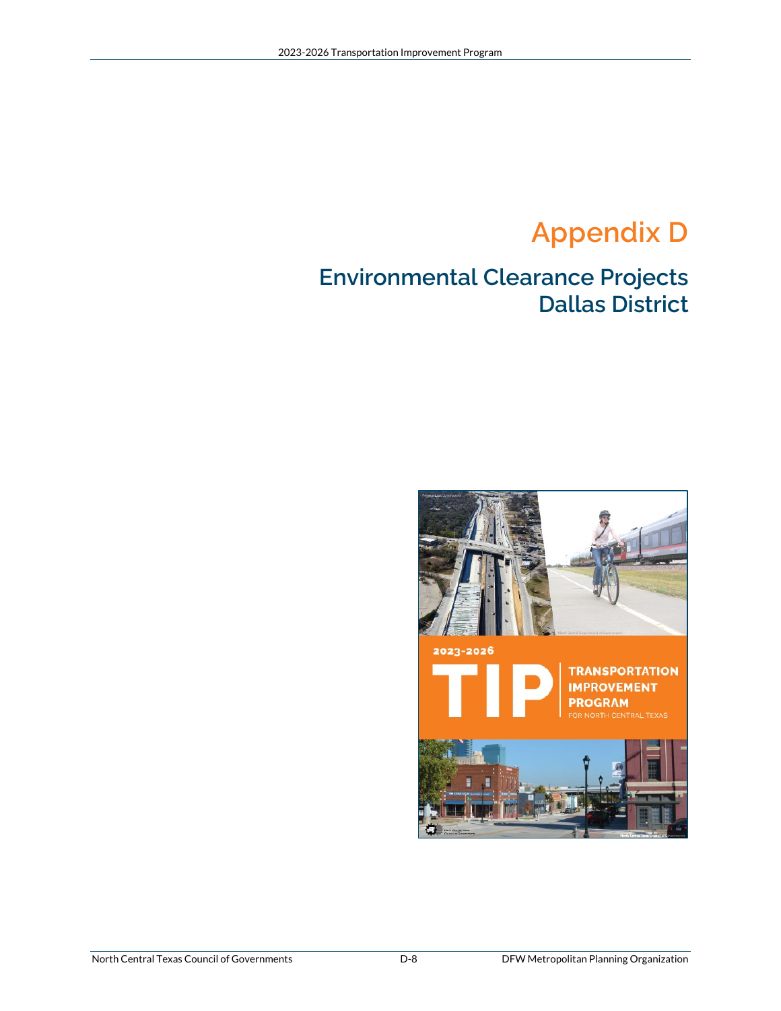# **Appendix D**

### **Environmental Clearance Projects Dallas District**

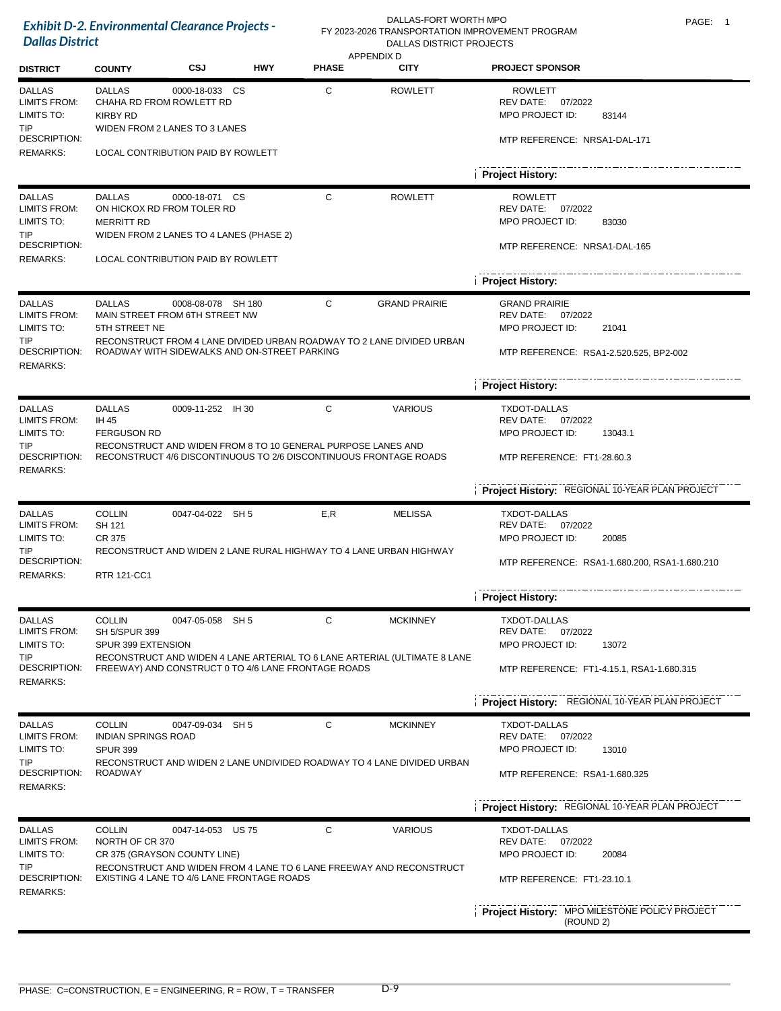| <b>Dallas District</b>                                                                              | <b>Exhibit D-2. Environmental Clearance Projects -</b>                           |                                                                                                                               |            |              | DALLAS-FORT WORTH MPO<br>FY 2023-2026 TRANSPORTATION IMPROVEMENT PROGRAM<br>DALLAS DISTRICT PROJECTS |                                                                                                                                                                     | PAGE: 1 |
|-----------------------------------------------------------------------------------------------------|----------------------------------------------------------------------------------|-------------------------------------------------------------------------------------------------------------------------------|------------|--------------|------------------------------------------------------------------------------------------------------|---------------------------------------------------------------------------------------------------------------------------------------------------------------------|---------|
| <b>DISTRICT</b>                                                                                     | <b>COUNTY</b>                                                                    | CSJ                                                                                                                           | <b>HWY</b> | <b>PHASE</b> | <b>APPENDIX D</b><br><b>CITY</b>                                                                     | <b>PROJECT SPONSOR</b>                                                                                                                                              |         |
| <b>DALLAS</b><br>LIMITS FROM:<br>LIMITS TO:<br><b>TIP</b><br>DESCRIPTION:<br><b>REMARKS:</b>        | <b>DALLAS</b><br><b>KIRBY RD</b>                                                 | 0000-18-033 CS<br>CHAHA RD FROM ROWLETT RD<br>WIDEN FROM 2 LANES TO 3 LANES<br>LOCAL CONTRIBUTION PAID BY ROWLETT             |            | C            | <b>ROWLETT</b>                                                                                       | <b>ROWLETT</b><br>REV DATE:<br>07/2022<br>MPO PROJECT ID:<br>83144<br>MTP REFERENCE: NRSA1-DAL-171<br><b>Project History:</b>                                       |         |
| <b>DALLAS</b><br>LIMITS FROM:<br>LIMITS TO:<br>TIP<br>DESCRIPTION:<br><b>REMARKS:</b>               | <b>DALLAS</b><br><b>MERRITT RD</b>                                               | 0000-18-071 CS<br>ON HICKOX RD FROM TOLER RD<br>WIDEN FROM 2 LANES TO 4 LANES (PHASE 2)<br>LOCAL CONTRIBUTION PAID BY ROWLETT |            | C            | <b>ROWLETT</b>                                                                                       | <b>ROWLETT</b><br>REV DATE: 07/2022<br>MPO PROJECT ID:<br>83030<br>MTP REFERENCE: NRSA1-DAL-165<br><b>Project History:</b>                                          |         |
| <b>DALLAS</b><br><b>LIMITS FROM:</b><br>LIMITS TO:<br>TIP<br>DESCRIPTION:<br><b>REMARKS:</b>        | <b>DALLAS</b><br>5TH STREET NE                                                   | 0008-08-078 SH 180<br>MAIN STREET FROM 6TH STREET NW<br>ROADWAY WITH SIDEWALKS AND ON-STREET PARKING                          |            | C            | <b>GRAND PRAIRIE</b><br>RECONSTRUCT FROM 4 LANE DIVIDED URBAN ROADWAY TO 2 LANE DIVIDED URBAN        | <b>GRAND PRAIRIE</b><br>REV DATE: 07/2022<br>MPO PROJECT ID:<br>21041<br>MTP REFERENCE: RSA1-2.520.525, BP2-002<br><b>Project History:</b>                          |         |
| <b>DALLAS</b><br><b>LIMITS FROM:</b><br>LIMITS TO:<br><b>TIP</b><br>DESCRIPTION:<br><b>REMARKS:</b> | <b>DALLAS</b><br>IH 45<br><b>FERGUSON RD</b>                                     | 0009-11-252 IH 30<br>RECONSTRUCT AND WIDEN FROM 8 TO 10 GENERAL PURPOSE LANES AND                                             |            | C            | <b>VARIOUS</b><br>RECONSTRUCT 4/6 DISCONTINUOUS TO 2/6 DISCONTINUOUS FRONTAGE ROADS                  | <b>TXDOT-DALLAS</b><br>REV DATE: 07/2022<br>MPO PROJECT ID:<br>13043.1<br>MTP REFERENCE: FT1-28.60.3<br>Project History: REGIONAL 10-YEAR PLAN PROJECT              |         |
| <b>DALLAS</b><br><b>LIMITS FROM:</b><br>LIMITS TO:<br>TIP<br>DESCRIPTION:<br><b>REMARKS:</b>        | <b>COLLIN</b><br>SH 121<br>CR 375<br>RTR 121-CC1                                 | 0047-04-022 SH 5                                                                                                              |            | E,R          | <b>MELISSA</b><br>RECONSTRUCT AND WIDEN 2 LANE RURAL HIGHWAY TO 4 LANE URBAN HIGHWAY                 | <b>TXDOT-DALLAS</b><br>REV DATE:<br>07/2022<br>MPO PROJECT ID:<br>20085<br>MTP REFERENCE: RSA1-1.680.200, RSA1-1.680.210<br><b>Project History:</b>                 |         |
| <b>DALLAS</b><br><b>LIMITS FROM:</b><br>LIMITS TO:<br>TIP<br>DESCRIPTION:<br><b>REMARKS:</b>        | <b>COLLIN</b><br>SH 5/SPUR 399<br>SPUR 399 EXTENSION                             | 0047-05-058 SH 5<br>FREEWAY) AND CONSTRUCT 0 TO 4/6 LANE FRONTAGE ROADS                                                       |            | C            | <b>MCKINNEY</b><br>RECONSTRUCT AND WIDEN 4 LANE ARTERIAL TO 6 LANE ARTERIAL (ULTIMATE 8 LANE         | TXDOT-DALLAS<br>REV DATE: 07/2022<br>MPO PROJECT ID:<br>13072<br>MTP REFERENCE: FT1-4.15.1, RSA1-1.680.315<br><b>Project History: REGIONAL 10-YEAR PLAN PROJECT</b> |         |
| <b>DALLAS</b><br><b>LIMITS FROM:</b><br>LIMITS TO:<br><b>TIP</b><br>DESCRIPTION:<br><b>REMARKS:</b> | <b>COLLIN</b><br><b>INDIAN SPRINGS ROAD</b><br><b>SPUR 399</b><br><b>ROADWAY</b> | 0047-09-034 SH 5                                                                                                              |            | C            | <b>MCKINNEY</b><br>RECONSTRUCT AND WIDEN 2 LANE UNDIVIDED ROADWAY TO 4 LANE DIVIDED URBAN            | TXDOT-DALLAS<br>REV DATE:<br>07/2022<br>MPO PROJECT ID:<br>13010<br>MTP REFERENCE: RSA1-1.680.325<br>Project History: REGIONAL 10-YEAR PLAN PROJECT                 |         |
| <b>DALLAS</b><br><b>LIMITS FROM:</b><br>LIMITS TO:<br><b>TIP</b><br>DESCRIPTION:<br><b>REMARKS:</b> | <b>COLLIN</b><br>NORTH OF CR 370                                                 | 0047-14-053 US 75<br>CR 375 (GRAYSON COUNTY LINE)<br>EXISTING 4 LANE TO 4/6 LANE FRONTAGE ROADS                               |            | C            | <b>VARIOUS</b><br>RECONSTRUCT AND WIDEN FROM 4 LANE TO 6 LANE FREEWAY AND RECONSTRUCT                | <b>TXDOT-DALLAS</b><br>REV DATE: 07/2022<br>MPO PROJECT ID:<br>20084<br>MTP REFERENCE: FT1-23.10.1<br>Project History: MPO MILESTONE POLICY PROJECT<br>(ROUND 2)    |         |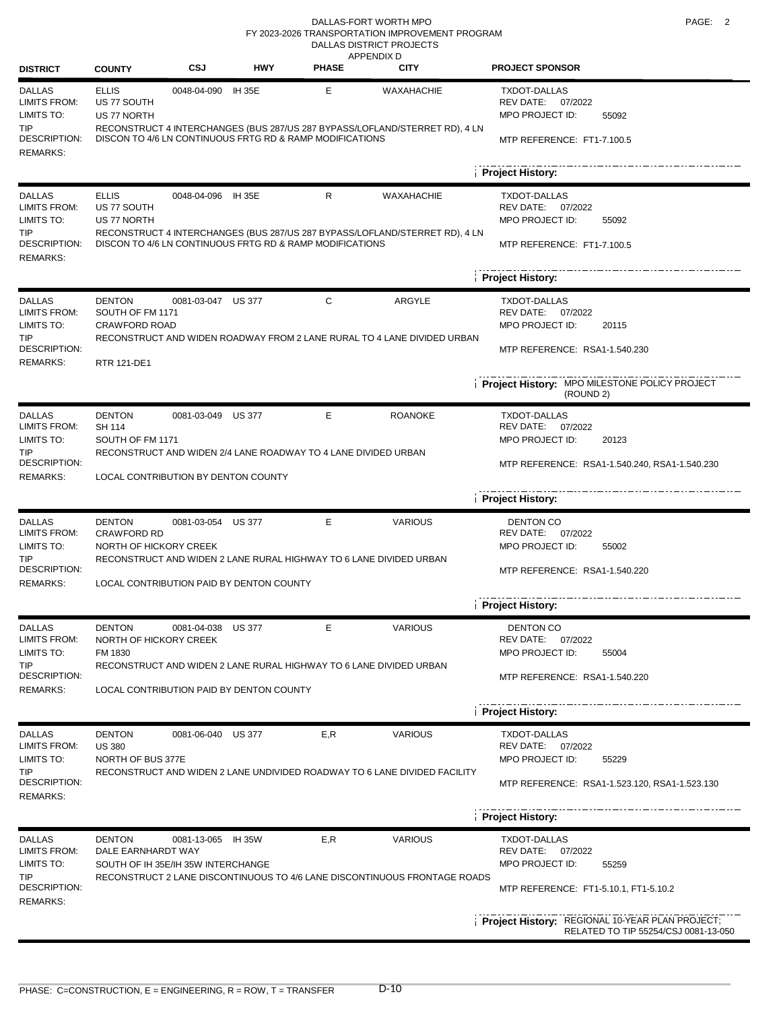#### DALLAS-FORT WORTH MPO **PAGE:** 2 DALLAS DISTRICT PROJECTS FY 2023-2026 TRANSPORTATION IMPROVEMENT PROGRAM

| <b>DISTRICT</b>                                                                  | <b>COUNTY</b>                                                       | CSJ                    | <b>HWY</b>                               | <b>PHASE</b>                                                   | <b>APPENDIX D</b><br><b>CITY</b>                                                          | <b>PROJECT SPONSOR</b>                                                                                |  |  |  |  |
|----------------------------------------------------------------------------------|---------------------------------------------------------------------|------------------------|------------------------------------------|----------------------------------------------------------------|-------------------------------------------------------------------------------------------|-------------------------------------------------------------------------------------------------------|--|--|--|--|
| <b>DALLAS</b><br><b>LIMITS FROM:</b><br>LIMITS TO:<br><b>TIP</b>                 | <b>ELLIS</b><br>US 77 SOUTH<br>US 77 NORTH                          | 0048-04-090 IH 35E     |                                          | E                                                              | WAXAHACHIE<br>RECONSTRUCT 4 INTERCHANGES (BUS 287/US 287 BYPASS/LOFLAND/STERRET RD), 4 LN | <b>TXDOT-DALLAS</b><br>REV DATE:<br>07/2022<br>MPO PROJECT ID:<br>55092                               |  |  |  |  |
| DESCRIPTION:<br><b>REMARKS:</b>                                                  |                                                                     |                        |                                          | DISCON TO 4/6 LN CONTINUOUS FRTG RD & RAMP MODIFICATIONS       |                                                                                           | MTP REFERENCE: FT1-7.100.5                                                                            |  |  |  |  |
|                                                                                  |                                                                     |                        |                                          |                                                                |                                                                                           | <b>Project History:</b>                                                                               |  |  |  |  |
| <b>DALLAS</b><br><b>LIMITS FROM:</b><br>LIMITS TO:<br><b>TIP</b><br>DESCRIPTION: | <b>ELLIS</b><br>US 77 SOUTH<br>US 77 NORTH                          | 0048-04-096            | <b>IH 35E</b>                            | R<br>DISCON TO 4/6 LN CONTINUOUS FRTG RD & RAMP MODIFICATIONS  | WAXAHACHIE<br>RECONSTRUCT 4 INTERCHANGES (BUS 287/US 287 BYPASS/LOFLAND/STERRET RD), 4 LN | <b>TXDOT-DALLAS</b><br>REV DATE:<br>07/2022<br>MPO PROJECT ID:<br>55092<br>MTP REFERENCE: FT1-7.100.5 |  |  |  |  |
| <b>REMARKS:</b>                                                                  |                                                                     |                        |                                          | <b>Project History:</b>                                        |                                                                                           |                                                                                                       |  |  |  |  |
|                                                                                  |                                                                     |                        |                                          |                                                                |                                                                                           |                                                                                                       |  |  |  |  |
| <b>DALLAS</b><br>LIMITS FROM:<br>LIMITS TO:                                      | <b>DENTON</b><br>SOUTH OF FM 1171<br><b>CRAWFORD ROAD</b>           | 0081-03-047 US 377     |                                          | C                                                              | <b>ARGYLE</b>                                                                             | <b>TXDOT-DALLAS</b><br>REV DATE:<br>07/2022<br>MPO PROJECT ID:<br>20115                               |  |  |  |  |
| <b>TIP</b>                                                                       |                                                                     |                        |                                          |                                                                | RECONSTRUCT AND WIDEN ROADWAY FROM 2 LANE RURAL TO 4 LANE DIVIDED URBAN                   |                                                                                                       |  |  |  |  |
| DESCRIPTION:<br><b>REMARKS:</b>                                                  | RTR 121-DE1                                                         |                        |                                          |                                                                |                                                                                           | MTP REFERENCE: RSA1-1.540.230                                                                         |  |  |  |  |
|                                                                                  |                                                                     |                        |                                          |                                                                |                                                                                           | Project History: MPO MILESTONE POLICY PROJECT<br>(ROUND 2)                                            |  |  |  |  |
| <b>DALLAS</b>                                                                    | <b>DENTON</b>                                                       | 0081-03-049 US 377     |                                          | Е                                                              | <b>ROANOKE</b>                                                                            | <b>TXDOT-DALLAS</b>                                                                                   |  |  |  |  |
| <b>LIMITS FROM:</b><br>LIMITS TO:                                                | SH 114<br>SOUTH OF FM 1171                                          |                        |                                          |                                                                |                                                                                           | REV DATE:<br>07/2022<br>MPO PROJECT ID:<br>20123                                                      |  |  |  |  |
| <b>TIP</b>                                                                       |                                                                     |                        |                                          | RECONSTRUCT AND WIDEN 2/4 LANE ROADWAY TO 4 LANE DIVIDED URBAN |                                                                                           |                                                                                                       |  |  |  |  |
| <b>DESCRIPTION:</b><br><b>REMARKS:</b>                                           | LOCAL CONTRIBUTION BY DENTON COUNTY                                 |                        |                                          |                                                                |                                                                                           | MTP REFERENCE: RSA1-1.540.240, RSA1-1.540.230                                                         |  |  |  |  |
|                                                                                  |                                                                     |                        |                                          |                                                                |                                                                                           | <b>Project History:</b>                                                                               |  |  |  |  |
| <b>DALLAS</b>                                                                    | <b>DENTON</b>                                                       | 0081-03-054 US 377     |                                          | E                                                              | <b>VARIOUS</b>                                                                            | <b>DENTON CO</b>                                                                                      |  |  |  |  |
| <b>LIMITS FROM:</b><br>LIMITS TO:                                                | <b>CRAWFORD RD</b>                                                  | NORTH OF HICKORY CREEK |                                          |                                                                |                                                                                           | REV DATE: 07/2022<br>MPO PROJECT ID:<br>55002                                                         |  |  |  |  |
| TIP                                                                              |                                                                     |                        |                                          |                                                                | RECONSTRUCT AND WIDEN 2 LANE RURAL HIGHWAY TO 6 LANE DIVIDED URBAN                        |                                                                                                       |  |  |  |  |
| DESCRIPTION:<br><b>REMARKS:</b>                                                  |                                                                     |                        |                                          |                                                                |                                                                                           | MTP REFERENCE: RSA1-1.540.220                                                                         |  |  |  |  |
|                                                                                  | LOCAL CONTRIBUTION PAID BY DENTON COUNTY<br><b>Project History:</b> |                        |                                          |                                                                |                                                                                           |                                                                                                       |  |  |  |  |
|                                                                                  |                                                                     |                        |                                          |                                                                |                                                                                           |                                                                                                       |  |  |  |  |
| <b>DALLAS</b><br><b>LIMITS FROM:</b>                                             | <b>DENTON</b><br>NORTH OF HICKORY CREEK                             | 0081-04-038 US 377     |                                          | Е                                                              | VARIOUS                                                                                   | DENTON CO<br>REV DATE: 07/2022                                                                        |  |  |  |  |
| LIMITS TO:                                                                       | FM 1830                                                             |                        |                                          |                                                                |                                                                                           | MPO PROJECT ID:<br>55004                                                                              |  |  |  |  |
| TIP<br><b>DESCRIPTION:</b>                                                       |                                                                     |                        |                                          |                                                                | RECONSTRUCT AND WIDEN 2 LANE RURAL HIGHWAY TO 6 LANE DIVIDED URBAN                        | MTP REFERENCE: RSA1-1.540.220                                                                         |  |  |  |  |
| <b>REMARKS:</b>                                                                  |                                                                     |                        | LOCAL CONTRIBUTION PAID BY DENTON COUNTY |                                                                |                                                                                           |                                                                                                       |  |  |  |  |
|                                                                                  |                                                                     |                        |                                          |                                                                |                                                                                           | <b>Project History:</b>                                                                               |  |  |  |  |
| <b>DALLAS</b>                                                                    | <b>DENTON</b>                                                       | 0081-06-040 US 377     |                                          | E,R                                                            | <b>VARIOUS</b>                                                                            | TXDOT-DALLAS                                                                                          |  |  |  |  |
| <b>LIMITS FROM:</b><br>LIMITS TO:                                                | <b>US 380</b><br>NORTH OF BUS 377E                                  |                        |                                          |                                                                |                                                                                           | REV DATE:<br>07/2022<br>MPO PROJECT ID:<br>55229                                                      |  |  |  |  |
| <b>TIP</b>                                                                       |                                                                     |                        |                                          |                                                                | RECONSTRUCT AND WIDEN 2 LANE UNDIVIDED ROADWAY TO 6 LANE DIVIDED FACILITY                 |                                                                                                       |  |  |  |  |
| DESCRIPTION:<br><b>REMARKS:</b>                                                  |                                                                     |                        |                                          |                                                                |                                                                                           | MTP REFERENCE: RSA1-1.523.120, RSA1-1.523.130                                                         |  |  |  |  |
|                                                                                  |                                                                     |                        |                                          |                                                                |                                                                                           | <b>Project History:</b>                                                                               |  |  |  |  |
| <b>DALLAS</b>                                                                    | <b>DENTON</b>                                                       | 0081-13-065 IH 35W     |                                          | E,R                                                            | <b>VARIOUS</b>                                                                            | <b>TXDOT-DALLAS</b>                                                                                   |  |  |  |  |
| <b>LIMITS FROM:</b>                                                              | DALE EARNHARDT WAY                                                  |                        |                                          |                                                                |                                                                                           | REV DATE: 07/2022                                                                                     |  |  |  |  |
| LIMITS TO:<br><b>TIP</b>                                                         | SOUTH OF IH 35E/IH 35W INTERCHANGE                                  |                        |                                          |                                                                | RECONSTRUCT 2 LANE DISCONTINUOUS TO 4/6 LANE DISCONTINUOUS FRONTAGE ROADS                 | MPO PROJECT ID:<br>55259                                                                              |  |  |  |  |
| DESCRIPTION:<br><b>REMARKS:</b>                                                  |                                                                     |                        |                                          |                                                                |                                                                                           | MTP REFERENCE: FT1-5.10.1, FT1-5.10.2                                                                 |  |  |  |  |
|                                                                                  |                                                                     |                        |                                          |                                                                |                                                                                           | Project History: REGIONAL 10-YEAR PLAN PROJECT;<br>RELATED TO TIP 55254/CSJ 0081-13-050               |  |  |  |  |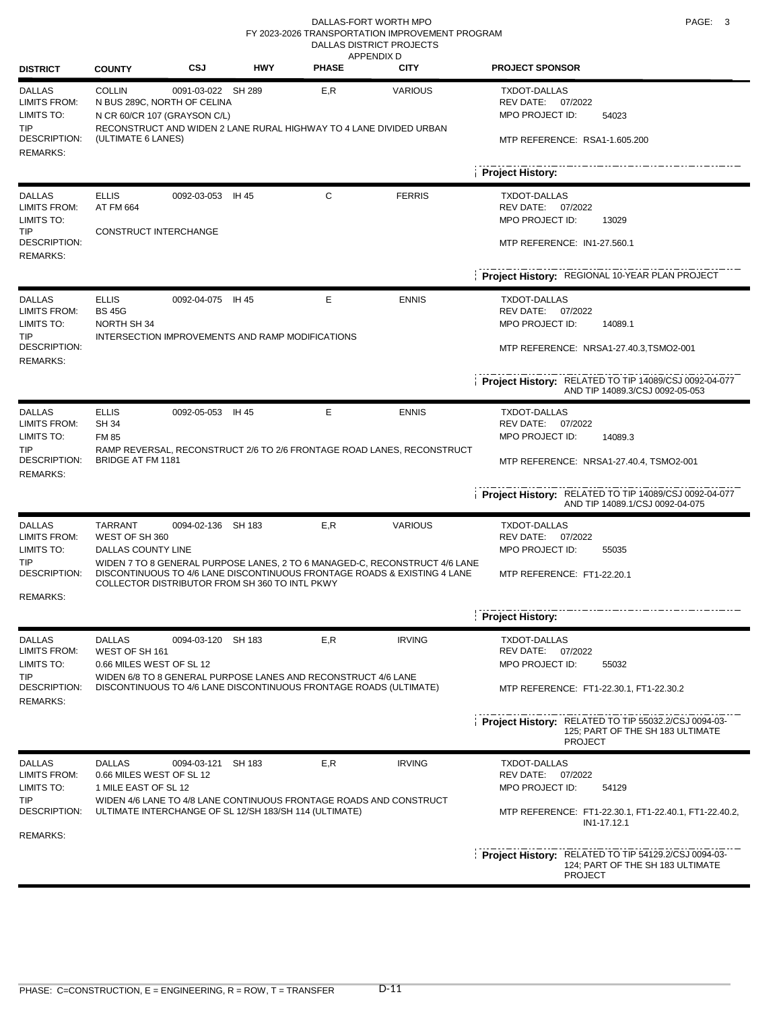#### DALLAS-FORT WORTH MPO **PAGE:** 3 RURAL PROJECTS APPENDIX D DALLAS DISTRICT PROJECTS FY 2023-2026 TRANSPORTATION IMPROVEMENT PROGRAM

| <b>DISTRICT</b>                                                                  | <b>COUNTY</b>                                                                                      | <b>CSJ</b>         | <b>HWY</b> | <b>ALLENDIAU</b><br><b>PHASE</b>                                                                                                   | <b>CITY</b>                                                                                                                                            | <b>PROJECT SPONSOR</b>                                                                                            |
|----------------------------------------------------------------------------------|----------------------------------------------------------------------------------------------------|--------------------|------------|------------------------------------------------------------------------------------------------------------------------------------|--------------------------------------------------------------------------------------------------------------------------------------------------------|-------------------------------------------------------------------------------------------------------------------|
| <b>DALLAS</b><br><b>LIMITS FROM:</b><br>LIMITS TO:<br><b>TIP</b><br>DESCRIPTION: | <b>COLLIN</b><br>N BUS 289C, NORTH OF CELINA<br>N CR 60/CR 107 (GRAYSON C/L)<br>(ULTIMATE 6 LANES) | 0091-03-022 SH 289 |            | E,R<br>RECONSTRUCT AND WIDEN 2 LANE RURAL HIGHWAY TO 4 LANE DIVIDED URBAN                                                          | <b>VARIOUS</b>                                                                                                                                         | <b>TXDOT-DALLAS</b><br>REV DATE:<br>07/2022<br>MPO PROJECT ID:<br>54023<br>MTP REFERENCE: RSA1-1.605.200          |
| <b>REMARKS:</b>                                                                  |                                                                                                    |                    |            |                                                                                                                                    |                                                                                                                                                        |                                                                                                                   |
|                                                                                  |                                                                                                    |                    |            |                                                                                                                                    |                                                                                                                                                        | <b>Project History:</b>                                                                                           |
| <b>DALLAS</b><br><b>LIMITS FROM:</b><br>LIMITS TO:<br><b>TIP</b>                 | <b>ELLIS</b><br>AT FM 664                                                                          | 0092-03-053 IH 45  |            | C                                                                                                                                  | <b>FERRIS</b>                                                                                                                                          | <b>TXDOT-DALLAS</b><br>REV DATE: 07/2022<br>MPO PROJECT ID:<br>13029                                              |
| DESCRIPTION:<br><b>REMARKS:</b>                                                  | CONSTRUCT INTERCHANGE                                                                              |                    |            |                                                                                                                                    |                                                                                                                                                        | MTP REFERENCE: IN1-27.560.1                                                                                       |
|                                                                                  |                                                                                                    |                    |            |                                                                                                                                    |                                                                                                                                                        | Project History: REGIONAL 10-YEAR PLAN PROJECT                                                                    |
| <b>DALLAS</b><br><b>LIMITS FROM:</b><br>LIMITS TO:                               | <b>ELLIS</b><br><b>BS 45G</b><br>NORTH SH 34                                                       | 0092-04-075 IH 45  |            | Е                                                                                                                                  | <b>ENNIS</b>                                                                                                                                           | <b>TXDOT-DALLAS</b><br>REV DATE:<br>07/2022<br>MPO PROJECT ID:<br>14089.1                                         |
| <b>TIP</b><br>DESCRIPTION:<br><b>REMARKS:</b>                                    | INTERSECTION IMPROVEMENTS AND RAMP MODIFICATIONS                                                   |                    |            |                                                                                                                                    |                                                                                                                                                        | MTP REFERENCE: NRSA1-27.40.3,TSMO2-001                                                                            |
|                                                                                  |                                                                                                    |                    |            |                                                                                                                                    |                                                                                                                                                        | Project History: RELATED TO TIP 14089/CSJ 0092-04-077<br>AND TIP 14089.3/CSJ 0092-05-053                          |
| <b>DALLAS</b><br><b>LIMITS FROM:</b>                                             | <b>ELLIS</b><br><b>SH 34</b>                                                                       | 0092-05-053 IH 45  |            | Е                                                                                                                                  | <b>ENNIS</b>                                                                                                                                           | <b>TXDOT-DALLAS</b><br>REV DATE:<br>07/2022                                                                       |
| LIMITS TO:<br><b>TIP</b><br>DESCRIPTION:<br><b>REMARKS:</b>                      | <b>FM 85</b><br><b>BRIDGE AT FM 1181</b>                                                           |                    |            |                                                                                                                                    | RAMP REVERSAL, RECONSTRUCT 2/6 TO 2/6 FRONTAGE ROAD LANES, RECONSTRUCT                                                                                 | MPO PROJECT ID:<br>14089.3<br>MTP REFERENCE: NRSA1-27.40.4, TSMO2-001                                             |
|                                                                                  |                                                                                                    |                    |            |                                                                                                                                    |                                                                                                                                                        | <b>Project History:</b> RELATED TO TIP 14089/CSJ 0092-04-077<br>AND TIP 14089.1/CSJ 0092-04-075                   |
| <b>DALLAS</b><br><b>LIMITS FROM:</b><br>LIMITS TO:                               | <b>TARRANT</b><br>WEST OF SH 360<br>DALLAS COUNTY LINE                                             | 0094-02-136 SH 183 |            | E, R                                                                                                                               | <b>VARIOUS</b>                                                                                                                                         | <b>TXDOT-DALLAS</b><br>REV DATE:<br>07/2022<br>MPO PROJECT ID:<br>55035                                           |
| TIP<br>DESCRIPTION:<br><b>REMARKS:</b>                                           | COLLECTOR DISTRIBUTOR FROM SH 360 TO INTL PKWY                                                     |                    |            |                                                                                                                                    | WIDEN 7 TO 8 GENERAL PURPOSE LANES, 2 TO 6 MANAGED-C, RECONSTRUCT 4/6 LANE<br>DISCONTINUOUS TO 4/6 LANE DISCONTINUOUS FRONTAGE ROADS & EXISTING 4 LANE | MTP REFERENCE: FT1-22.20.1                                                                                        |
|                                                                                  |                                                                                                    |                    |            |                                                                                                                                    |                                                                                                                                                        | <b>Project History:</b>                                                                                           |
| <b>DALLAS</b><br><b>LIMITS FROM:</b><br>LIMITS TO:                               | <b>DALLAS</b><br>WEST OF SH 161<br>0.66 MILES WEST OF SL 12                                        | 0094-03-120 SH 183 |            | E,R                                                                                                                                | <b>IRVING</b>                                                                                                                                          | <b>TXDOT-DALLAS</b><br>REV DATE:<br>07/2022<br>MPO PROJECT ID:<br>55032                                           |
| <b>TIP</b><br>DESCRIPTION:<br><b>REMARKS:</b>                                    |                                                                                                    |                    |            | WIDEN 6/8 TO 8 GENERAL PURPOSE LANES AND RECONSTRUCT 4/6 LANE<br>DISCONTINUOUS TO 4/6 LANE DISCONTINUOUS FRONTAGE ROADS (ULTIMATE) |                                                                                                                                                        | MTP REFERENCE: FT1-22.30.1, FT1-22.30.2                                                                           |
|                                                                                  |                                                                                                    |                    |            |                                                                                                                                    |                                                                                                                                                        | Project History: RELATED TO TIP 55032.2/CSJ 0094-03-<br>125; PART OF THE SH 183 ULTIMATE<br><b>PROJECT</b>        |
| <b>DALLAS</b><br><b>LIMITS FROM:</b>                                             | <b>DALLAS</b><br>0.66 MILES WEST OF SL 12                                                          | 0094-03-121 SH 183 |            | E,R                                                                                                                                | <b>IRVING</b>                                                                                                                                          | <b>TXDOT-DALLAS</b><br>REV DATE:<br>07/2022                                                                       |
| LIMITS TO:<br>TIP                                                                | 1 MILE EAST OF SL 12                                                                               |                    |            | WIDEN 4/6 LANE TO 4/8 LANE CONTINUOUS FRONTAGE ROADS AND CONSTRUCT                                                                 |                                                                                                                                                        | MPO PROJECT ID:<br>54129                                                                                          |
| DESCRIPTION:<br><b>REMARKS:</b>                                                  |                                                                                                    |                    |            | ULTIMATE INTERCHANGE OF SL 12/SH 183/SH 114 (ULTIMATE)                                                                             |                                                                                                                                                        | MTP REFERENCE: FT1-22.30.1, FT1-22.40.1, FT1-22.40.2,<br>IN1-17.12.1                                              |
|                                                                                  |                                                                                                    |                    |            |                                                                                                                                    |                                                                                                                                                        | <b>Project History:</b> RELATED TO TIP 54129.2/CSJ 0094-03-<br>124; PART OF THE SH 183 ULTIMATE<br><b>PROJECT</b> |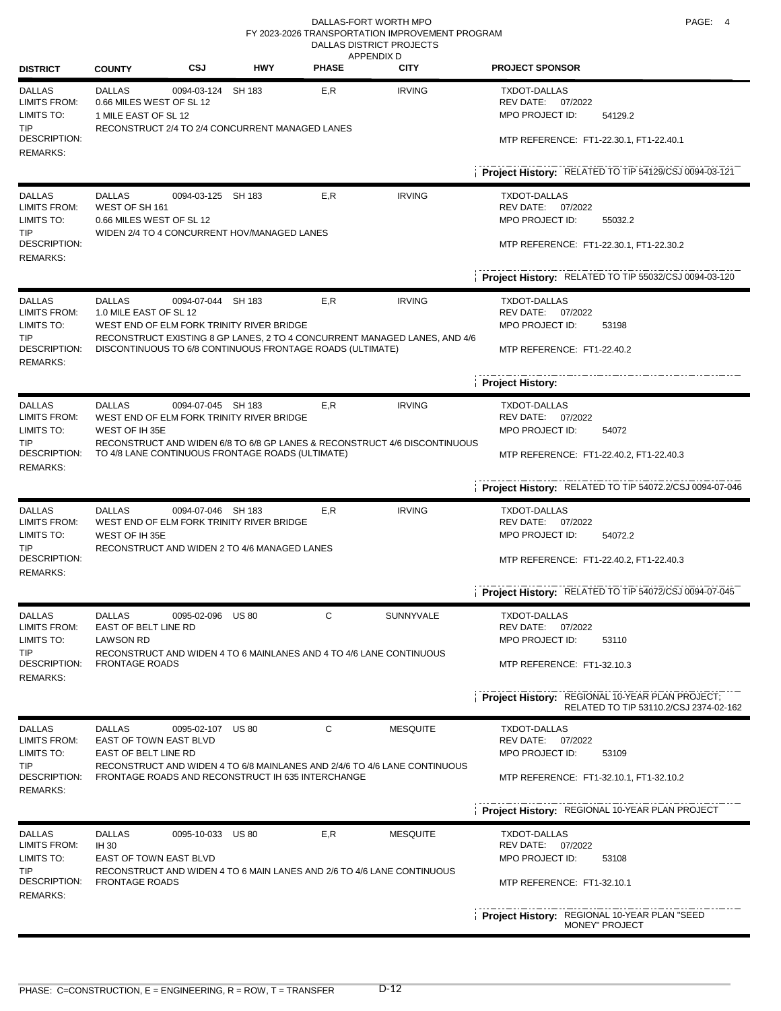#### DALLAS-FORT WORTH MPO **PAGE:** 4 RURAL PROJECTS APPENDIX D DALLAS DISTRICT PROJECTS FY 2023-2026 TRANSPORTATION IMPROVEMENT PROGRAM

| <b>DISTRICT</b>                                                                  | <b>COUNTY</b>                                                                                                                                      | <b>CSJ</b>                                | HWY                                                                    | AFFENDIA D<br><b>PHASE</b> | <b>CITY</b>                                                               | <b>PROJECT SPONSOR</b>                                                                                     |  |  |
|----------------------------------------------------------------------------------|----------------------------------------------------------------------------------------------------------------------------------------------------|-------------------------------------------|------------------------------------------------------------------------|----------------------------|---------------------------------------------------------------------------|------------------------------------------------------------------------------------------------------------|--|--|
| <b>DALLAS</b><br><b>LIMITS FROM:</b><br>LIMITS TO:<br><b>TIP</b><br>DESCRIPTION: | <b>DALLAS</b><br>0.66 MILES WEST OF SL 12<br>1 MILE EAST OF SL 12                                                                                  | 0094-03-124 SH 183                        | RECONSTRUCT 2/4 TO 2/4 CONCURRENT MANAGED LANES                        | E,R                        | <b>IRVING</b>                                                             | TXDOT-DALLAS<br>REV DATE: 07/2022<br>MPO PROJECT ID:<br>54129.2<br>MTP REFERENCE: FT1-22.30.1, FT1-22.40.1 |  |  |
| <b>REMARKS:</b>                                                                  |                                                                                                                                                    |                                           |                                                                        |                            |                                                                           | Project History: RELATED TO TIP 54129/CSJ 0094-03-121                                                      |  |  |
|                                                                                  |                                                                                                                                                    |                                           |                                                                        |                            |                                                                           |                                                                                                            |  |  |
| <b>DALLAS</b><br><b>LIMITS FROM:</b><br>LIMITS TO:<br>TIP                        | <b>DALLAS</b><br>WEST OF SH 161<br>0.66 MILES WEST OF SL 12                                                                                        | 0094-03-125 SH 183                        | WIDEN 2/4 TO 4 CONCURRENT HOV/MANAGED LANES                            | E,R                        | <b>IRVING</b>                                                             | <b>TXDOT-DALLAS</b><br>REV DATE: 07/2022<br>MPO PROJECT ID:<br>55032.2                                     |  |  |
| <b>DESCRIPTION:</b><br><b>REMARKS:</b>                                           |                                                                                                                                                    |                                           |                                                                        |                            |                                                                           | MTP REFERENCE: FT1-22.30.1, FT1-22.30.2                                                                    |  |  |
|                                                                                  |                                                                                                                                                    |                                           |                                                                        |                            |                                                                           | <b>Project History: RELATED TO TIP 55032/CSJ 0094-03-120</b>                                               |  |  |
| <b>DALLAS</b><br><b>LIMITS FROM:</b>                                             | <b>DALLAS</b><br>1.0 MILE EAST OF SL 12                                                                                                            | 0094-07-044 SH 183                        |                                                                        | E, R                       | <b>IRVING</b>                                                             | <b>TXDOT-DALLAS</b><br>REV DATE: 07/2022                                                                   |  |  |
| LIMITS TO:<br>TIP                                                                |                                                                                                                                                    |                                           | WEST END OF ELM FORK TRINITY RIVER BRIDGE                              |                            | RECONSTRUCT EXISTING 8 GP LANES, 2 TO 4 CONCURRENT MANAGED LANES, AND 4/6 | MPO PROJECT ID:<br>53198                                                                                   |  |  |
| DESCRIPTION:<br><b>REMARKS:</b>                                                  |                                                                                                                                                    |                                           | DISCONTINUOUS TO 6/8 CONTINUOUS FRONTAGE ROADS (ULTIMATE)              |                            |                                                                           | MTP REFERENCE: FT1-22.40.2                                                                                 |  |  |
|                                                                                  |                                                                                                                                                    |                                           |                                                                        |                            |                                                                           | <b>Project History:</b>                                                                                    |  |  |
| <b>DALLAS</b><br><b>LIMITS FROM:</b>                                             | <b>DALLAS</b>                                                                                                                                      | 0094-07-045 SH 183                        |                                                                        | E,R                        | <b>IRVING</b>                                                             | TXDOT-DALLAS<br>REV DATE: 07/2022                                                                          |  |  |
| LIMITS TO:<br>WEST OF IH 35E<br>TIP.<br>DESCRIPTION:<br><b>REMARKS:</b>          |                                                                                                                                                    | WEST END OF ELM FORK TRINITY RIVER BRIDGE |                                                                        |                            | MPO PROJECT ID:<br>54072                                                  |                                                                                                            |  |  |
|                                                                                  | RECONSTRUCT AND WIDEN 6/8 TO 6/8 GP LANES & RECONSTRUCT 4/6 DISCONTINUOUS<br>TO 4/8 LANE CONTINUOUS FRONTAGE ROADS (ULTIMATE)                      |                                           |                                                                        |                            |                                                                           | MTP REFERENCE: FT1-22.40.2, FT1-22.40.3                                                                    |  |  |
|                                                                                  |                                                                                                                                                    |                                           |                                                                        |                            |                                                                           | Project History: RELATED TO TIP 54072.2/CSJ 0094-07-046                                                    |  |  |
| <b>DALLAS</b><br>LIMITS FROM:<br>LIMITS TO:                                      | <b>DALLAS</b><br>0094-07-046 SH 183<br>WEST END OF ELM FORK TRINITY RIVER BRIDGE<br>WEST OF IH 35E<br>RECONSTRUCT AND WIDEN 2 TO 4/6 MANAGED LANES |                                           |                                                                        | E, R                       | <b>IRVING</b>                                                             | <b>TXDOT-DALLAS</b><br>REV DATE: 07/2022<br>MPO PROJECT ID:<br>54072.2                                     |  |  |
| TIP<br>DESCRIPTION:                                                              |                                                                                                                                                    |                                           |                                                                        |                            |                                                                           | MTP REFERENCE: FT1-22.40.2, FT1-22.40.3                                                                    |  |  |
| <b>REMARKS:</b>                                                                  |                                                                                                                                                    |                                           |                                                                        |                            |                                                                           | Project History: RELATED TO TIP 54072/CSJ 0094-07-045                                                      |  |  |
| <b>DALLAS</b>                                                                    | <b>DALLAS</b>                                                                                                                                      | 0095-02-096 US 80                         |                                                                        | С                          | <b>SUNNYVALE</b>                                                          | <b>TXDOT-DALLAS</b>                                                                                        |  |  |
| <b>LIMITS FROM:</b><br>LIMITS TO:                                                | EAST OF BELT LINE RD<br><b>LAWSON RD</b>                                                                                                           |                                           |                                                                        |                            |                                                                           | REV DATE:<br>07/2022<br>MPO PROJECT ID:<br>53110                                                           |  |  |
| TIP                                                                              |                                                                                                                                                    |                                           | RECONSTRUCT AND WIDEN 4 TO 6 MAINLANES AND 4 TO 4/6 LANE CONTINUOUS    |                            |                                                                           |                                                                                                            |  |  |
| DESCRIPTION:<br><b>REMARKS:</b>                                                  | <b>FRONTAGE ROADS</b>                                                                                                                              |                                           |                                                                        |                            |                                                                           | MTP REFERENCE: FT1-32.10.3                                                                                 |  |  |
|                                                                                  |                                                                                                                                                    |                                           |                                                                        |                            |                                                                           | Project History: REGIONAL 10-YEAR PLAN PROJECT;<br>RELATED TO TIP 53110.2/CSJ 2374-02-162                  |  |  |
| <b>DALLAS</b>                                                                    | <b>DALLAS</b>                                                                                                                                      | 0095-02-107 US 80                         |                                                                        | C                          | <b>MESQUITE</b>                                                           | <b>TXDOT-DALLAS</b>                                                                                        |  |  |
| <b>LIMITS FROM:</b><br>LIMITS TO:                                                | EAST OF TOWN EAST BLVD<br>EAST OF BELT LINE RD                                                                                                     |                                           |                                                                        |                            |                                                                           | REV DATE: 07/2022<br>MPO PROJECT ID:<br>53109                                                              |  |  |
| <b>TIP</b><br>DESCRIPTION:                                                       |                                                                                                                                                    |                                           | FRONTAGE ROADS AND RECONSTRUCT IH 635 INTERCHANGE                      |                            | RECONSTRUCT AND WIDEN 4 TO 6/8 MAINLANES AND 2/4/6 TO 4/6 LANE CONTINUOUS | MTP REFERENCE: FT1-32.10.1, FT1-32.10.2                                                                    |  |  |
| <b>REMARKS:</b>                                                                  |                                                                                                                                                    |                                           |                                                                        |                            |                                                                           | Project History: REGIONAL 10-YEAR PLAN PROJECT                                                             |  |  |
| <b>DALLAS</b>                                                                    | <b>DALLAS</b>                                                                                                                                      | 0095-10-033 US 80                         |                                                                        | E,R                        | <b>MESQUITE</b>                                                           | <b>TXDOT-DALLAS</b>                                                                                        |  |  |
| <b>LIMITS FROM:</b>                                                              | <b>IH 30</b>                                                                                                                                       |                                           |                                                                        |                            |                                                                           | REV DATE: 07/2022                                                                                          |  |  |
| LIMITS TO:<br><b>TIP</b>                                                         | EAST OF TOWN EAST BLVD                                                                                                                             |                                           | RECONSTRUCT AND WIDEN 4 TO 6 MAIN LANES AND 2/6 TO 4/6 LANE CONTINUOUS |                            |                                                                           | MPO PROJECT ID:<br>53108                                                                                   |  |  |
| DESCRIPTION:<br><b>REMARKS:</b>                                                  | <b>FRONTAGE ROADS</b>                                                                                                                              |                                           |                                                                        |                            |                                                                           | MTP REFERENCE: FT1-32.10.1                                                                                 |  |  |
|                                                                                  |                                                                                                                                                    |                                           |                                                                        |                            |                                                                           | Project History: REGIONAL 10-YEAR PLAN "SEED<br><b>MONEY" PROJECT</b>                                      |  |  |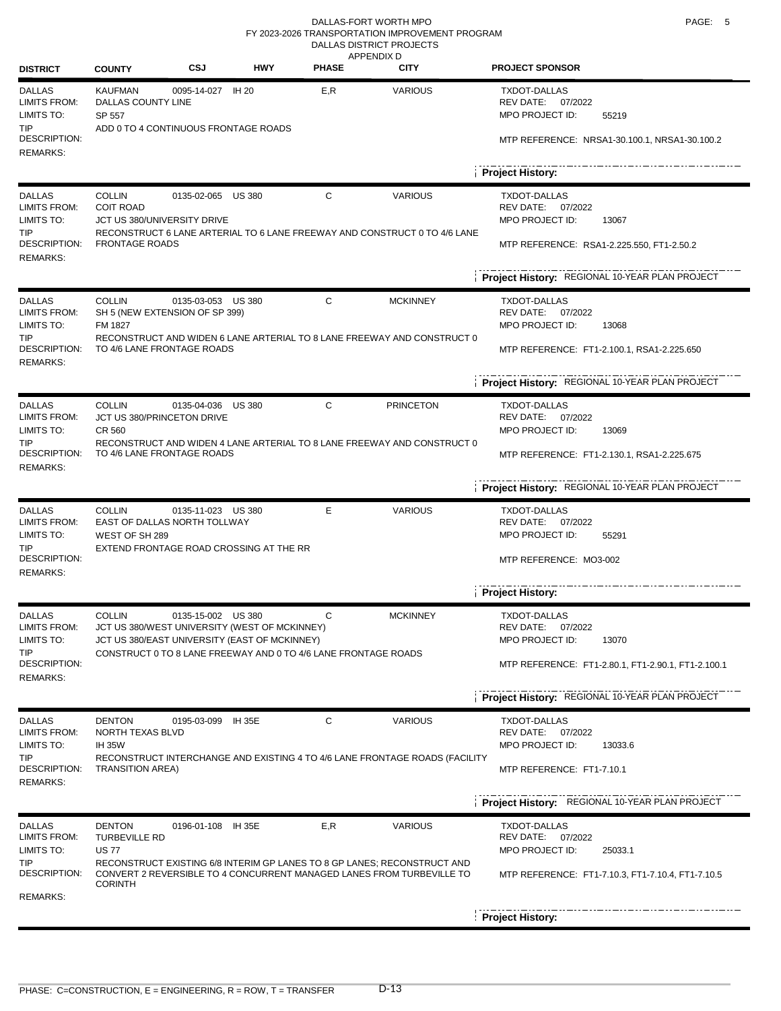#### DALLAS-FORT WORTH MPO **PAGE:** 5 RURAL PROJECTS APPENDIX D DALLAS DISTRICT PROJECTS FY 2023-2026 TRANSPORTATION IMPROVEMENT PROGRAM

| <b>DISTRICT</b>                                                  | <b>COUNTY</b>                                         | CSJ                                                                                                                  | <b>HWY</b> | <b>PHASE</b>                              | <b>CITY</b>                                                                                                                                       | <b>PROJECT SPONSOR</b>                                                    |
|------------------------------------------------------------------|-------------------------------------------------------|----------------------------------------------------------------------------------------------------------------------|------------|-------------------------------------------|---------------------------------------------------------------------------------------------------------------------------------------------------|---------------------------------------------------------------------------|
| <b>DALLAS</b><br><b>LIMITS FROM:</b><br>LIMITS TO:<br><b>TIP</b> | <b>KAUFMAN</b><br>DALLAS COUNTY LINE<br>SP 557        | 0095-14-027 IH 20<br>ADD 0 TO 4 CONTINUOUS FRONTAGE ROADS                                                            |            | E.R                                       | <b>VARIOUS</b>                                                                                                                                    | <b>TXDOT-DALLAS</b><br>REV DATE:<br>07/2022<br>MPO PROJECT ID:<br>55219   |
| <b>DESCRIPTION:</b><br><b>REMARKS:</b>                           |                                                       |                                                                                                                      |            |                                           |                                                                                                                                                   | MTP REFERENCE: NRSA1-30.100.1, NRSA1-30.100.2                             |
|                                                                  |                                                       |                                                                                                                      |            |                                           |                                                                                                                                                   | <b>Project History:</b>                                                   |
| <b>DALLAS</b><br><b>LIMITS FROM:</b><br>LIMITS TO:<br><b>TIP</b> | <b>COLLIN</b><br><b>COIT ROAD</b>                     | 0135-02-065 US 380<br>JCT US 380/UNIVERSITY DRIVE                                                                    |            | C                                         | <b>VARIOUS</b><br>RECONSTRUCT 6 LANE ARTERIAL TO 6 LANE FREEWAY AND CONSTRUCT 0 TO 4/6 LANE                                                       | <b>TXDOT-DALLAS</b><br>REV DATE: 07/2022<br>MPO PROJECT ID:<br>13067      |
| DESCRIPTION:<br><b>REMARKS:</b>                                  | <b>FRONTAGE ROADS</b>                                 |                                                                                                                      |            | MTP REFERENCE: RSA1-2.225.550, FT1-2.50.2 |                                                                                                                                                   |                                                                           |
|                                                                  |                                                       |                                                                                                                      |            |                                           | Project History: REGIONAL 10-YEAR PLAN PROJECT                                                                                                    |                                                                           |
| <b>DALLAS</b><br><b>LIMITS FROM:</b><br>LIMITS TO:               | <b>COLLIN</b><br>FM 1827                              | 0135-03-053 US 380<br>SH 5 (NEW EXTENSION OF SP 399)                                                                 |            | С                                         | <b>MCKINNEY</b>                                                                                                                                   | <b>TXDOT-DALLAS</b><br>REV DATE: 07/2022<br>MPO PROJECT ID:<br>13068      |
| <b>TIP</b><br>DESCRIPTION:<br><b>REMARKS:</b>                    |                                                       | RECONSTRUCT AND WIDEN 6 LANE ARTERIAL TO 8 LANE FREEWAY AND CONSTRUCT 0<br>TO 4/6 LANE FRONTAGE ROADS                |            |                                           | MTP REFERENCE: FT1-2.100.1, RSA1-2.225.650                                                                                                        |                                                                           |
|                                                                  |                                                       |                                                                                                                      |            |                                           | Project History: REGIONAL 10-YEAR PLAN PROJECT                                                                                                    |                                                                           |
| <b>DALLAS</b><br><b>LIMITS FROM:</b><br>LIMITS TO:               | COLLIN<br><b>CR 560</b>                               | 0135-04-036 US 380<br>JCT US 380/PRINCETON DRIVE                                                                     |            | C                                         | <b>PRINCETON</b>                                                                                                                                  | <b>TXDOT-DALLAS</b><br>REV DATE:<br>07/2022<br>MPO PROJECT ID:<br>13069   |
| TIP<br>DESCRIPTION:<br><b>REMARKS:</b>                           |                                                       | TO 4/6 LANE FRONTAGE ROADS                                                                                           |            |                                           | RECONSTRUCT AND WIDEN 4 LANE ARTERIAL TO 8 LANE FREEWAY AND CONSTRUCT 0                                                                           | MTP REFERENCE: FT1-2.130.1, RSA1-2.225.675                                |
|                                                                  |                                                       |                                                                                                                      |            |                                           |                                                                                                                                                   | Project History: REGIONAL 10-YEAR PLAN PROJECT                            |
| <b>DALLAS</b><br><b>LIMITS FROM:</b><br>LIMITS TO:               | <b>COLLIN</b><br>WEST OF SH 289                       | 0135-11-023 US 380<br>EAST OF DALLAS NORTH TOLLWAY                                                                   |            | E                                         | <b>VARIOUS</b>                                                                                                                                    | <b>TXDOT-DALLAS</b><br>REV DATE:<br>07/2022<br>MPO PROJECT ID:<br>55291   |
| TIP<br>DESCRIPTION:<br><b>REMARKS:</b>                           |                                                       | EXTEND FRONTAGE ROAD CROSSING AT THE RR                                                                              |            |                                           |                                                                                                                                                   | MTP REFERENCE: MO3-002                                                    |
|                                                                  |                                                       |                                                                                                                      |            |                                           | Project History:                                                                                                                                  |                                                                           |
| <b>DALLAS</b><br><b>LIMITS FROM:</b><br>LIMITS TO:               | <b>COLLIN</b>                                         | 0135-15-002 US 380<br>JCT US 380/WEST UNIVERSITY (WEST OF MCKINNEY)<br>JCT US 380/EAST UNIVERSITY (EAST OF MCKINNEY) |            | С                                         | <b>MCKINNEY</b>                                                                                                                                   | <b>TXDOT-DALLAS</b><br>07/2022<br>REV DATE:<br>MPO PROJECT ID:<br>13070   |
| TIP<br>DESCRIPTION:<br><b>REMARKS:</b>                           |                                                       | CONSTRUCT 0 TO 8 LANE FREEWAY AND 0 TO 4/6 LANE FRONTAGE ROADS                                                       |            |                                           |                                                                                                                                                   | MTP REFERENCE: FT1-2.80.1, FT1-2.90.1, FT1-2.100.1                        |
|                                                                  |                                                       |                                                                                                                      |            |                                           |                                                                                                                                                   | Project History: REGIONAL 10-YEAR PLAN PROJECT                            |
| <b>DALLAS</b><br><b>LIMITS FROM:</b><br>LIMITS TO:               | <b>DENTON</b><br>NORTH TEXAS BLVD<br><b>IH 35W</b>    | 0195-03-099 IH 35E                                                                                                   |            | С                                         | <b>VARIOUS</b>                                                                                                                                    | TXDOT-DALLAS<br>REV DATE: 07/2022<br>MPO PROJECT ID:<br>13033.6           |
| TIP<br>DESCRIPTION:<br><b>REMARKS:</b>                           | <b>TRANSITION AREA)</b>                               |                                                                                                                      |            |                                           | RECONSTRUCT INTERCHANGE AND EXISTING 4 TO 4/6 LANE FRONTAGE ROADS (FACILITY                                                                       | MTP REFERENCE: FT1-7.10.1                                                 |
|                                                                  |                                                       |                                                                                                                      |            |                                           |                                                                                                                                                   | Project History: REGIONAL 10-YEAR PLAN PROJECT                            |
| <b>DALLAS</b><br>LIMITS FROM:<br>LIMITS TO:                      | <b>DENTON</b><br><b>TURBEVILLE RD</b><br><b>US 77</b> | 0196-01-108 IH 35E                                                                                                   |            | E,R                                       | <b>VARIOUS</b>                                                                                                                                    | <b>TXDOT-DALLAS</b><br>REV DATE:<br>07/2022<br>MPO PROJECT ID:<br>25033.1 |
| TIP<br>DESCRIPTION:<br><b>REMARKS:</b>                           | <b>CORINTH</b>                                        |                                                                                                                      |            |                                           | RECONSTRUCT EXISTING 6/8 INTERIM GP LANES TO 8 GP LANES; RECONSTRUCT AND<br>CONVERT 2 REVERSIBLE TO 4 CONCURRENT MANAGED LANES FROM TURBEVILLE TO | MTP REFERENCE: FT1-7.10.3, FT1-7.10.4, FT1-7.10.5                         |
|                                                                  |                                                       |                                                                                                                      |            |                                           |                                                                                                                                                   | <b>Project History:</b>                                                   |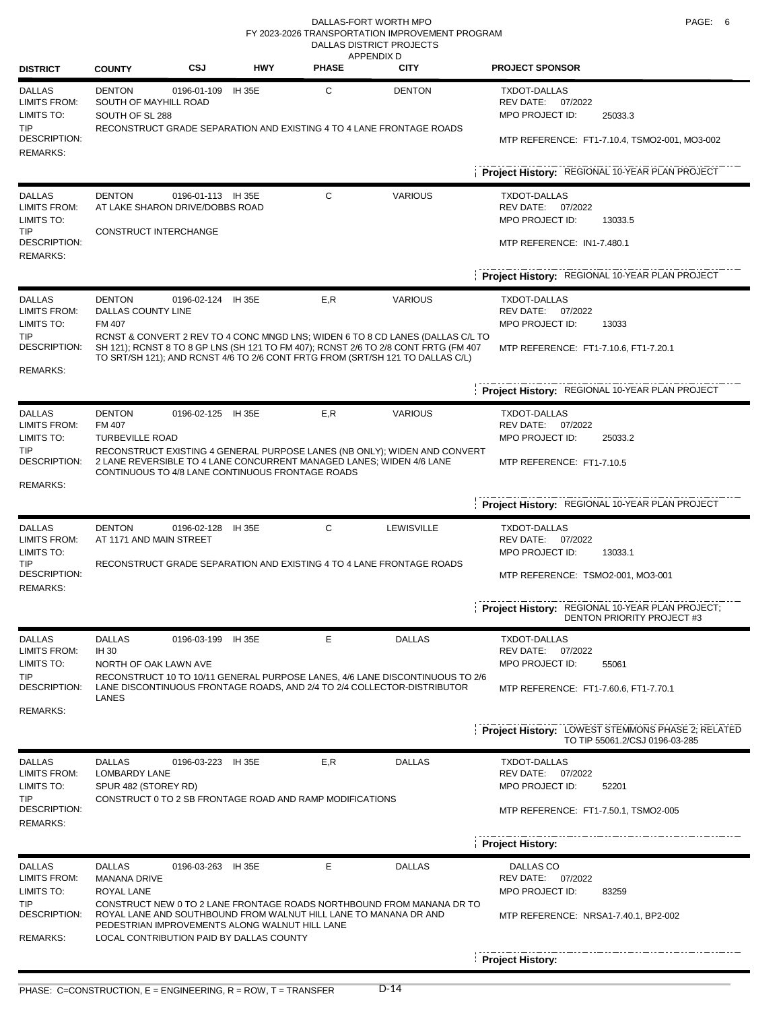#### DALLAS-FORT WORTH MPO **PAGE:** 6 DALLAS DISTRICT PROJECTS FY 2023-2026 TRANSPORTATION IMPROVEMENT PROGRAM

| <b>DISTRICT</b>                                                                                      | <b>COUNTY</b>                                             | CSJ                                                                                        | <b>HWY</b>    | <b>PHASE</b>                                                                | APPENDIX D<br><b>CITY</b>                                                                                                                                                               | <b>PROJECT SPONSOR</b>                                                                                          |
|------------------------------------------------------------------------------------------------------|-----------------------------------------------------------|--------------------------------------------------------------------------------------------|---------------|-----------------------------------------------------------------------------|-----------------------------------------------------------------------------------------------------------------------------------------------------------------------------------------|-----------------------------------------------------------------------------------------------------------------|
| <b>DALLAS</b><br><b>LIMITS FROM:</b><br>LIMITS TO:                                                   | <b>DENTON</b><br>SOUTH OF MAYHILL ROAD<br>SOUTH OF SL 288 | 0196-01-109                                                                                | <b>IH 35E</b> | C                                                                           | <b>DENTON</b>                                                                                                                                                                           | <b>TXDOT-DALLAS</b><br>REV DATE: 07/2022<br>MPO PROJECT ID:<br>25033.3                                          |
| TIP<br>DESCRIPTION:<br><b>REMARKS:</b>                                                               |                                                           |                                                                                            |               |                                                                             | RECONSTRUCT GRADE SEPARATION AND EXISTING 4 TO 4 LANE FRONTAGE ROADS                                                                                                                    | MTP REFERENCE: FT1-7.10.4, TSMO2-001, MO3-002                                                                   |
|                                                                                                      |                                                           |                                                                                            |               |                                                                             |                                                                                                                                                                                         | Project History: REGIONAL 10-YEAR PLAN PROJECT                                                                  |
| <b>DALLAS</b><br><b>LIMITS FROM:</b><br>LIMITS TO:<br>TIP.<br><b>DESCRIPTION:</b><br><b>REMARKS:</b> | <b>DENTON</b><br>CONSTRUCT INTERCHANGE                    | 0196-01-113 IH 35E<br>AT LAKE SHARON DRIVE/DOBBS ROAD                                      |               | C                                                                           | <b>VARIOUS</b>                                                                                                                                                                          | TXDOT-DALLAS<br>REV DATE: 07/2022<br>MPO PROJECT ID:<br>13033.5<br>MTP REFERENCE: IN1-7.480.1                   |
|                                                                                                      |                                                           |                                                                                            |               |                                                                             |                                                                                                                                                                                         | Project History: REGIONAL 10-YEAR PLAN PROJECT                                                                  |
| <b>DALLAS</b><br><b>LIMITS FROM:</b><br>LIMITS TO:<br>TIP<br>DESCRIPTION:                            | <b>DENTON</b><br>DALLAS COUNTY LINE<br>FM 407             | 0196-02-124 IH 35E                                                                         |               | E,R                                                                         | <b>VARIOUS</b><br>RCNST & CONVERT 2 REV TO 4 CONC MNGD LNS; WIDEN 6 TO 8 CD LANES (DALLAS C/L TO<br>SH 121); RCNST 8 TO 8 GP LNS (SH 121 TO FM 407); RCNST 2/6 TO 2/8 CONT FRTG (FM 407 | <b>TXDOT-DALLAS</b><br>REV DATE: 07/2022<br>MPO PROJECT ID:<br>13033<br>MTP REFERENCE: FT1-7.10.6, FT1-7.20.1   |
| <b>REMARKS:</b>                                                                                      |                                                           |                                                                                            |               |                                                                             | TO SRT/SH 121); AND RCNST 4/6 TO 2/6 CONT FRTG FROM (SRT/SH 121 TO DALLAS C/L)                                                                                                          |                                                                                                                 |
|                                                                                                      |                                                           |                                                                                            |               |                                                                             |                                                                                                                                                                                         | Project History: REGIONAL 10-YEAR PLAN PROJECT                                                                  |
| <b>DALLAS</b><br><b>LIMITS FROM:</b><br>LIMITS TO:<br>TIP<br>DESCRIPTION:                            | <b>DENTON</b><br>FM 407<br><b>TURBEVILLE ROAD</b>         | 0196-02-125 IH 35E<br>CONTINUOUS TO 4/8 LANE CONTINUOUS FRONTAGE ROADS                     |               | E,R<br>2 LANE REVERSIBLE TO 4 LANE CONCURRENT MANAGED LANES; WIDEN 4/6 LANE | <b>VARIOUS</b><br>RECONSTRUCT EXISTING 4 GENERAL PURPOSE LANES (NB ONLY); WIDEN AND CONVERT                                                                                             | <b>TXDOT-DALLAS</b><br>REV DATE: 07/2022<br>MPO PROJECT ID:<br>25033.2<br>MTP REFERENCE: FT1-7.10.5             |
| <b>REMARKS:</b>                                                                                      |                                                           |                                                                                            |               |                                                                             |                                                                                                                                                                                         | Project History: REGIONAL 10-YEAR PLAN PROJECT                                                                  |
| <b>DALLAS</b><br><b>LIMITS FROM:</b><br>LIMITS TO:<br>TIP<br><b>DESCRIPTION:</b>                     | <b>DENTON</b><br>AT 1171 AND MAIN STREET                  | 0196-02-128                                                                                | <b>IH 35E</b> | C<br>RECONSTRUCT GRADE SEPARATION AND EXISTING 4 TO 4 LANE FRONTAGE ROADS   | <b>TXDOT-DALLAS</b><br>REV DATE: 07/2022<br>MPO PROJECT ID:<br>13033.1<br>MTP REFERENCE: TSMO2-001, MO3-001                                                                             |                                                                                                                 |
| <b>REMARKS:</b>                                                                                      |                                                           |                                                                                            |               |                                                                             | Project History: REGIONAL 10-YEAR PLAN PROJECT;<br><b>DENTON PRIORITY PROJECT #3</b>                                                                                                    |                                                                                                                 |
| <b>DALLAS</b><br><b>LIMITS FROM:</b><br>LIMITS TO:<br>TIP                                            | <b>DALLAS</b><br><b>IH 30</b><br>NORTH OF OAK LAWN AVE    | 0196-03-199 IH 35E                                                                         |               | E                                                                           | <b>DALLAS</b><br>RECONSTRUCT 10 TO 10/11 GENERAL PURPOSE LANES, 4/6 LANE DISCONTINUOUS TO 2/6                                                                                           | TXDOT-DALLAS<br>REV DATE:<br>07/2022<br>MPO PROJECT ID:<br>55061                                                |
| <b>DESCRIPTION:</b><br>REMARKS:                                                                      | LANES                                                     |                                                                                            |               |                                                                             | LANE DISCONTINUOUS FRONTAGE ROADS, AND 2/4 TO 2/4 COLLECTOR-DISTRIBUTOR                                                                                                                 | MTP REFERENCE: FT1-7.60.6, FT1-7.70.1                                                                           |
|                                                                                                      |                                                           |                                                                                            |               |                                                                             |                                                                                                                                                                                         | <b>Project History: LOWEST STEMMONS PHASE 2; RELATED</b><br>TO TIP 55061.2/CSJ 0196-03-285                      |
| <b>DALLAS</b><br><b>LIMITS FROM:</b><br>LIMITS TO:<br>TIP<br>DESCRIPTION:                            | <b>DALLAS</b><br>LOMBARDY LANE<br>SPUR 482 (STOREY RD)    | 0196-03-223 IH 35E                                                                         |               | E,R<br>CONSTRUCT 0 TO 2 SB FRONTAGE ROAD AND RAMP MODIFICATIONS             | <b>DALLAS</b>                                                                                                                                                                           | <b>TXDOT-DALLAS</b><br>REV DATE:<br>07/2022<br>MPO PROJECT ID:<br>52201<br>MTP REFERENCE: FT1-7.50.1, TSMO2-005 |
| <b>REMARKS:</b>                                                                                      |                                                           |                                                                                            |               |                                                                             |                                                                                                                                                                                         |                                                                                                                 |
|                                                                                                      |                                                           |                                                                                            |               |                                                                             |                                                                                                                                                                                         | <b>Project History:</b>                                                                                         |
| <b>DALLAS</b><br><b>LIMITS FROM:</b>                                                                 | <b>DALLAS</b><br><b>MANANA DRIVE</b>                      | 0196-03-263 IH 35E                                                                         |               | E                                                                           | <b>DALLAS</b>                                                                                                                                                                           | DALLAS CO<br>REV DATE:<br>07/2022                                                                               |
| LIMITS TO:<br>TIP<br>DESCRIPTION:<br>REMARKS:                                                        | ROYAL LANE                                                | PEDESTRIAN IMPROVEMENTS ALONG WALNUT HILL LANE<br>LOCAL CONTRIBUTION PAID BY DALLAS COUNTY |               | ROYAL LANE AND SOUTHBOUND FROM WALNUT HILL LANE TO MANANA DR AND            | CONSTRUCT NEW 0 TO 2 LANE FRONTAGE ROADS NORTHBOUND FROM MANANA DR TO                                                                                                                   | MPO PROJECT ID:<br>83259<br>MTP REFERENCE: NRSA1-7.40.1, BP2-002                                                |
|                                                                                                      |                                                           |                                                                                            |               |                                                                             |                                                                                                                                                                                         | <b>Project History:</b>                                                                                         |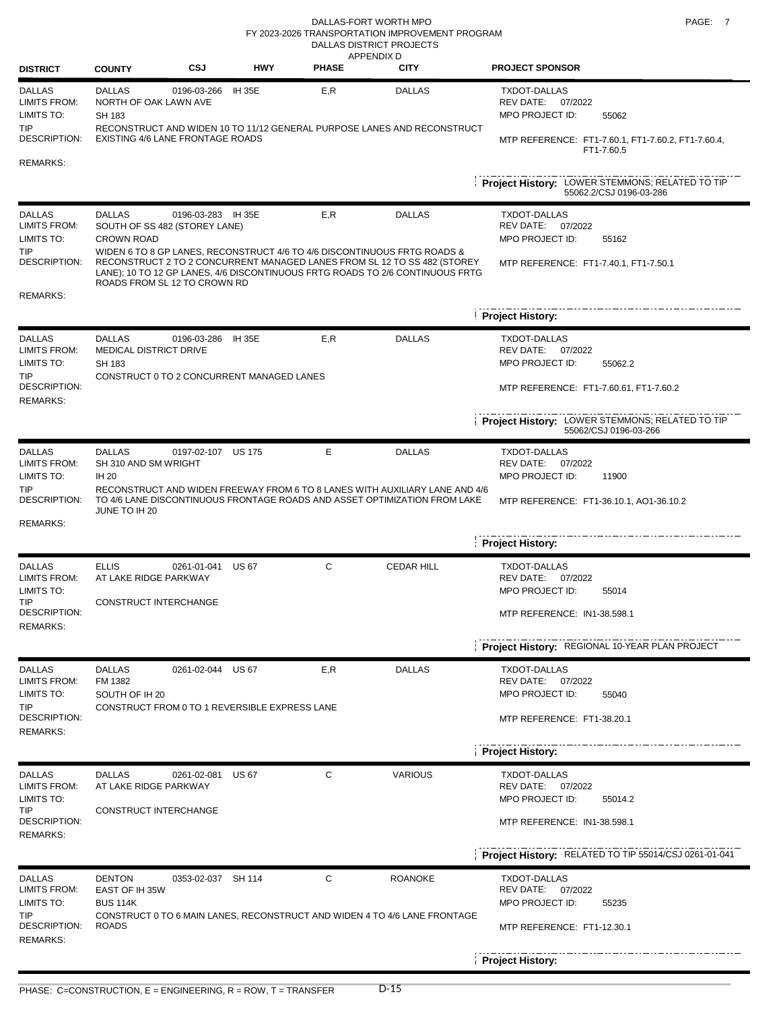#### DALLAS-FORT WORTH MPO **PAGE:** 7 DALLAS DISTRICT PROJECTS FY 2023-2026 TRANSPORTATION IMPROVEMENT PROGRAM

| <b>DISTRICT</b>                                                                                     | <b>COUNTY</b>                                                                                       | <b>CSJ</b>         | <b>HWY</b>    | <b>APPENDIX D</b><br><b>PHASE</b> | <b>CITY</b>                                                                                                                                                                                                                                            | <b>PROJECT SPONSOR</b>                                                                                                  |
|-----------------------------------------------------------------------------------------------------|-----------------------------------------------------------------------------------------------------|--------------------|---------------|-----------------------------------|--------------------------------------------------------------------------------------------------------------------------------------------------------------------------------------------------------------------------------------------------------|-------------------------------------------------------------------------------------------------------------------------|
| <b>DALLAS</b><br>LIMITS FROM:<br>LIMITS TO:                                                         | <b>DALLAS</b><br>NORTH OF OAK LAWN AVE<br>SH 183                                                    | 0196-03-266        | <b>IH 35E</b> | E,R                               | <b>DALLAS</b>                                                                                                                                                                                                                                          | <b>TXDOT-DALLAS</b><br>REV DATE:<br>07/2022<br>MPO PROJECT ID:<br>55062                                                 |
| TIP<br>DESCRIPTION:<br>REMARKS:                                                                     | EXISTING 4/6 LANE FRONTAGE ROADS                                                                    |                    |               |                                   | RECONSTRUCT AND WIDEN 10 TO 11/12 GENERAL PURPOSE LANES AND RECONSTRUCT                                                                                                                                                                                | MTP REFERENCE: FT1-7.60.1, FT1-7.60.2, FT1-7.60.4,<br>FT1-7.60.5                                                        |
|                                                                                                     |                                                                                                     |                    |               |                                   |                                                                                                                                                                                                                                                        | Project History: LOWER STEMMONS; RELATED TO TIP<br>55062.2/CSJ 0196-03-286                                              |
| <b>DALLAS</b><br>LIMITS FROM:<br>LIMITS TO:<br>TIP<br>DESCRIPTION:                                  | <b>DALLAS</b><br>SOUTH OF SS 482 (STOREY LANE)<br><b>CROWN ROAD</b><br>ROADS FROM SL 12 TO CROWN RD | 0196-03-283 IH 35E |               | E,R                               | <b>DALLAS</b><br>WIDEN 6 TO 8 GP LANES, RECONSTRUCT 4/6 TO 4/6 DISCONTINUOUS FRTG ROADS &<br>RECONSTRUCT 2 TO 2 CONCURRENT MANAGED LANES FROM SL 12 TO SS 482 (STOREY<br>LANE); 10 TO 12 GP LANES, 4/6 DISCONTINUOUS FRTG ROADS TO 2/6 CONTINUOUS FRTG | <b>TXDOT-DALLAS</b><br><b>REV DATE:</b><br>07/2022<br>MPO PROJECT ID:<br>55162<br>MTP REFERENCE: FT1-7.40.1, FT1-7.50.1 |
| <b>REMARKS:</b>                                                                                     |                                                                                                     |                    |               |                                   |                                                                                                                                                                                                                                                        | <b>Project History:</b>                                                                                                 |
| <b>DALLAS</b><br><b>LIMITS FROM:</b><br>LIMITS TO:<br>TIP                                           | <b>DALLAS</b><br>MEDICAL DISTRICT DRIVE<br>SH 183<br>CONSTRUCT 0 TO 2 CONCURRENT MANAGED LANES      | 0196-03-286 IH 35E |               | E, R                              | <b>DALLAS</b>                                                                                                                                                                                                                                          | <b>TXDOT-DALLAS</b><br>REV DATE: 07/2022<br>MPO PROJECT ID:<br>55062.2                                                  |
| DESCRIPTION:<br><b>REMARKS:</b>                                                                     |                                                                                                     |                    |               |                                   |                                                                                                                                                                                                                                                        | MTP REFERENCE: FT1-7.60.61, FT1-7.60.2                                                                                  |
|                                                                                                     |                                                                                                     |                    |               |                                   |                                                                                                                                                                                                                                                        | Project History: LOWER STEMMONS; RELATED TO TIP<br>55062/CSJ 0196-03-266                                                |
| <b>DALLAS</b><br>LIMITS FROM:<br>LIMITS TO:<br><b>TIP</b><br>DESCRIPTION:                           | <b>DALLAS</b><br>SH 310 AND SM WRIGHT<br><b>IH 20</b><br>JUNE TO IH 20                              | 0197-02-107 US 175 |               | Е                                 | <b>DALLAS</b><br>RECONSTRUCT AND WIDEN FREEWAY FROM 6 TO 8 LANES WITH AUXILIARY LANE AND 4/6<br>TO 4/6 LANE DISCONTINUOUS FRONTAGE ROADS AND ASSET OPTIMIZATION FROM LAKE                                                                              | <b>TXDOT-DALLAS</b><br>REV DATE:<br>07/2022<br>MPO PROJECT ID:<br>11900<br>MTP REFERENCE: FT1-36.10.1, AO1-36.10.2      |
| <b>REMARKS:</b>                                                                                     |                                                                                                     |                    |               |                                   |                                                                                                                                                                                                                                                        | <b>Project History:</b>                                                                                                 |
| <b>DALLAS</b><br><b>LIMITS FROM:</b><br>LIMITS TO:<br><b>TIP</b><br>DESCRIPTION:<br><b>REMARKS:</b> | <b>ELLIS</b><br>AT LAKE RIDGE PARKWAY<br>CONSTRUCT INTERCHANGE                                      | 0261-01-041 US 67  |               | C                                 | <b>CEDAR HILL</b>                                                                                                                                                                                                                                      | TXDOT-DALLAS<br>REV DATE:<br>07/2022<br>MPO PROJECT ID:<br>55014<br>MTP REFERENCE: IN1-38.598.1                         |
|                                                                                                     |                                                                                                     |                    |               |                                   |                                                                                                                                                                                                                                                        | Project History: REGIONAL 10-YEAR PLAN PROJECT                                                                          |
| <b>DALLAS</b><br><b>LIMITS FROM:</b><br>LIMITS TO:<br><b>TIP</b>                                    | <b>DALLAS</b><br>FM 1382<br>SOUTH OF IH 20<br>CONSTRUCT FROM 0 TO 1 REVERSIBLE EXPRESS LANE         | 0261-02-044 US 67  |               | E,R                               | <b>DALLAS</b>                                                                                                                                                                                                                                          | TXDOT-DALLAS<br>REV DATE: 07/2022<br>MPO PROJECT ID:<br>55040                                                           |
| DESCRIPTION:<br><b>REMARKS:</b>                                                                     |                                                                                                     |                    |               |                                   |                                                                                                                                                                                                                                                        | MTP REFERENCE: FT1-38.20.1                                                                                              |
|                                                                                                     |                                                                                                     |                    |               |                                   |                                                                                                                                                                                                                                                        | <b>Project History:</b>                                                                                                 |
| <b>DALLAS</b><br><b>LIMITS FROM:</b><br>LIMITS TO:                                                  | <b>DALLAS</b><br>AT LAKE RIDGE PARKWAY                                                              | 0261-02-081 US 67  |               | С                                 | <b>VARIOUS</b>                                                                                                                                                                                                                                         | TXDOT-DALLAS<br>REV DATE:<br>07/2022<br>MPO PROJECT ID:<br>55014.2                                                      |
| TIP<br>DESCRIPTION:<br><b>REMARKS:</b>                                                              | CONSTRUCT INTERCHANGE                                                                               |                    |               |                                   |                                                                                                                                                                                                                                                        | MTP REFERENCE: IN1-38.598.1                                                                                             |
|                                                                                                     |                                                                                                     |                    |               |                                   |                                                                                                                                                                                                                                                        | Project History: RELATED TO TIP 55014/CSJ 0261-01-041                                                                   |
| <b>DALLAS</b><br><b>LIMITS FROM:</b><br>LIMITS TO:<br>TIP                                           | <b>DENTON</b><br>EAST OF IH 35W<br><b>BUS 114K</b>                                                  | 0353-02-037 SH 114 |               | С                                 | <b>ROANOKE</b><br>CONSTRUCT 0 TO 6 MAIN LANES, RECONSTRUCT AND WIDEN 4 TO 4/6 LANE FRONTAGE                                                                                                                                                            | TXDOT-DALLAS<br>REV DATE: 07/2022<br>MPO PROJECT ID:<br>55235                                                           |
| DESCRIPTION:<br><b>REMARKS:</b>                                                                     | <b>ROADS</b>                                                                                        |                    |               |                                   |                                                                                                                                                                                                                                                        | MTP REFERENCE: FT1-12.30.1<br>Project History:                                                                          |
|                                                                                                     |                                                                                                     |                    |               |                                   |                                                                                                                                                                                                                                                        |                                                                                                                         |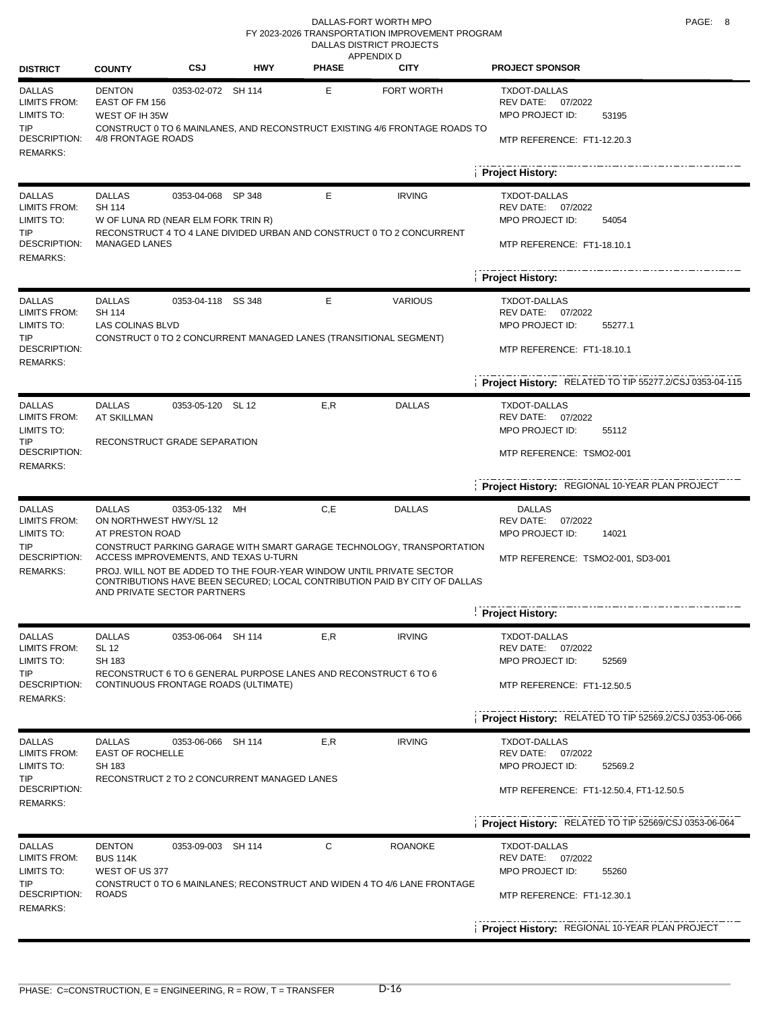#### DALLAS-FORT WORTH MPO **PAGE:** 8 DALLAS DISTRICT PROJECTS FY 2023-2026 TRANSPORTATION IMPROVEMENT PROGRAM

|                                                                                                     |                                                                                                                                    |                    |            |              | <b>APPENDIX D</b>                                                                                                                                                                                                                            |                                                                                                                                                                               |
|-----------------------------------------------------------------------------------------------------|------------------------------------------------------------------------------------------------------------------------------------|--------------------|------------|--------------|----------------------------------------------------------------------------------------------------------------------------------------------------------------------------------------------------------------------------------------------|-------------------------------------------------------------------------------------------------------------------------------------------------------------------------------|
| <b>DISTRICT</b>                                                                                     | <b>COUNTY</b>                                                                                                                      | CSJ                | <b>HWY</b> | <b>PHASE</b> | <b>CITY</b>                                                                                                                                                                                                                                  | <b>PROJECT SPONSOR</b>                                                                                                                                                        |
| <b>DALLAS</b><br>LIMITS FROM:<br>LIMITS TO:<br>TIP<br><b>DESCRIPTION:</b><br><b>REMARKS:</b>        | <b>DENTON</b><br>EAST OF FM 156<br>WEST OF IH 35W<br>4/8 FRONTAGE ROADS                                                            | 0353-02-072 SH 114 |            | Е            | FORT WORTH<br>CONSTRUCT 0 TO 6 MAINLANES, AND RECONSTRUCT EXISTING 4/6 FRONTAGE ROADS TO                                                                                                                                                     | <b>TXDOT-DALLAS</b><br>REV DATE:<br>07/2022<br>MPO PROJECT ID:<br>53195<br>MTP REFERENCE: FT1-12.20.3                                                                         |
|                                                                                                     |                                                                                                                                    |                    |            |              |                                                                                                                                                                                                                                              | <b>Project History:</b>                                                                                                                                                       |
| <b>DALLAS</b><br>LIMITS FROM:<br>LIMITS TO:<br>TIP.<br><b>DESCRIPTION:</b><br><b>REMARKS:</b>       | <b>DALLAS</b><br>SH 114<br>W OF LUNA RD (NEAR ELM FORK TRIN R)<br><b>MANAGED LANES</b>                                             | 0353-04-068 SP 348 |            | Е            | <b>IRVING</b><br>RECONSTRUCT 4 TO 4 LANE DIVIDED URBAN AND CONSTRUCT 0 TO 2 CONCURRENT                                                                                                                                                       | <b>TXDOT-DALLAS</b><br>REV DATE:<br>07/2022<br>MPO PROJECT ID:<br>54054<br>MTP REFERENCE: FT1-18.10.1                                                                         |
|                                                                                                     |                                                                                                                                    |                    |            |              |                                                                                                                                                                                                                                              | <b>Project History:</b>                                                                                                                                                       |
| <b>DALLAS</b><br>LIMITS FROM:<br>LIMITS TO:<br>TIP<br>DESCRIPTION:<br><b>REMARKS:</b>               | <b>DALLAS</b><br><b>SH 114</b><br><b>LAS COLINAS BLVD</b>                                                                          | 0353-04-118 SS 348 |            | Е            | <b>VARIOUS</b><br>CONSTRUCT 0 TO 2 CONCURRENT MANAGED LANES (TRANSITIONAL SEGMENT)                                                                                                                                                           | <b>TXDOT-DALLAS</b><br>REV DATE:<br>07/2022<br>MPO PROJECT ID:<br>55277.1<br>MTP REFERENCE: FT1-18.10.1                                                                       |
|                                                                                                     |                                                                                                                                    |                    |            |              |                                                                                                                                                                                                                                              | Project History: RELATED TO TIP 55277.2/CSJ 0353-04-115                                                                                                                       |
| <b>DALLAS</b><br><b>LIMITS FROM:</b><br>LIMITS TO:<br>TIP<br><b>DESCRIPTION:</b><br><b>REMARKS:</b> | <b>DALLAS</b><br>AT SKILLMAN<br>RECONSTRUCT GRADE SEPARATION                                                                       | 0353-05-120 SL 12  |            | E, R         | <b>DALLAS</b>                                                                                                                                                                                                                                | <b>TXDOT-DALLAS</b><br>REV DATE: 07/2022<br>MPO PROJECT ID:<br>55112<br>MTP REFERENCE: TSMO2-001                                                                              |
|                                                                                                     |                                                                                                                                    |                    |            |              |                                                                                                                                                                                                                                              | Project History: REGIONAL 10-YEAR PLAN PROJECT                                                                                                                                |
| <b>DALLAS</b><br>LIMITS FROM:<br>LIMITS TO:<br><b>TIP</b><br>DESCRIPTION:<br><b>REMARKS:</b>        | <b>DALLAS</b><br>ON NORTHWEST HWY/SL 12<br>AT PRESTON ROAD<br>ACCESS IMPROVEMENTS, AND TEXAS U-TURN<br>AND PRIVATE SECTOR PARTNERS | 0353-05-132        | MH         | C,E          | <b>DALLAS</b><br>CONSTRUCT PARKING GARAGE WITH SMART GARAGE TECHNOLOGY, TRANSPORTATION<br>PROJ. WILL NOT BE ADDED TO THE FOUR-YEAR WINDOW UNTIL PRIVATE SECTOR<br>CONTRIBUTIONS HAVE BEEN SECURED; LOCAL CONTRIBUTION PAID BY CITY OF DALLAS | <b>DALLAS</b><br>REV DATE:<br>07/2022<br>MPO PROJECT ID:<br>14021<br>MTP REFERENCE: TSMO2-001, SD3-001                                                                        |
|                                                                                                     |                                                                                                                                    |                    |            |              |                                                                                                                                                                                                                                              | <b>Project History:</b>                                                                                                                                                       |
| <b>DALLAS</b><br><b>LIMITS FROM:</b><br>LIMITS TO:<br>TIP<br>DESCRIPTION:<br><b>REMARKS:</b>        | <b>DALLAS</b><br><b>SL 12</b><br>SH 183<br>CONTINUOUS FRONTAGE ROADS (ULTIMATE)                                                    | 0353-06-064 SH 114 |            | E,R          | <b>IRVING</b><br>RECONSTRUCT 6 TO 6 GENERAL PURPOSE LANES AND RECONSTRUCT 6 TO 6                                                                                                                                                             | TXDOT-DALLAS<br>REV DATE:<br>07/2022<br>MPO PROJECT ID:<br>52569<br>MTP REFERENCE: FT1-12.50.5                                                                                |
|                                                                                                     |                                                                                                                                    |                    |            |              |                                                                                                                                                                                                                                              | Project History: RELATED TO TIP 52569.2/CSJ 0353-06-066                                                                                                                       |
| <b>DALLAS</b><br><b>LIMITS FROM:</b><br>LIMITS TO:<br>TIP<br>DESCRIPTION:<br><b>REMARKS:</b>        | <b>DALLAS</b><br><b>EAST OF ROCHELLE</b><br>SH 183<br>RECONSTRUCT 2 TO 2 CONCURRENT MANAGED LANES                                  | 0353-06-066 SH 114 |            | E,R          | <b>IRVING</b>                                                                                                                                                                                                                                | <b>TXDOT-DALLAS</b><br>REV DATE:<br>07/2022<br>MPO PROJECT ID:<br>52569.2<br>MTP REFERENCE: FT1-12.50.4, FT1-12.50.5<br>Project History: RELATED TO TIP 52569/CSJ 0353-06-064 |
| <b>DALLAS</b>                                                                                       | <b>DENTON</b>                                                                                                                      | 0353-09-003 SH 114 |            | С            | <b>ROANOKE</b>                                                                                                                                                                                                                               | TXDOT-DALLAS                                                                                                                                                                  |
| <b>LIMITS FROM:</b><br>LIMITS TO:<br>TIP<br>DESCRIPTION:<br><b>REMARKS:</b>                         | <b>BUS 114K</b><br>WEST OF US 377<br><b>ROADS</b>                                                                                  |                    |            |              | CONSTRUCT 0 TO 6 MAINLANES; RECONSTRUCT AND WIDEN 4 TO 4/6 LANE FRONTAGE                                                                                                                                                                     | REV DATE:<br>07/2022<br>MPO PROJECT ID:<br>55260<br>MTP REFERENCE: FT1-12.30.1                                                                                                |
|                                                                                                     |                                                                                                                                    |                    |            |              |                                                                                                                                                                                                                                              | Project History: REGIONAL 10-YEAR PLAN PROJECT                                                                                                                                |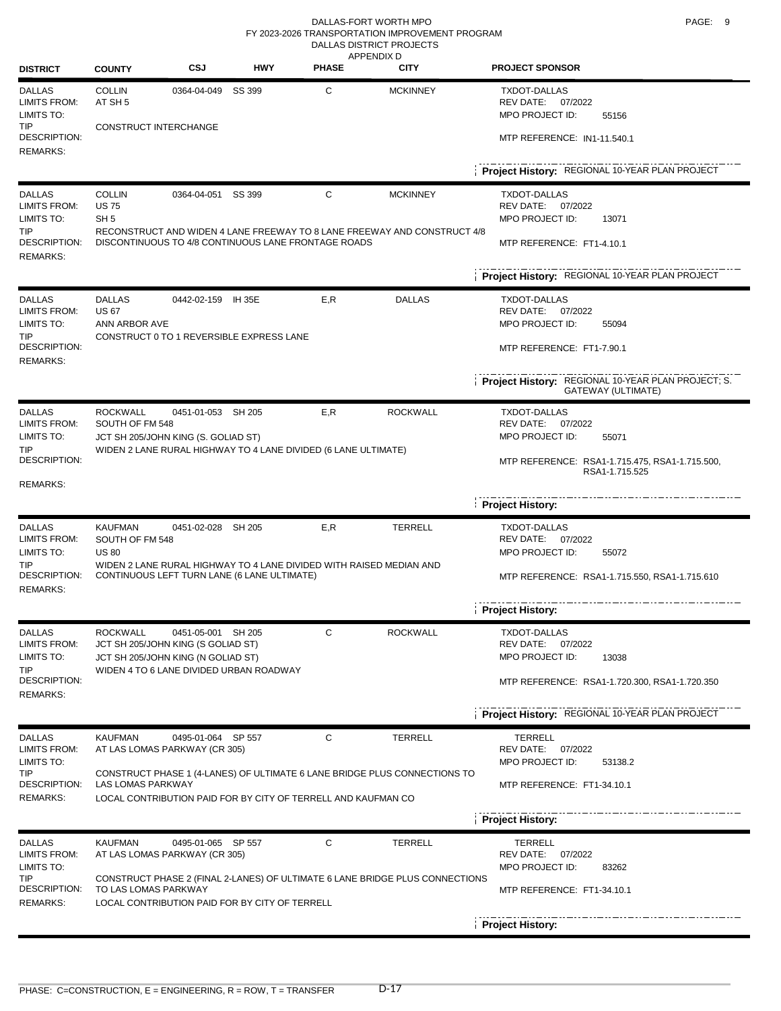| <b>DISTRICT</b>                                                                       | <b>COUNTY</b>                                    | CSJ                                                                                            | <b>HWY</b>                                                                                                         | <b>PHASE</b>                | APPENDIX D<br><b>CITY</b>                                                                   | <b>PROJECT SPONSOR</b>                                                                                                                      |
|---------------------------------------------------------------------------------------|--------------------------------------------------|------------------------------------------------------------------------------------------------|--------------------------------------------------------------------------------------------------------------------|-----------------------------|---------------------------------------------------------------------------------------------|---------------------------------------------------------------------------------------------------------------------------------------------|
| <b>DALLAS</b><br><b>LIMITS FROM:</b><br>LIMITS TO:                                    | <b>COLLIN</b><br>AT SH 5                         | 0364-04-049                                                                                    | SS 399                                                                                                             | C                           | <b>MCKINNEY</b>                                                                             | <b>TXDOT-DALLAS</b><br>REV DATE: 07/2022<br>MPO PROJECT ID:<br>55156                                                                        |
| TIP<br>DESCRIPTION:<br><b>REMARKS:</b>                                                | CONSTRUCT INTERCHANGE                            |                                                                                                |                                                                                                                    | MTP REFERENCE: IN1-11.540.1 |                                                                                             |                                                                                                                                             |
|                                                                                       |                                                  |                                                                                                |                                                                                                                    |                             |                                                                                             | Project History: REGIONAL 10-YEAR PLAN PROJECT                                                                                              |
| <b>DALLAS</b><br><b>LIMITS FROM:</b><br>LIMITS TO:                                    | <b>COLLIN</b><br><b>US 75</b><br>SH <sub>5</sub> | 0364-04-051 SS 399                                                                             |                                                                                                                    | C                           | <b>MCKINNEY</b>                                                                             | <b>TXDOT-DALLAS</b><br>REV DATE:<br>07/2022<br>MPO PROJECT ID:<br>13071                                                                     |
| TIP<br>DESCRIPTION:<br><b>REMARKS:</b>                                                |                                                  |                                                                                                | DISCONTINUOUS TO 4/8 CONTINUOUS LANE FRONTAGE ROADS                                                                |                             | RECONSTRUCT AND WIDEN 4 LANE FREEWAY TO 8 LANE FREEWAY AND CONSTRUCT 4/8                    | MTP REFERENCE: FT1-4.10.1                                                                                                                   |
|                                                                                       |                                                  |                                                                                                |                                                                                                                    |                             |                                                                                             | Project History: REGIONAL 10-YEAR PLAN PROJECT                                                                                              |
| <b>DALLAS</b><br><b>LIMITS FROM:</b><br>LIMITS TO:<br>TIP                             | <b>DALLAS</b><br><b>US 67</b><br>ANN ARBOR AVE   | 0442-02-159                                                                                    | IH 35E<br>CONSTRUCT 0 TO 1 REVERSIBLE EXPRESS LANE                                                                 | E,R                         | <b>DALLAS</b>                                                                               | <b>TXDOT-DALLAS</b><br>REV DATE: 07/2022<br>MPO PROJECT ID:<br>55094                                                                        |
| DESCRIPTION:<br><b>REMARKS:</b>                                                       |                                                  |                                                                                                |                                                                                                                    |                             |                                                                                             | MTP REFERENCE: FT1-7.90.1                                                                                                                   |
|                                                                                       |                                                  |                                                                                                |                                                                                                                    |                             |                                                                                             | Project History: REGIONAL 10-YEAR PLAN PROJECT; S.<br>GATEWAY (ULTIMATE)                                                                    |
| <b>DALLAS</b><br><b>LIMITS FROM:</b><br>LIMITS TO:<br>TIP<br>DESCRIPTION:             | <b>ROCKWALL</b><br>SOUTH OF FM 548               | 0451-01-053 SH 205<br>JCT SH 205/JOHN KING (S. GOLIAD ST)                                      | WIDEN 2 LANE RURAL HIGHWAY TO 4 LANE DIVIDED (6 LANE ULTIMATE)                                                     | E, R                        | <b>ROCKWALL</b>                                                                             | <b>TXDOT-DALLAS</b><br>REV DATE:<br>07/2022<br>MPO PROJECT ID:<br>55071<br>MTP REFERENCE: RSA1-1.715.475, RSA1-1.715.500,<br>RSA1-1.715.525 |
| REMARKS:                                                                              |                                                  |                                                                                                |                                                                                                                    |                             |                                                                                             | Project History:                                                                                                                            |
| <b>DALLAS</b>                                                                         | <b>KAUFMAN</b>                                   | 0451-02-028 SH 205                                                                             |                                                                                                                    | E, R                        | <b>TERRELL</b>                                                                              | <b>TXDOT-DALLAS</b>                                                                                                                         |
| <b>LIMITS FROM:</b><br>LIMITS TO:                                                     | SOUTH OF FM 548<br><b>US 80</b>                  |                                                                                                |                                                                                                                    |                             |                                                                                             | REV DATE:<br>07/2022<br>MPO PROJECT ID:<br>55072                                                                                            |
| TIP<br>DESCRIPTION:<br><b>REMARKS:</b>                                                |                                                  |                                                                                                | WIDEN 2 LANE RURAL HIGHWAY TO 4 LANE DIVIDED WITH RAISED MEDIAN AND<br>CONTINUOUS LEFT TURN LANE (6 LANE ULTIMATE) |                             | MTP REFERENCE: RSA1-1.715.550, RSA1-1.715.610                                               |                                                                                                                                             |
|                                                                                       |                                                  |                                                                                                |                                                                                                                    |                             |                                                                                             | Project History:                                                                                                                            |
| <b>DALLAS</b><br>LIMITS FROM:<br>LIMITS TO:<br>TIP<br>DESCRIPTION:<br><b>REMARKS:</b> | <b>ROCKWALL</b>                                  | 0451-05-001 SH 205<br>JCT SH 205/JOHN KING (S GOLIAD ST)<br>JCT SH 205/JOHN KING (N GOLIAD ST) | WIDEN 4 TO 6 LANE DIVIDED URBAN ROADWAY                                                                            | C                           | <b>ROCKWALL</b>                                                                             | TXDOT-DALLAS<br>REV DATE: 07/2022<br>MPO PROJECT ID:<br>13038<br>MTP REFERENCE: RSA1-1.720.300, RSA1-1.720.350                              |
|                                                                                       |                                                  |                                                                                                |                                                                                                                    |                             |                                                                                             | Project History: REGIONAL 10-YEAR PLAN PROJECT                                                                                              |
| <b>DALLAS</b><br>LIMITS FROM:<br>LIMITS TO:<br>TIP                                    | <b>KAUFMAN</b>                                   | 0495-01-064 SP 557<br>AT LAS LOMAS PARKWAY (CR 305)                                            |                                                                                                                    | C                           | <b>TERRELL</b><br>CONSTRUCT PHASE 1 (4-LANES) OF ULTIMATE 6 LANE BRIDGE PLUS CONNECTIONS TO | <b>TERRELL</b><br>REV DATE:<br>07/2022<br>MPO PROJECT ID:<br>53138.2                                                                        |
| DESCRIPTION:<br><b>REMARKS:</b>                                                       | <b>LAS LOMAS PARKWAY</b>                         |                                                                                                | LOCAL CONTRIBUTION PAID FOR BY CITY OF TERRELL AND KAUFMAN CO                                                      | MTP REFERENCE: FT1-34.10.1  |                                                                                             |                                                                                                                                             |
|                                                                                       |                                                  |                                                                                                |                                                                                                                    |                             |                                                                                             | <b>Project History:</b>                                                                                                                     |
| DALLAS<br><b>LIMITS FROM:</b><br>LIMITS TO:                                           | <b>KAUFMAN</b>                                   | 0495-01-065 SP 557<br>AT LAS LOMAS PARKWAY (CR 305)                                            |                                                                                                                    | С                           | <b>TERRELL</b>                                                                              | <b>TERRELL</b><br>REV DATE:<br>07/2022<br>MPO PROJECT ID:<br>83262                                                                          |
| TIP<br>DESCRIPTION:<br>REMARKS:                                                       | TO LAS LOMAS PARKWAY                             |                                                                                                | LOCAL CONTRIBUTION PAID FOR BY CITY OF TERRELL                                                                     |                             | CONSTRUCT PHASE 2 (FINAL 2-LANES) OF ULTIMATE 6 LANE BRIDGE PLUS CONNECTIONS                | MTP REFERENCE: FT1-34.10.1                                                                                                                  |
|                                                                                       |                                                  |                                                                                                |                                                                                                                    |                             |                                                                                             | <b>Project History:</b>                                                                                                                     |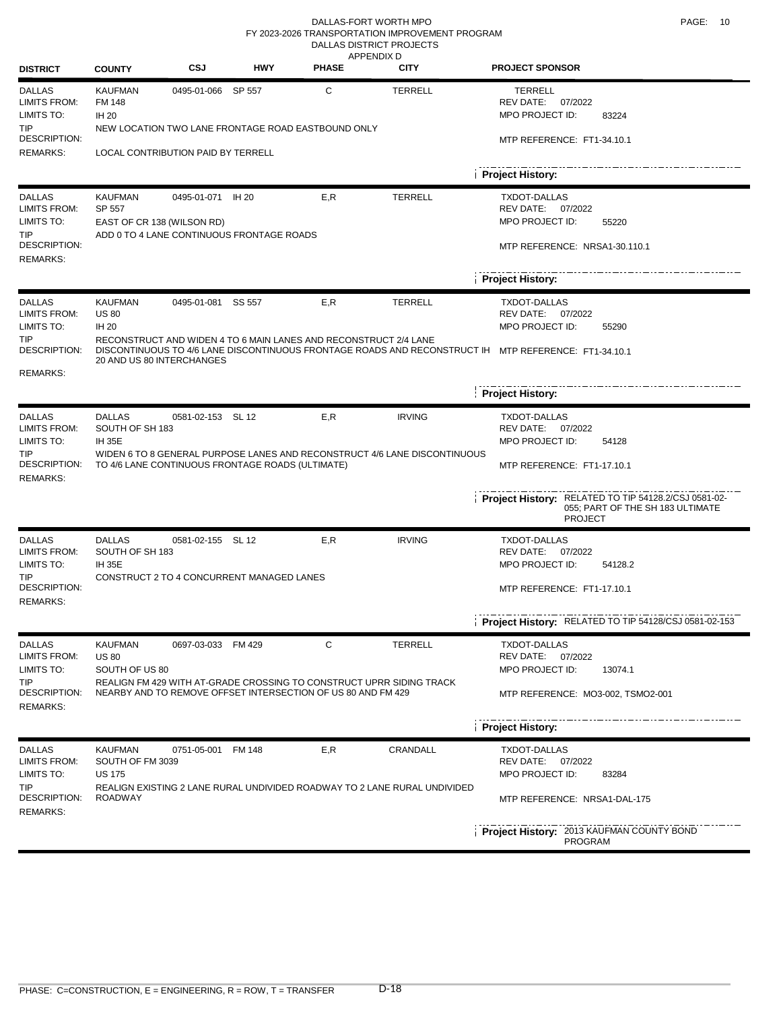#### DALLAS-FORT WORTH MPO **PAGE:** 10 RURAL PROJECTS APPENDIX D DALLAS DISTRICT PROJECTS FY 2023-2026 TRANSPORTATION IMPROVEMENT PROGRAM

| <b>DISTRICT</b>                                                                                     | <b>COUNTY</b>                                                         | CSJ                | <b>HWY</b>                                       | <b>PHASE</b>                                                                                                                              | <b>CITY</b>                                                                                | <b>PROJECT SPONSOR</b>                                                                                                                                                       |  |  |  |  |
|-----------------------------------------------------------------------------------------------------|-----------------------------------------------------------------------|--------------------|--------------------------------------------------|-------------------------------------------------------------------------------------------------------------------------------------------|--------------------------------------------------------------------------------------------|------------------------------------------------------------------------------------------------------------------------------------------------------------------------------|--|--|--|--|
| <b>DALLAS</b><br><b>LIMITS FROM:</b><br>LIMITS TO:<br><b>TIP</b><br>DESCRIPTION:                    | <b>KAUFMAN</b><br><b>FM 148</b><br>IH 20                              | 0495-01-066 SP 557 |                                                  | С<br>NEW LOCATION TWO LANE FRONTAGE ROAD EASTBOUND ONLY                                                                                   | <b>TERRELL</b>                                                                             | <b>TERRELL</b><br>REV DATE:<br>07/2022<br>MPO PROJECT ID:<br>83224                                                                                                           |  |  |  |  |
| <b>REMARKS:</b>                                                                                     | MTP REFERENCE: FT1-34.10.1<br>LOCAL CONTRIBUTION PAID BY TERRELL      |                    |                                                  |                                                                                                                                           |                                                                                            |                                                                                                                                                                              |  |  |  |  |
|                                                                                                     |                                                                       |                    |                                                  |                                                                                                                                           |                                                                                            | <b>Project History:</b>                                                                                                                                                      |  |  |  |  |
| <b>DALLAS</b><br><b>LIMITS FROM:</b><br>LIMITS TO:<br>TIP<br>DESCRIPTION:<br>REMARKS:               | <b>KAUFMAN</b><br>SP 557<br>EAST OF CR 138 (WILSON RD)                | 0495-01-071 IH 20  | ADD 0 TO 4 LANE CONTINUOUS FRONTAGE ROADS        | E, R                                                                                                                                      | <b>TERRELL</b>                                                                             | <b>TXDOT-DALLAS</b><br><b>REV DATE:</b><br>07/2022<br>MPO PROJECT ID:<br>55220<br>MTP REFERENCE: NRSA1-30.110.1                                                              |  |  |  |  |
|                                                                                                     |                                                                       |                    |                                                  |                                                                                                                                           |                                                                                            | <b>Project History:</b>                                                                                                                                                      |  |  |  |  |
| <b>DALLAS</b><br><b>LIMITS FROM:</b><br>LIMITS TO:<br><b>TIP</b><br>DESCRIPTION:                    | <b>KAUFMAN</b><br><b>US 80</b><br>IH 20<br>20 AND US 80 INTERCHANGES  | 0495-01-081 SS 557 |                                                  | E,R<br>RECONSTRUCT AND WIDEN 4 TO 6 MAIN LANES AND RECONSTRUCT 2/4 LANE                                                                   | <b>TERRELL</b>                                                                             | <b>TXDOT-DALLAS</b><br>REV DATE: 07/2022<br>MPO PROJECT ID:<br>55290<br>DISCONTINUOUS TO 4/6 LANE DISCONTINUOUS FRONTAGE ROADS AND RECONSTRUCT IH MTP REFERENCE: FT1-34.10.1 |  |  |  |  |
| <b>REMARKS:</b>                                                                                     |                                                                       |                    |                                                  |                                                                                                                                           |                                                                                            |                                                                                                                                                                              |  |  |  |  |
|                                                                                                     |                                                                       |                    |                                                  |                                                                                                                                           |                                                                                            | <b>Project History:</b>                                                                                                                                                      |  |  |  |  |
| <b>DALLAS</b><br><b>LIMITS FROM:</b><br>LIMITS TO:<br>TIP<br>DESCRIPTION:<br><b>REMARKS:</b>        | <b>DALLAS</b><br>SOUTH OF SH 183<br><b>IH 35E</b>                     | 0581-02-153 SL 12  | TO 4/6 LANE CONTINUOUS FRONTAGE ROADS (ULTIMATE) | E,R                                                                                                                                       | <b>IRVING</b><br>WIDEN 6 TO 8 GENERAL PURPOSE LANES AND RECONSTRUCT 4/6 LANE DISCONTINUOUS | <b>TXDOT-DALLAS</b><br>REV DATE: 07/2022<br>MPO PROJECT ID:<br>54128<br>MTP REFERENCE: FT1-17.10.1                                                                           |  |  |  |  |
|                                                                                                     |                                                                       |                    |                                                  |                                                                                                                                           |                                                                                            | Project History: RELATED TO TIP 54128.2/CSJ 0581-02-<br>055; PART OF THE SH 183 ULTIMATE<br><b>PROJECT</b>                                                                   |  |  |  |  |
| <b>DALLAS</b><br><b>LIMITS FROM:</b><br>LIMITS TO:<br>TIP<br><b>DESCRIPTION:</b><br><b>REMARKS:</b> | <b>DALLAS</b><br>SOUTH OF SH 183<br><b>IH 35E</b>                     | 0581-02-155 SL 12  | CONSTRUCT 2 TO 4 CONCURRENT MANAGED LANES        | E,R                                                                                                                                       | <b>IRVING</b>                                                                              | <b>TXDOT-DALLAS</b><br>REV DATE: 07/2022<br>MPO PROJECT ID:<br>54128.2<br>MTP REFERENCE: FT1-17.10.1                                                                         |  |  |  |  |
|                                                                                                     |                                                                       |                    |                                                  |                                                                                                                                           |                                                                                            | Project History: RELATED TO TIP 54128/CSJ 0581-02-153                                                                                                                        |  |  |  |  |
| <b>DALLAS</b><br><b>LIMITS FROM:</b><br>LIMITS TO:<br>TIP<br>DESCRIPTION:                           | <b>KAUFMAN</b><br><b>US 80</b><br>SOUTH OF US 80                      | 0697-03-033 FM 429 |                                                  | C<br>REALIGN FM 429 WITH AT-GRADE CROSSING TO CONSTRUCT UPRR SIDING TRACK<br>NEARBY AND TO REMOVE OFFSET INTERSECTION OF US 80 AND FM 429 | <b>TERRELL</b>                                                                             | TXDOT-DALLAS<br>REV DATE:<br>07/2022<br>MPO PROJECT ID:<br>13074.1<br>MTP REFERENCE: MO3-002, TSMO2-001                                                                      |  |  |  |  |
| <b>REMARKS:</b>                                                                                     |                                                                       |                    |                                                  |                                                                                                                                           |                                                                                            |                                                                                                                                                                              |  |  |  |  |
| <b>DALLAS</b><br><b>LIMITS FROM:</b><br>LIMITS TO:<br>TIP<br>DESCRIPTION:<br>REMARKS:               | <b>KAUFMAN</b><br>SOUTH OF FM 3039<br><b>US 175</b><br><b>ROADWAY</b> | 0751-05-001 FM 148 |                                                  | E,R                                                                                                                                       | CRANDALL<br>REALIGN EXISTING 2 LANE RURAL UNDIVIDED ROADWAY TO 2 LANE RURAL UNDIVIDED      | <b>Project History:</b><br>TXDOT-DALLAS<br>REV DATE:<br>07/2022<br>MPO PROJECT ID:<br>83284<br>MTP REFERENCE: NRSA1-DAL-175                                                  |  |  |  |  |
|                                                                                                     |                                                                       |                    |                                                  |                                                                                                                                           |                                                                                            | Project History: 2013 KAUFMAN COUNTY BOND<br><b>PROGRAM</b>                                                                                                                  |  |  |  |  |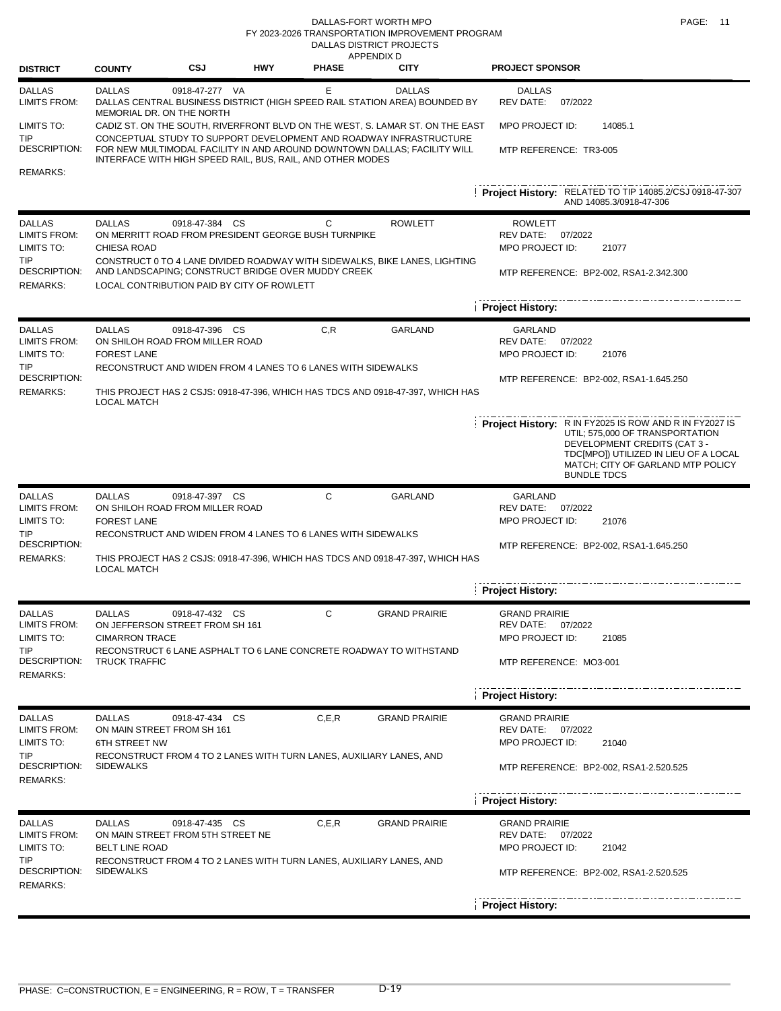DALLAS-FORT WORTH MPO **PAGE:** 11 DALLAS DISTRICT PROJECTS FY 2023-2026 TRANSPORTATION IMPROVEMENT PROGRAM

| <b>DISTRICT</b>                                                                                     | <b>COUNTY</b>                                                   | <b>CSJ</b>                                                                                                                                                                                                                                                                                    | <b>HWY</b> | <b>PHASE</b>                                                                                          | APPENDIX D<br><b>CITY</b>                                                                         | <b>PROJECT SPONSOR</b>                                                                                                                                                                                                               |
|-----------------------------------------------------------------------------------------------------|-----------------------------------------------------------------|-----------------------------------------------------------------------------------------------------------------------------------------------------------------------------------------------------------------------------------------------------------------------------------------------|------------|-------------------------------------------------------------------------------------------------------|---------------------------------------------------------------------------------------------------|--------------------------------------------------------------------------------------------------------------------------------------------------------------------------------------------------------------------------------------|
| <b>DALLAS</b><br><b>LIMITS FROM:</b>                                                                | <b>DALLAS</b><br>MEMORIAL DR. ON THE NORTH                      | 0918-47-277 VA                                                                                                                                                                                                                                                                                |            | Е                                                                                                     | <b>DALLAS</b><br>DALLAS CENTRAL BUSINESS DISTRICT (HIGH SPEED RAIL STATION AREA) BOUNDED BY       | <b>DALLAS</b><br>REV DATE:<br>07/2022                                                                                                                                                                                                |
| LIMITS TO:<br>TIP<br><b>DESCRIPTION:</b><br>REMARKS:                                                |                                                                 | CADIZ ST. ON THE SOUTH, RIVERFRONT BLVD ON THE WEST, S. LAMAR ST. ON THE EAST<br>CONCEPTUAL STUDY TO SUPPORT DEVELOPMENT AND ROADWAY INFRASTRUCTURE<br>FOR NEW MULTIMODAL FACILITY IN AND AROUND DOWNTOWN DALLAS; FACILITY WILL<br>INTERFACE WITH HIGH SPEED RAIL, BUS, RAIL, AND OTHER MODES |            | MPO PROJECT ID:<br>14085.1<br>MTP REFERENCE: TR3-005                                                  |                                                                                                   |                                                                                                                                                                                                                                      |
|                                                                                                     |                                                                 |                                                                                                                                                                                                                                                                                               |            |                                                                                                       |                                                                                                   | Project History: RELATED TO TIP 14085.2/CSJ 0918-47-307<br>AND 14085.3/0918-47-306                                                                                                                                                   |
| <b>DALLAS</b><br><b>LIMITS FROM:</b><br>LIMITS TO:<br>TIP<br><b>DESCRIPTION:</b><br><b>REMARKS:</b> | <b>DALLAS</b><br><b>CHIESA ROAD</b>                             | 0918-47-384 CS<br>ON MERRITT ROAD FROM PRESIDENT GEORGE BUSH TURNPIKE<br>AND LANDSCAPING; CONSTRUCT BRIDGE OVER MUDDY CREEK<br>LOCAL CONTRIBUTION PAID BY CITY OF ROWLETT                                                                                                                     |            | С                                                                                                     | <b>ROWLETT</b><br>CONSTRUCT 0 TO 4 LANE DIVIDED ROADWAY WITH SIDEWALKS, BIKE LANES, LIGHTING      | <b>ROWLETT</b><br>REV DATE: 07/2022<br>MPO PROJECT ID:<br>21077<br>MTP REFERENCE: BP2-002, RSA1-2.342.300                                                                                                                            |
|                                                                                                     |                                                                 |                                                                                                                                                                                                                                                                                               |            | <b>Project History:</b>                                                                               |                                                                                                   |                                                                                                                                                                                                                                      |
| <b>DALLAS</b><br><b>LIMITS FROM:</b><br>LIMITS TO:<br>TIP<br><b>DESCRIPTION:</b><br><b>REMARKS:</b> | <b>DALLAS</b><br><b>FOREST LANE</b><br><b>LOCAL MATCH</b>       | 0918-47-396 CS<br>ON SHILOH ROAD FROM MILLER ROAD<br>RECONSTRUCT AND WIDEN FROM 4 LANES TO 6 LANES WITH SIDEWALKS                                                                                                                                                                             |            | C, R                                                                                                  | <b>GARLAND</b><br>THIS PROJECT HAS 2 CSJS: 0918-47-396, WHICH HAS TDCS AND 0918-47-397, WHICH HAS | GARLAND<br>REV DATE: 07/2022<br>MPO PROJECT ID:<br>21076<br>MTP REFERENCE: BP2-002, RSA1-1.645.250                                                                                                                                   |
|                                                                                                     |                                                                 |                                                                                                                                                                                                                                                                                               |            |                                                                                                       |                                                                                                   | <b>Project History:</b> R IN FY2025 IS ROW AND R IN FY2027 IS<br>UTIL; 575,000 OF TRANSPORTATION<br>DEVELOPMENT CREDITS (CAT 3 -<br>TDC[MPO]) UTILIZED IN LIEU OF A LOCAL<br>MATCH; CITY OF GARLAND MTP POLICY<br><b>BUNDLE TDCS</b> |
| <b>DALLAS</b><br><b>LIMITS FROM:</b><br>LIMITS TO:<br>TIP<br><b>DESCRIPTION:</b><br><b>REMARKS:</b> | <b>DALLAS</b><br><b>FOREST LANE</b><br><b>LOCAL MATCH</b>       | 0918-47-397 CS<br>ON SHILOH ROAD FROM MILLER ROAD<br>RECONSTRUCT AND WIDEN FROM 4 LANES TO 6 LANES WITH SIDEWALKS<br>THIS PROJECT HAS 2 CSJS: 0918-47-396, WHICH HAS TDCS AND 0918-47-397, WHICH HAS                                                                                          |            | GARLAND<br>REV DATE:<br>07/2022<br>MPO PROJECT ID:<br>21076<br>MTP REFERENCE: BP2-002, RSA1-1.645.250 |                                                                                                   |                                                                                                                                                                                                                                      |
|                                                                                                     |                                                                 |                                                                                                                                                                                                                                                                                               |            | <b>Project History:</b>                                                                               |                                                                                                   |                                                                                                                                                                                                                                      |
| <b>DALLAS</b><br><b>LIMITS FROM:</b><br>LIMITS TO:<br><b>TIP</b><br>DESCRIPTION:<br><b>REMARKS:</b> | <b>DALLAS</b><br><b>CIMARRON TRACE</b><br><b>TRUCK TRAFFIC</b>  | 0918-47-432 CS<br>ON JEFFERSON STREET FROM SH 161                                                                                                                                                                                                                                             |            | С                                                                                                     | <b>GRAND PRAIRIE</b><br>RECONSTRUCT 6 LANE ASPHALT TO 6 LANE CONCRETE ROADWAY TO WITHSTAND        | <b>GRAND PRAIRIE</b><br>REV DATE:<br>07/2022<br>MPO PROJECT ID:<br>21085<br>MTP REFERENCE: MO3-001                                                                                                                                   |
| <b>DALLAS</b>                                                                                       | <b>DALLAS</b>                                                   | 0918-47-434 CS                                                                                                                                                                                                                                                                                |            | C, E, R                                                                                               | <b>GRAND PRAIRIE</b>                                                                              | <b>Project History:</b><br><b>GRAND PRAIRIE</b>                                                                                                                                                                                      |
| <b>LIMITS FROM:</b><br>LIMITS TO:<br><b>TIP</b><br>DESCRIPTION:<br><b>REMARKS:</b>                  | ON MAIN STREET FROM SH 161<br>6TH STREET NW<br><b>SIDEWALKS</b> | RECONSTRUCT FROM 4 TO 2 LANES WITH TURN LANES, AUXILIARY LANES, AND                                                                                                                                                                                                                           |            | REV DATE: 07/2022<br>MPO PROJECT ID:<br>21040<br>MTP REFERENCE: BP2-002, RSA1-2.520.525               |                                                                                                   |                                                                                                                                                                                                                                      |
|                                                                                                     |                                                                 |                                                                                                                                                                                                                                                                                               |            |                                                                                                       |                                                                                                   | <b>Project History:</b>                                                                                                                                                                                                              |
| <b>DALLAS</b><br><b>LIMITS FROM:</b><br>LIMITS TO:<br><b>TIP</b><br>DESCRIPTION:<br><b>REMARKS:</b> | <b>DALLAS</b><br><b>BELT LINE ROAD</b><br><b>SIDEWALKS</b>      | 0918-47-435 CS<br>ON MAIN STREET FROM 5TH STREET NE                                                                                                                                                                                                                                           |            | C, E, R                                                                                               | <b>GRAND PRAIRIE</b><br>RECONSTRUCT FROM 4 TO 2 LANES WITH TURN LANES, AUXILIARY LANES, AND       | <b>GRAND PRAIRIE</b><br>REV DATE: 07/2022<br>MPO PROJECT ID:<br>21042<br>MTP REFERENCE: BP2-002, RSA1-2.520.525                                                                                                                      |
|                                                                                                     |                                                                 |                                                                                                                                                                                                                                                                                               |            |                                                                                                       |                                                                                                   | <b>Project History:</b>                                                                                                                                                                                                              |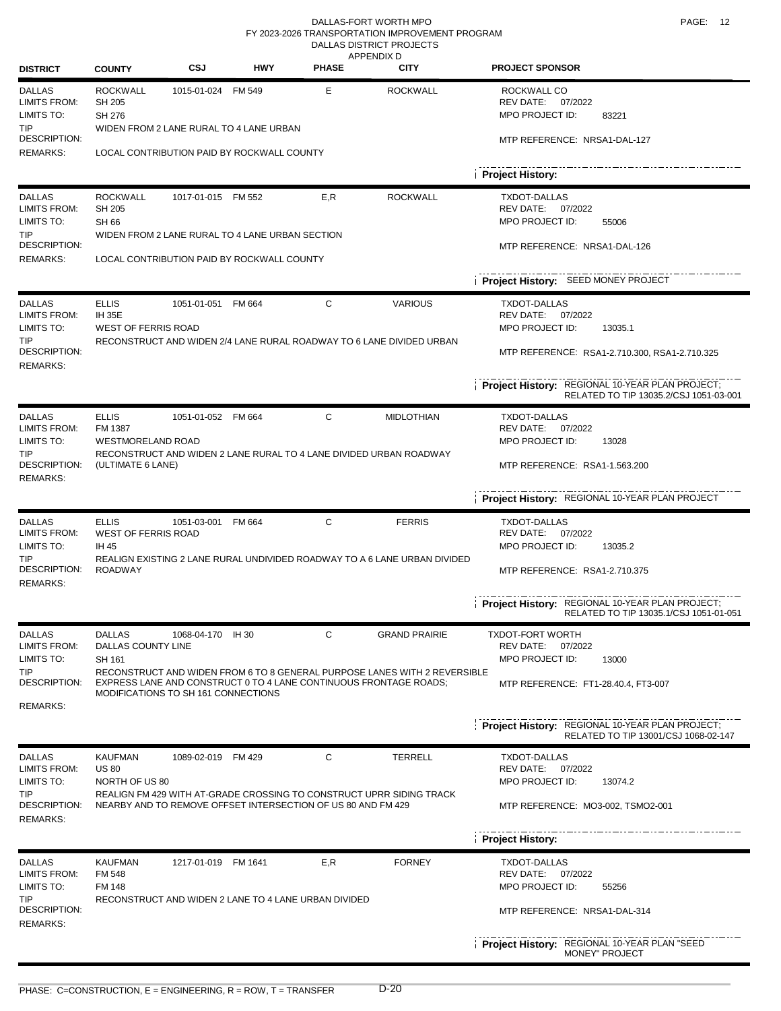#### DALLAS-FORT WORTH MPO **PAGE:** 12 **RUPAL PRODUCTS** DALLAS DISTRICT PROJECTS FY 2023-2026 TRANSPORTATION IMPROVEMENT PROGRAM

| <b>DISTRICT</b>                                    | <b>COUNTY</b>                                                                         | CSJ                 | <b>HWY</b> | <b>PHASE</b>                                                                                                                         | AFFLIVUA D<br><b>CITY</b>                                                 | <b>PROJECT SPONSOR</b>                                                                    |
|----------------------------------------------------|---------------------------------------------------------------------------------------|---------------------|------------|--------------------------------------------------------------------------------------------------------------------------------------|---------------------------------------------------------------------------|-------------------------------------------------------------------------------------------|
| <b>DALLAS</b><br><b>LIMITS FROM:</b><br>LIMITS TO: | <b>ROCKWALL</b><br>SH 205<br><b>SH 276</b>                                            | 1015-01-024 FM 549  |            | Е                                                                                                                                    | <b>ROCKWALL</b>                                                           | ROCKWALL CO<br>07/2022<br>REV DATE:<br>MPO PROJECT ID:<br>83221                           |
| TIP<br>DESCRIPTION:<br><b>REMARKS:</b>             | WIDEN FROM 2 LANE RURAL TO 4 LANE URBAN<br>LOCAL CONTRIBUTION PAID BY ROCKWALL COUNTY |                     |            |                                                                                                                                      | MTP REFERENCE: NRSA1-DAL-127                                              |                                                                                           |
|                                                    |                                                                                       |                     |            |                                                                                                                                      | <b>Project History:</b>                                                   |                                                                                           |
| <b>DALLAS</b><br>LIMITS FROM:<br>LIMITS TO:        | <b>ROCKWALL</b><br>SH 205<br><b>SH 66</b>                                             | 1017-01-015 FM 552  |            | E,R                                                                                                                                  | <b>ROCKWALL</b>                                                           | <b>TXDOT-DALLAS</b><br>REV DATE:<br>07/2022<br><b>MPO PROJECT ID:</b><br>55006            |
| TIP.<br>DESCRIPTION:                               | WIDEN FROM 2 LANE RURAL TO 4 LANE URBAN SECTION                                       |                     |            |                                                                                                                                      |                                                                           | MTP REFERENCE: NRSA1-DAL-126                                                              |
| <b>REMARKS:</b>                                    | LOCAL CONTRIBUTION PAID BY ROCKWALL COUNTY                                            |                     |            |                                                                                                                                      |                                                                           |                                                                                           |
|                                                    |                                                                                       |                     |            |                                                                                                                                      | Project History: SEED MONEY PROJECT                                       |                                                                                           |
| <b>DALLAS</b><br><b>LIMITS FROM:</b><br>LIMITS TO: | <b>ELLIS</b><br><b>IH 35E</b><br><b>WEST OF FERRIS ROAD</b>                           | 1051-01-051 FM 664  |            | С                                                                                                                                    | <b>VARIOUS</b>                                                            | <b>TXDOT-DALLAS</b><br>REV DATE:<br>07/2022<br>MPO PROJECT ID:<br>13035.1                 |
| TIP<br>DESCRIPTION:<br><b>REMARKS:</b>             |                                                                                       |                     |            |                                                                                                                                      | RECONSTRUCT AND WIDEN 2/4 LANE RURAL ROADWAY TO 6 LANE DIVIDED URBAN      | MTP REFERENCE: RSA1-2.710.300, RSA1-2.710.325                                             |
|                                                    |                                                                                       |                     |            |                                                                                                                                      |                                                                           | Project History: REGIONAL 10-YEAR PLAN PROJECT;<br>RELATED TO TIP 13035.2/CSJ 1051-03-001 |
| <b>DALLAS</b><br><b>LIMITS FROM:</b>               | <b>ELLIS</b><br>FM 1387                                                               | 1051-01-052 FM 664  |            | С                                                                                                                                    | <b>MIDLOTHIAN</b>                                                         | <b>TXDOT-DALLAS</b><br>REV DATE: 07/2022                                                  |
| LIMITS TO:                                         | <b>WESTMORELAND ROAD</b>                                                              |                     |            |                                                                                                                                      |                                                                           | MPO PROJECT ID:<br>13028                                                                  |
| TIP<br>DESCRIPTION:<br><b>REMARKS:</b>             | (ULTIMATE 6 LANE)                                                                     |                     |            | RECONSTRUCT AND WIDEN 2 LANE RURAL TO 4 LANE DIVIDED URBAN ROADWAY                                                                   | MTP REFERENCE: RSA1-1.563.200                                             |                                                                                           |
|                                                    |                                                                                       |                     |            |                                                                                                                                      |                                                                           | Project History: REGIONAL 10-YEAR PLAN PROJECT                                            |
| <b>DALLAS</b><br><b>LIMITS FROM:</b><br>LIMITS TO: | <b>ELLIS</b><br>WEST OF FERRIS ROAD<br>IH 45                                          | 1051-03-001         | FM 664     | C                                                                                                                                    | <b>FERRIS</b>                                                             | <b>TXDOT-DALLAS</b><br>REV DATE: 07/2022<br>MPO PROJECT ID:<br>13035.2                    |
| TIP<br><b>DESCRIPTION:</b><br><b>REMARKS:</b>      | <b>ROADWAY</b>                                                                        |                     |            | REALIGN EXISTING 2 LANE RURAL UNDIVIDED ROADWAY TO A 6 LANE URBAN DIVIDED                                                            | MTP REFERENCE: RSA1-2.710.375                                             |                                                                                           |
|                                                    |                                                                                       |                     |            |                                                                                                                                      |                                                                           | Project History: REGIONAL 10-YEAR PLAN PROJECT;<br>RELATED TO TIP 13035.1/CSJ 1051-01-051 |
| DALLAS<br><b>LIMITS FROM:</b>                      | DALLAS<br>DALLAS COUNTY LINE                                                          | 1068-04-170 IH 30   |            | С                                                                                                                                    | <b>GRAND PRAIRIE</b>                                                      | <b>TXDOT-FORT WORTH</b><br>REV DATE:<br>07/2022                                           |
| LIMITS TO:<br>TIP                                  | SH 161                                                                                |                     |            |                                                                                                                                      | RECONSTRUCT AND WIDEN FROM 6 TO 8 GENERAL PURPOSE LANES WITH 2 REVERSIBLE | MPO PROJECT ID:<br>13000                                                                  |
| DESCRIPTION:<br>REMARKS:                           | MODIFICATIONS TO SH 161 CONNECTIONS                                                   |                     |            | EXPRESS LANE AND CONSTRUCT 0 TO 4 LANE CONTINUOUS FRONTAGE ROADS:                                                                    |                                                                           | MTP REFERENCE: FT1-28.40.4, FT3-007                                                       |
|                                                    |                                                                                       |                     |            |                                                                                                                                      |                                                                           | Project History: REGIONAL 10-YEAR PLAN PROJECT;<br>RELATED TO TIP 13001/CSJ 1068-02-147   |
| <b>DALLAS</b><br><b>LIMITS FROM:</b>               | <b>KAUFMAN</b>                                                                        | 1089-02-019 FM 429  |            | С                                                                                                                                    | <b>TERRELL</b>                                                            | TXDOT-DALLAS                                                                              |
| LIMITS TO:                                         | <b>US 80</b><br>NORTH OF US 80                                                        |                     |            |                                                                                                                                      |                                                                           | REV DATE:<br>07/2022<br>MPO PROJECT ID:<br>13074.2                                        |
| TIP<br><b>DESCRIPTION:</b><br><b>REMARKS:</b>      |                                                                                       |                     |            | REALIGN FM 429 WITH AT-GRADE CROSSING TO CONSTRUCT UPRR SIDING TRACK<br>NEARBY AND TO REMOVE OFFSET INTERSECTION OF US 80 AND FM 429 |                                                                           | MTP REFERENCE: MO3-002, TSMO2-001                                                         |
|                                                    |                                                                                       |                     |            |                                                                                                                                      | <b>Project History:</b>                                                   |                                                                                           |
| <b>DALLAS</b>                                      | <b>KAUFMAN</b>                                                                        | 1217-01-019 FM 1641 |            | E, R                                                                                                                                 | <b>FORNEY</b>                                                             | <b>TXDOT-DALLAS</b>                                                                       |
| <b>LIMITS FROM:</b><br>LIMITS TO:                  | <b>FM 548</b><br><b>FM 148</b>                                                        |                     |            |                                                                                                                                      |                                                                           | REV DATE:<br>07/2022<br>MPO PROJECT ID:<br>55256                                          |
| TIP<br>DESCRIPTION:<br><b>REMARKS:</b>             |                                                                                       |                     |            | RECONSTRUCT AND WIDEN 2 LANE TO 4 LANE URBAN DIVIDED                                                                                 |                                                                           | MTP REFERENCE: NRSA1-DAL-314                                                              |
|                                                    |                                                                                       |                     |            |                                                                                                                                      |                                                                           | Project History: REGIONAL 10-YEAR PLAN "SEED<br><b>MONEY" PROJECT</b>                     |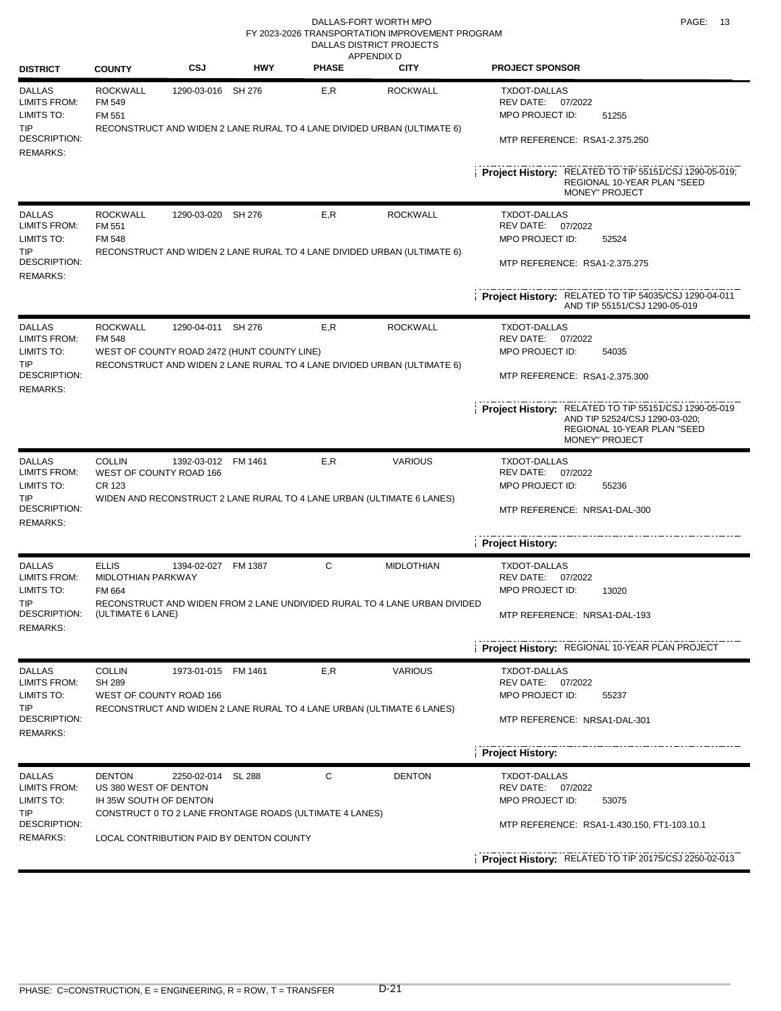#### DALLAS-FORT WORTH MPO **PAGE:** 13 DALLAS DISTRICT PROJECTS FY 2023-2026 TRANSPORTATION IMPROVEMENT PROGRAM

| <b>DISTRICT</b>                                                           | <b>COUNTY</b>                                                    | CSJ                 | <b>HWY</b>                                  | APPENDIX D<br><b>PHASE</b>                                            | <b>CITY</b>                                                                                | <b>PROJECT SPONSOR</b>                                                                                                                          |
|---------------------------------------------------------------------------|------------------------------------------------------------------|---------------------|---------------------------------------------|-----------------------------------------------------------------------|--------------------------------------------------------------------------------------------|-------------------------------------------------------------------------------------------------------------------------------------------------|
| <b>DALLAS</b><br><b>LIMITS FROM:</b><br>LIMITS TO:<br>TIP<br>DESCRIPTION: | <b>ROCKWALL</b><br>FM 549<br>FM 551                              | 1290-03-016 SH 276  |                                             | E,R                                                                   | <b>ROCKWALL</b><br>RECONSTRUCT AND WIDEN 2 LANE RURAL TO 4 LANE DIVIDED URBAN (ULTIMATE 6) | <b>TXDOT-DALLAS</b><br>REV DATE: 07/2022<br>MPO PROJECT ID:<br>51255<br>MTP REFERENCE: RSA1-2.375.250                                           |
| <b>REMARKS:</b>                                                           |                                                                  |                     |                                             |                                                                       |                                                                                            | Project History: RELATED TO TIP 55151/CSJ 1290-05-019;<br>REGIONAL 10-YEAR PLAN "SEED<br><b>MONEY" PROJECT</b>                                  |
| <b>DALLAS</b><br><b>LIMITS FROM:</b>                                      | <b>ROCKWALL</b><br>FM 551                                        | 1290-03-020 SH 276  |                                             | E,R                                                                   | <b>ROCKWALL</b>                                                                            | <b>TXDOT-DALLAS</b><br>REV DATE:<br>07/2022                                                                                                     |
| LIMITS TO:<br>TIP<br>DESCRIPTION:<br><b>REMARKS:</b>                      | <b>FM 548</b>                                                    |                     |                                             |                                                                       | RECONSTRUCT AND WIDEN 2 LANE RURAL TO 4 LANE DIVIDED URBAN (ULTIMATE 6)                    | MPO PROJECT ID:<br>52524<br>MTP REFERENCE: RSA1-2.375.275                                                                                       |
|                                                                           |                                                                  |                     |                                             |                                                                       |                                                                                            | Project History: RELATED TO TIP 54035/CSJ 1290-04-011<br>AND TIP 55151/CSJ 1290-05-019                                                          |
| <b>DALLAS</b><br>LIMITS FROM:                                             | <b>ROCKWALL</b><br>FM 548                                        | 1290-04-011 SH 276  |                                             | E,R                                                                   | <b>ROCKWALL</b>                                                                            | TXDOT-DALLAS<br>REV DATE: 07/2022                                                                                                               |
| LIMITS TO:<br>TIP<br>DESCRIPTION:<br><b>REMARKS:</b>                      |                                                                  |                     | WEST OF COUNTY ROAD 2472 (HUNT COUNTY LINE) |                                                                       | RECONSTRUCT AND WIDEN 2 LANE RURAL TO 4 LANE DIVIDED URBAN (ULTIMATE 6)                    | MPO PROJECT ID:<br>54035<br>MTP REFERENCE: RSA1-2.375.300                                                                                       |
|                                                                           |                                                                  |                     |                                             |                                                                       |                                                                                            | Project History: RELATED TO TIP 55151/CSJ 1290-05-019<br>AND TIP 52524/CSJ 1290-03-020;<br>REGIONAL 10-YEAR PLAN "SEED<br><b>MONEY" PROJECT</b> |
| <b>DALLAS</b><br><b>LIMITS FROM:</b>                                      | <b>COLLIN</b><br>WEST OF COUNTY ROAD 166                         | 1392-03-012 FM 1461 |                                             | E,R                                                                   | <b>VARIOUS</b>                                                                             | TXDOT-DALLAS<br>REV DATE:<br>07/2022                                                                                                            |
| LIMITS TO:<br>TIP<br>DESCRIPTION:<br><b>REMARKS:</b>                      | CR 123                                                           |                     |                                             | WIDEN AND RECONSTRUCT 2 LANE RURAL TO 4 LANE URBAN (ULTIMATE 6 LANES) |                                                                                            | MPO PROJECT ID:<br>55236<br>MTP REFERENCE: NRSA1-DAL-300                                                                                        |
|                                                                           |                                                                  |                     |                                             |                                                                       |                                                                                            | <b>Project History:</b>                                                                                                                         |
| <b>DALLAS</b><br><b>LIMITS FROM:</b><br>LIMITS TO:                        | <b>ELLIS</b><br>MIDLOTHIAN PARKWAY<br>FM 664                     | 1394-02-027         | FM 1387                                     | С                                                                     | <b>MIDLOTHIAN</b>                                                                          | <b>TXDOT-DALLAS</b><br>REV DATE: 07/2022<br>MPO PROJECT ID:<br>13020                                                                            |
| TIP<br>DESCRIPTION:<br><b>REMARKS:</b>                                    | (ULTIMATE 6 LANE)                                                |                     |                                             |                                                                       | RECONSTRUCT AND WIDEN FROM 2 LANE UNDIVIDED RURAL TO 4 LANE URBAN DIVIDED                  | MTP REFERENCE: NRSA1-DAL-193                                                                                                                    |
|                                                                           |                                                                  |                     |                                             |                                                                       |                                                                                            | Project History: REGIONAL 10-YEAR PLAN PROJECT                                                                                                  |
| <b>DALLAS</b><br><b>LIMITS FROM:</b><br>LIMITS TO:<br>TIP<br>DESCRIPTION: | <b>COLLIN</b><br>SH 289<br>WEST OF COUNTY ROAD 166               | 1973-01-015 FM 1461 |                                             | E, R                                                                  | <b>VARIOUS</b><br>RECONSTRUCT AND WIDEN 2 LANE RURAL TO 4 LANE URBAN (ULTIMATE 6 LANES)    | TXDOT-DALLAS<br>REV DATE: 07/2022<br>MPO PROJECT ID:<br>55237<br>MTP REFERENCE: NRSA1-DAL-301                                                   |
| <b>REMARKS:</b>                                                           |                                                                  |                     |                                             |                                                                       |                                                                                            |                                                                                                                                                 |
|                                                                           |                                                                  |                     |                                             |                                                                       |                                                                                            | Project History:                                                                                                                                |
| <b>DALLAS</b><br>LIMITS FROM:<br>LIMITS TO:<br>TIP                        | <b>DENTON</b><br>US 380 WEST OF DENTON<br>IH 35W SOUTH OF DENTON | 2250-02-014 SL 288  |                                             | C<br>CONSTRUCT 0 TO 2 LANE FRONTAGE ROADS (ULTIMATE 4 LANES)          | <b>DENTON</b>                                                                              | <b>TXDOT-DALLAS</b><br>REV DATE:<br>07/2022<br>MPO PROJECT ID:<br>53075                                                                         |
| DESCRIPTION:<br><b>REMARKS:</b>                                           | LOCAL CONTRIBUTION PAID BY DENTON COUNTY                         |                     |                                             |                                                                       |                                                                                            | MTP REFERENCE: RSA1-1.430.150, FT1-103.10.1                                                                                                     |
|                                                                           |                                                                  |                     |                                             |                                                                       |                                                                                            | Project History: RELATED TO TIP 20175/CSJ 2250-02-013                                                                                           |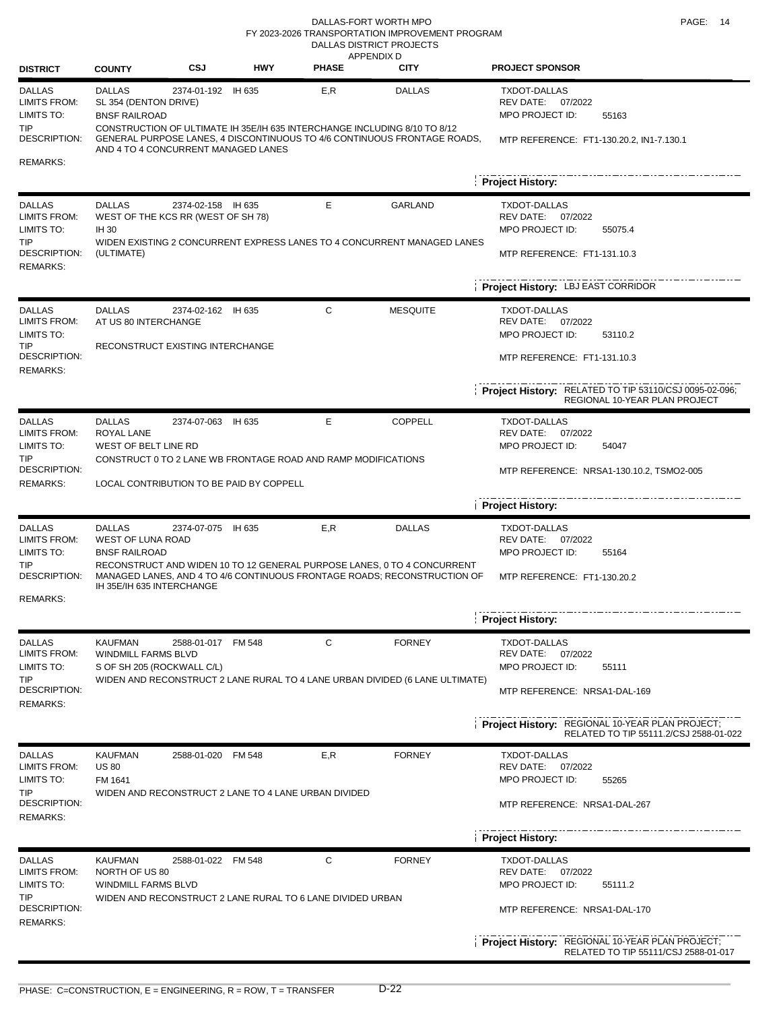#### DALLAS-FORT WORTH MPO **PAGE:** 14 DALLAS DISTRICT PROJECTS FY 2023-2026 TRANSPORTATION IMPROVEMENT PROGRAM

| <b>DISTRICT</b>                                                                                     | <b>COUNTY</b>                                                                                  | CSJ                | <b>HWY</b> | APPENDIX D<br><b>PHASE</b>                                                                                                                                 | <b>CITY</b>     | <b>PROJECT SPONSOR</b>                                                                                         |
|-----------------------------------------------------------------------------------------------------|------------------------------------------------------------------------------------------------|--------------------|------------|------------------------------------------------------------------------------------------------------------------------------------------------------------|-----------------|----------------------------------------------------------------------------------------------------------------|
| <b>DALLAS</b><br>LIMITS FROM:<br>LIMITS TO:<br>TIP.                                                 | <b>DALLAS</b><br>SL 354 (DENTON DRIVE)<br><b>BNSF RAILROAD</b>                                 | 2374-01-192 IH 635 |            | E,R<br>CONSTRUCTION OF ULTIMATE IH 35E/IH 635 INTERCHANGE INCLUDING 8/10 TO 8/12                                                                           | <b>DALLAS</b>   | <b>TXDOT-DALLAS</b><br>REV DATE: 07/2022<br>MPO PROJECT ID:<br>55163                                           |
| <b>DESCRIPTION:</b><br><b>REMARKS:</b>                                                              | AND 4 TO 4 CONCURRENT MANAGED LANES                                                            |                    |            | GENERAL PURPOSE LANES, 4 DISCONTINUOUS TO 4/6 CONTINUOUS FRONTAGE ROADS,                                                                                   |                 | MTP REFERENCE: FT1-130.20.2, IN1-7.130.1<br><b>Project History:</b>                                            |
| <b>DALLAS</b><br><b>LIMITS FROM:</b><br>LIMITS TO:<br><b>TIP</b><br>DESCRIPTION:<br><b>REMARKS:</b> | <b>DALLAS</b><br>WEST OF THE KCS RR (WEST OF SH 78)<br>IH 30<br>(ULTIMATE)                     | 2374-02-158 IH 635 |            | Е<br>WIDEN EXISTING 2 CONCURRENT EXPRESS LANES TO 4 CONCURRENT MANAGED LANES                                                                               | <b>GARLAND</b>  | <b>TXDOT-DALLAS</b><br>REV DATE: 07/2022<br>MPO PROJECT ID:<br>55075.4<br>MTP REFERENCE: FT1-131.10.3          |
|                                                                                                     |                                                                                                |                    |            |                                                                                                                                                            |                 | Project History: LBJ EAST CORRIDOR                                                                             |
| <b>DALLAS</b><br><b>LIMITS FROM:</b><br>LIMITS TO:<br><b>TIP</b><br>DESCRIPTION:<br><b>REMARKS:</b> | <b>DALLAS</b><br>AT US 80 INTERCHANGE<br>RECONSTRUCT EXISTING INTERCHANGE                      | 2374-02-162 IH 635 |            | C                                                                                                                                                          | <b>MESQUITE</b> | <b>TXDOT-DALLAS</b><br>REV DATE: 07/2022<br>MPO PROJECT ID:<br>53110.2<br>MTP REFERENCE: FT1-131.10.3          |
|                                                                                                     |                                                                                                |                    |            |                                                                                                                                                            |                 | Project History: RELATED TO TIP 53110/CSJ 0095-02-096;<br>REGIONAL 10-YEAR PLAN PROJECT                        |
| <b>DALLAS</b><br>LIMITS FROM:<br>LIMITS TO:<br><b>TIP</b>                                           | <b>DALLAS</b><br>ROYAL LANE<br>WEST OF BELT LINE RD                                            | 2374-07-063 IH 635 |            | Е                                                                                                                                                          | <b>COPPELL</b>  | <b>TXDOT-DALLAS</b><br>REV DATE: 07/2022<br>MPO PROJECT ID:<br>54047                                           |
| DESCRIPTION:<br><b>REMARKS:</b>                                                                     | LOCAL CONTRIBUTION TO BE PAID BY COPPELL                                                       |                    |            | CONSTRUCT 0 TO 2 LANE WB FRONTAGE ROAD AND RAMP MODIFICATIONS                                                                                              |                 | MTP REFERENCE: NRSA1-130.10.2, TSMO2-005                                                                       |
|                                                                                                     |                                                                                                |                    |            |                                                                                                                                                            |                 | <b>Project History:</b>                                                                                        |
| <b>DALLAS</b><br><b>LIMITS FROM:</b><br>LIMITS TO:<br>TIP<br><b>DESCRIPTION:</b>                    | <b>DALLAS</b><br><b>WEST OF LUNA ROAD</b><br><b>BNSF RAILROAD</b><br>IH 35E/IH 635 INTERCHANGE | 2374-07-075 IH 635 |            | E,R<br>RECONSTRUCT AND WIDEN 10 TO 12 GENERAL PURPOSE LANES, 0 TO 4 CONCURRENT<br>MANAGED LANES, AND 4 TO 4/6 CONTINUOUS FRONTAGE ROADS; RECONSTRUCTION OF | <b>DALLAS</b>   | TXDOT-DALLAS<br>REV DATE: 07/2022<br><b>MPO PROJECT ID:</b><br>55164<br>MTP REFERENCE: FT1-130.20.2            |
| <b>REMARKS:</b>                                                                                     |                                                                                                |                    |            |                                                                                                                                                            |                 | <b>Project History:</b>                                                                                        |
| <b>DALLAS</b><br><b>LIMITS FROM:</b><br>LIMITS TO:<br>TIP<br>DESCRIPTION:<br><b>REMARKS:</b>        | <b>KAUFMAN</b><br>WINDMILL FARMS BLVD<br>S OF SH 205 (ROCKWALL C/L)                            | 2588-01-017 FM 548 |            | С<br>WIDEN AND RECONSTRUCT 2 LANE RURAL TO 4 LANE URBAN DIVIDED (6 LANE ULTIMATE)                                                                          | <b>FORNEY</b>   | TXDOT-DALLAS<br>REV DATE:<br>07/2022<br>MPO PROJECT ID:<br>55111<br>MTP REFERENCE: NRSA1-DAL-169               |
|                                                                                                     |                                                                                                |                    |            |                                                                                                                                                            |                 | <b>Project History: REGIONAL 10-YEAR PLAN PROJECT;</b><br>RELATED TO TIP 55111.2/CSJ 2588-01-022               |
| <b>DALLAS</b><br><b>LIMITS FROM:</b><br>LIMITS TO:<br>TIP<br><b>DESCRIPTION:</b><br><b>REMARKS:</b> | <b>KAUFMAN</b><br><b>US 80</b><br>FM 1641                                                      | 2588-01-020 FM 548 |            | E,R<br>WIDEN AND RECONSTRUCT 2 LANE TO 4 LANE URBAN DIVIDED                                                                                                | <b>FORNEY</b>   | <b>TXDOT-DALLAS</b><br><b>REV DATE:</b><br>07/2022<br>MPO PROJECT ID:<br>55265<br>MTP REFERENCE: NRSA1-DAL-267 |
|                                                                                                     |                                                                                                |                    |            |                                                                                                                                                            |                 | <b>Project History:</b>                                                                                        |
| <b>DALLAS</b><br><b>LIMITS FROM:</b><br>LIMITS TO:<br>TIP<br>DESCRIPTION:                           | <b>KAUFMAN</b><br>NORTH OF US 80<br>WINDMILL FARMS BLVD                                        | 2588-01-022 FM 548 |            | C<br>WIDEN AND RECONSTRUCT 2 LANE RURAL TO 6 LANE DIVIDED URBAN                                                                                            | <b>FORNEY</b>   | <b>TXDOT-DALLAS</b><br>REV DATE: 07/2022<br>MPO PROJECT ID:<br>55111.2<br>MTP REFERENCE: NRSA1-DAL-170         |
| <b>REMARKS:</b>                                                                                     |                                                                                                |                    |            |                                                                                                                                                            |                 | Project History: REGIONAL 10-YEAR PLAN PROJECT;<br>RELATED TO TIP 55111/CSJ 2588-01-017                        |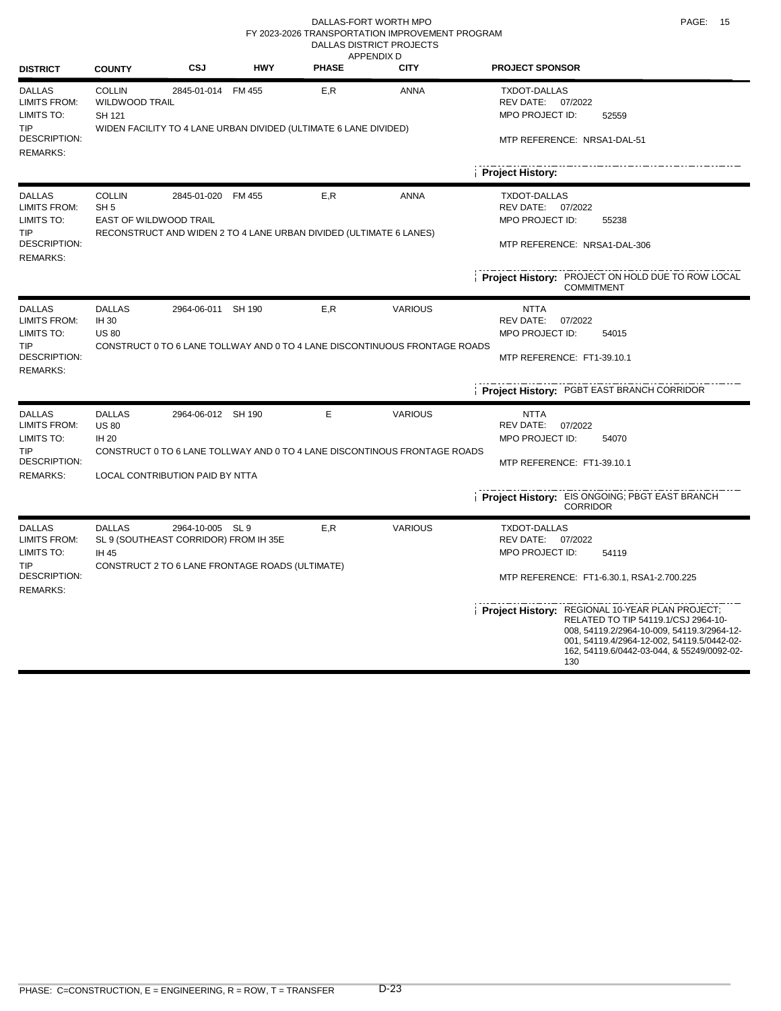#### DALLAS-FORT WORTH MPO **PAGE:** 15 DALLAS DISTRICT PROJECTS FY 2023-2026 TRANSPORTATION IMPROVEMENT PROGRAM

| <b>DISTRICT</b>                                                  | <b>COUNTY</b>                                                     | <b>CSJ</b>                                                                                                   | <b>HWY</b> | <b>PHASE</b>                                                              | APPENDIX D<br><b>CITY</b>                                                  | <b>PROJECT SPONSOR</b>                                                                                                                                                                                                                  |
|------------------------------------------------------------------|-------------------------------------------------------------------|--------------------------------------------------------------------------------------------------------------|------------|---------------------------------------------------------------------------|----------------------------------------------------------------------------|-----------------------------------------------------------------------------------------------------------------------------------------------------------------------------------------------------------------------------------------|
| <b>DALLAS</b><br><b>LIMITS FROM:</b><br>LIMITS TO:               | <b>COLLIN</b><br><b>WILDWOOD TRAIL</b><br>SH 121                  | 2845-01-014 FM 455                                                                                           |            | E, R                                                                      | <b>ANNA</b>                                                                | TXDOT-DALLAS<br>07/2022<br>REV DATE:<br>MPO PROJECT ID:<br>52559                                                                                                                                                                        |
| TIP.<br>DESCRIPTION:<br><b>REMARKS:</b>                          |                                                                   |                                                                                                              |            | WIDEN FACILITY TO 4 LANE URBAN DIVIDED (ULTIMATE 6 LANE DIVIDED)          | MTP REFERENCE: NRSA1-DAL-51                                                |                                                                                                                                                                                                                                         |
|                                                                  |                                                                   |                                                                                                              |            |                                                                           |                                                                            | Project History:                                                                                                                                                                                                                        |
| <b>DALLAS</b><br><b>LIMITS FROM:</b><br>LIMITS TO:<br><b>TIP</b> | <b>COLLIN</b><br>SH <sub>5</sub><br><b>EAST OF WILDWOOD TRAIL</b> | 2845-01-020 FM 455                                                                                           |            | E,R<br>RECONSTRUCT AND WIDEN 2 TO 4 LANE URBAN DIVIDED (ULTIMATE 6 LANES) | ANNA                                                                       | TXDOT-DALLAS<br>REV DATE:<br>07/2022<br>MPO PROJECT ID:<br>55238                                                                                                                                                                        |
| DESCRIPTION:<br><b>REMARKS:</b>                                  |                                                                   |                                                                                                              |            |                                                                           |                                                                            | MTP REFERENCE: NRSA1-DAL-306                                                                                                                                                                                                            |
|                                                                  |                                                                   |                                                                                                              |            |                                                                           |                                                                            | Project History: PROJECT ON HOLD DUE TO ROW LOCAL<br><b>COMMITMENT</b>                                                                                                                                                                  |
| <b>DALLAS</b><br><b>LIMITS FROM:</b><br>LIMITS TO:               | <b>DALLAS</b><br>IH 30<br><b>US 80</b>                            | 2964-06-011 SH 190                                                                                           |            | E, R                                                                      | <b>VARIOUS</b>                                                             | <b>NTTA</b><br><b>REV DATE:</b><br>07/2022<br><b>MPO PROJECT ID:</b><br>54015                                                                                                                                                           |
| <b>TIP</b><br>DESCRIPTION:<br><b>REMARKS:</b>                    |                                                                   |                                                                                                              |            |                                                                           | CONSTRUCT 0 TO 6 LANE TOLLWAY AND 0 TO 4 LANE DISCONTINUOUS FRONTAGE ROADS | MTP REFERENCE: FT1-39.10.1                                                                                                                                                                                                              |
|                                                                  |                                                                   |                                                                                                              |            |                                                                           |                                                                            | Project History: PGBT EAST BRANCH CORRIDOR                                                                                                                                                                                              |
| <b>DALLAS</b><br><b>LIMITS FROM:</b><br>LIMITS TO:               | <b>DALLAS</b><br><b>US 80</b><br>IH 20                            | 2964-06-012 SH 190                                                                                           |            | Е                                                                         | <b>VARIOUS</b>                                                             | <b>NTTA</b><br>REV DATE:<br>07/2022<br>MPO PROJECT ID:<br>54070                                                                                                                                                                         |
| <b>TIP</b><br><b>DESCRIPTION:</b><br><b>REMARKS:</b>             |                                                                   | LOCAL CONTRIBUTION PAID BY NTTA                                                                              |            |                                                                           | CONSTRUCT 0 TO 6 LANE TOLLWAY AND 0 TO 4 LANE DISCONTINOUS FRONTAGE ROADS  | MTP REFERENCE: FT1-39.10.1                                                                                                                                                                                                              |
|                                                                  |                                                                   |                                                                                                              |            |                                                                           |                                                                            | Project History: EIS ONGOING; PBGT EAST BRANCH<br><b>CORRIDOR</b>                                                                                                                                                                       |
| <b>DALLAS</b><br><b>LIMITS FROM:</b><br>LIMITS TO:<br><b>TIP</b> | <b>DALLAS</b><br><b>IH 45</b>                                     | 2964-10-005 SL 9<br>SL 9 (SOUTHEAST CORRIDOR) FROM IH 35E<br>CONSTRUCT 2 TO 6 LANE FRONTAGE ROADS (ULTIMATE) |            | E, R                                                                      | <b>VARIOUS</b>                                                             | <b>TXDOT-DALLAS</b><br>REV DATE:<br>07/2022<br>MPO PROJECT ID:<br>54119                                                                                                                                                                 |
| DESCRIPTION:<br><b>REMARKS:</b>                                  |                                                                   |                                                                                                              |            |                                                                           |                                                                            | MTP REFERENCE: FT1-6.30.1, RSA1-2.700.225                                                                                                                                                                                               |
|                                                                  |                                                                   |                                                                                                              |            |                                                                           |                                                                            | Project History: REGIONAL 10-YEAR PLAN PROJECT;<br>RELATED TO TIP 54119.1/CSJ 2964-10-<br>008, 54119.2/2964-10-009, 54119.3/2964-12-<br>001, 54119.4/2964-12-002, 54119.5/0442-02-<br>162, 54119.6/0442-03-044, & 55249/0092-02-<br>130 |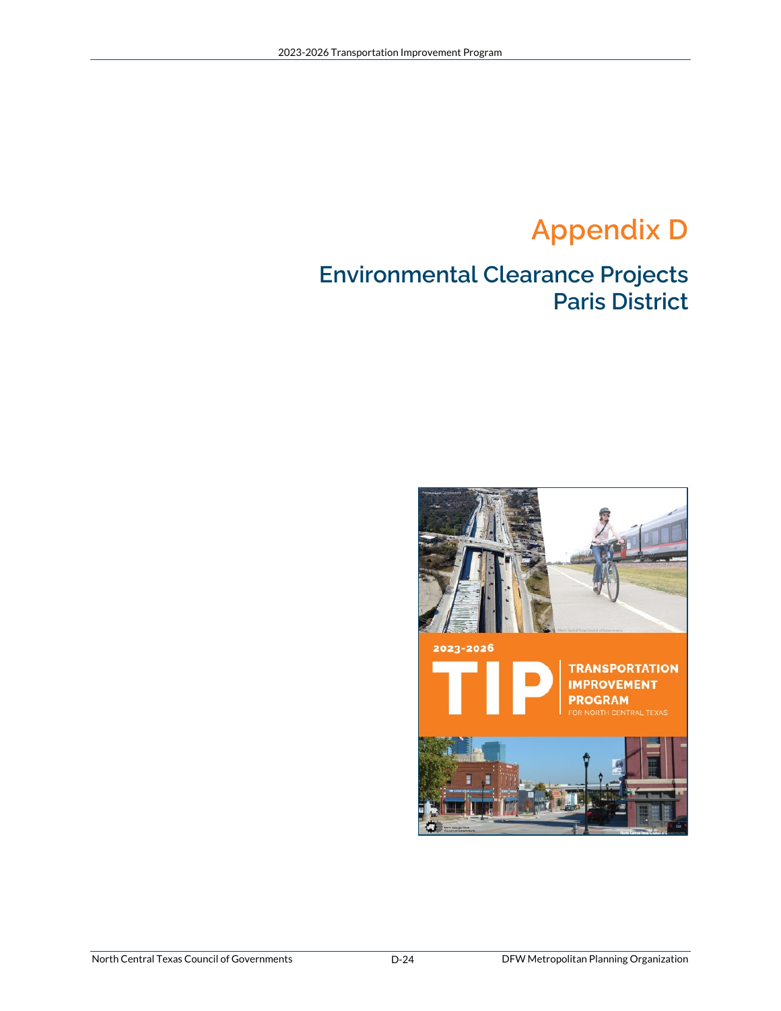# **Appendix D**

### **Environmental Clearance Projects Paris District**